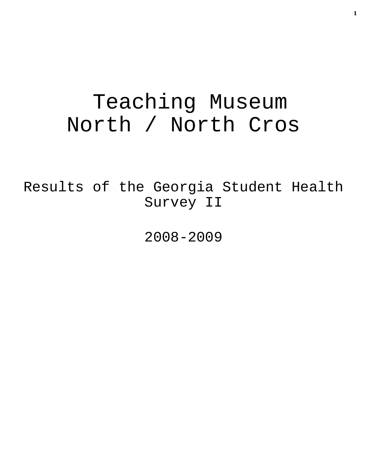# Teaching Museum North / North Cros

Results of the Georgia Student Health Survey II

2008-2009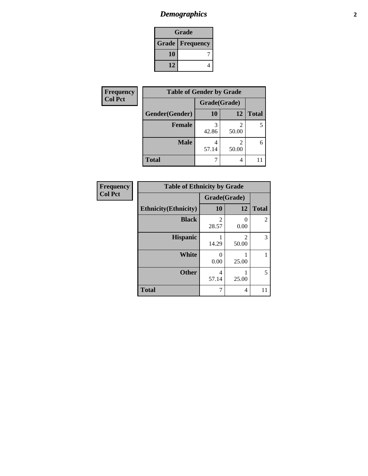# *Demographics* **2**

| Grade |                          |  |  |
|-------|--------------------------|--|--|
|       | <b>Grade   Frequency</b> |  |  |
| 10    |                          |  |  |
| 12    |                          |  |  |

| <b>Frequency</b> | <b>Table of Gender by Grade</b> |              |       |              |  |
|------------------|---------------------------------|--------------|-------|--------------|--|
| <b>Col Pct</b>   |                                 | Grade(Grade) |       |              |  |
|                  | Gender(Gender)                  | <b>10</b>    | 12    | <b>Total</b> |  |
|                  | Female                          | 42.86        | 50.00 | 5            |  |
|                  | <b>Male</b>                     | 57.14        | 50.00 | 6            |  |
|                  | <b>Total</b>                    |              | 4     |              |  |

| <b>Frequency</b> |
|------------------|
| <b>Col Pct</b>   |

| <b>Table of Ethnicity by Grade</b> |              |                           |              |  |  |  |
|------------------------------------|--------------|---------------------------|--------------|--|--|--|
|                                    | Grade(Grade) |                           |              |  |  |  |
| <b>Ethnicity</b> (Ethnicity)       | 10           | 12                        | <b>Total</b> |  |  |  |
| <b>Black</b>                       | 2<br>28.57   | $\mathbf{\Omega}$<br>0.00 | 2            |  |  |  |
| <b>Hispanic</b>                    | 14.29        | $\mathfrak{D}$<br>50.00   | 3            |  |  |  |
| White                              | 0<br>0.00    | 25.00                     |              |  |  |  |
| <b>Other</b>                       | 4<br>57.14   | 25.00                     | 5            |  |  |  |
| <b>Total</b>                       | 7            | 4                         |              |  |  |  |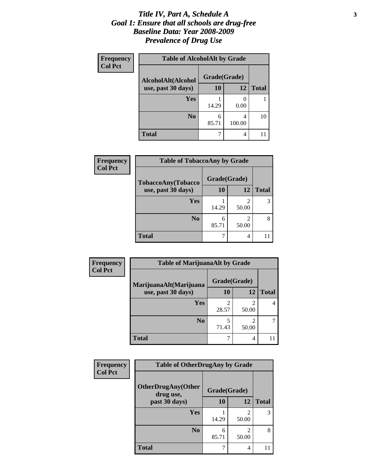#### *Title IV, Part A, Schedule A* **3** *Goal 1: Ensure that all schools are drug-free Baseline Data: Year 2008-2009 Prevalence of Drug Use*

| Frequency<br><b>Col Pct</b> | <b>Table of AlcoholAlt by Grade</b> |              |             |              |  |
|-----------------------------|-------------------------------------|--------------|-------------|--------------|--|
|                             | AlcoholAlt(Alcohol                  | Grade(Grade) |             |              |  |
|                             | use, past 30 days)                  | <b>10</b>    | 12          | <b>Total</b> |  |
|                             | Yes                                 | 14.29        | 0.00        |              |  |
|                             | N <sub>0</sub>                      | 6<br>85.71   | 4<br>100.00 | 10           |  |
|                             | <b>Total</b>                        |              | 4           |              |  |

| Frequency      | <b>Table of TobaccoAny by Grade</b> |              |                         |              |
|----------------|-------------------------------------|--------------|-------------------------|--------------|
| <b>Col Pct</b> | TobaccoAny(Tobacco                  | Grade(Grade) |                         |              |
|                | use, past 30 days)                  | <b>10</b>    | 12                      | <b>Total</b> |
|                | Yes                                 | 14.29        | 2<br>50.00              |              |
|                | N <sub>0</sub>                      | 6<br>85.71   | $\overline{2}$<br>50.00 |              |
|                | <b>Total</b>                        |              | 4                       |              |

| Frequency<br><b>Col Pct</b> | <b>Table of MarijuanaAlt by Grade</b> |                         |                         |              |  |
|-----------------------------|---------------------------------------|-------------------------|-------------------------|--------------|--|
|                             | MarijuanaAlt(Marijuana                | Grade(Grade)            |                         |              |  |
|                             | use, past 30 days)                    | 10                      | 12                      | <b>Total</b> |  |
|                             | Yes                                   | $\mathfrak{D}$<br>28.57 | $\mathfrak{D}$<br>50.00 | 4            |  |
|                             | N <sub>0</sub>                        | 5<br>71.43              | $\mathfrak{D}$<br>50.00 | 7            |  |
|                             | <b>Total</b>                          | ┑                       | 4                       |              |  |

| Frequency<br><b>Col Pct</b> | <b>Table of OtherDrugAny by Grade</b>  |              |                         |              |  |
|-----------------------------|----------------------------------------|--------------|-------------------------|--------------|--|
|                             | <b>OtherDrugAny(Other</b><br>drug use, | Grade(Grade) |                         |              |  |
|                             | past 30 days)                          | 10           | 12                      | <b>Total</b> |  |
|                             | <b>Yes</b>                             | 14.29        | 2<br>50.00              | 3            |  |
|                             | N <sub>0</sub>                         | 6<br>85.71   | $\mathfrak{D}$<br>50.00 | 8            |  |
|                             | <b>Total</b>                           |              | 4                       |              |  |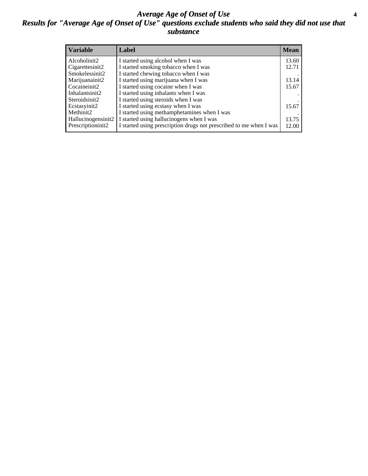#### *Average Age of Onset of Use* **4** *Results for "Average Age of Onset of Use" questions exclude students who said they did not use that substance*

| <b>Variable</b>    | Label                                                              | <b>Mean</b> |
|--------------------|--------------------------------------------------------------------|-------------|
| Alcoholinit2       | I started using alcohol when I was                                 | 13.60       |
| Cigarettesinit2    | I started smoking tobacco when I was                               | 12.71       |
| Smokelessinit2     | I started chewing tobacco when I was                               |             |
| Marijuanainit2     | I started using marijuana when I was                               | 13.14       |
| Cocaineinit2       | I started using cocaine when I was                                 | 15.67       |
| Inhalantsinit2     | I started using inhalants when I was                               |             |
| Steroidsinit2      | I started using steroids when I was                                |             |
| Ecstasyinit2       | I started using ecstasy when I was                                 | 15.67       |
| Methinit2          | I started using methamphetamines when I was                        |             |
| Hallucinogensinit2 | I started using hallucinogens when I was                           | 13.75       |
| Prescriptioninit2  | I started using prescription drugs not prescribed to me when I was | 12.00       |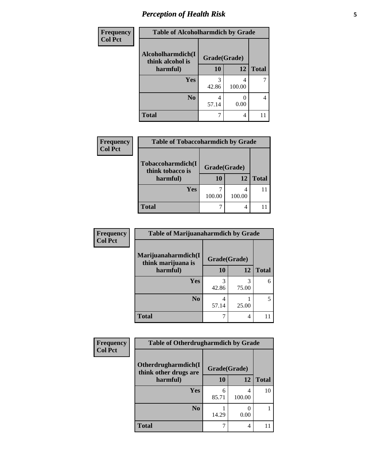# *Perception of Health Risk* **5**

| Frequency      | <b>Table of Alcoholharmdich by Grade</b> |              |        |              |  |
|----------------|------------------------------------------|--------------|--------|--------------|--|
| <b>Col Pct</b> | Alcoholharmdich(I<br>think alcohol is    | Grade(Grade) |        |              |  |
|                | harmful)                                 | 10           | 12     | <b>Total</b> |  |
|                | Yes                                      | 3            | 4      |              |  |
|                |                                          | 42.86        | 100.00 |              |  |
|                | N <sub>0</sub>                           | 4            |        | 4            |  |
|                |                                          | 57.14        | 0.00   |              |  |
|                | <b>Total</b>                             |              | 4      |              |  |

| <b>Frequency</b> | <b>Table of Tobaccoharmdich by Grade</b>          |                           |             |              |
|------------------|---------------------------------------------------|---------------------------|-------------|--------------|
| <b>Col Pct</b>   | Tobaccoharmdich(I<br>think tobacco is<br>harmful) | Grade(Grade)<br><b>10</b> | <b>12</b>   | <b>Total</b> |
|                  | Yes                                               | 100.00                    | 4<br>100.00 |              |
|                  | <b>Total</b>                                      |                           | 4           |              |

| <b>Frequency</b>                                                        | <b>Table of Marijuanaharmdich by Grade</b> |              |              |   |  |
|-------------------------------------------------------------------------|--------------------------------------------|--------------|--------------|---|--|
| <b>Col Pct</b><br>Marijuanaharmdich(I<br>think marijuana is<br>harmful) |                                            | Grade(Grade) |              |   |  |
|                                                                         | 10                                         | 12           | <b>Total</b> |   |  |
|                                                                         | <b>Yes</b>                                 | 3<br>42.86   | 3<br>75.00   | 6 |  |
|                                                                         | N <sub>0</sub>                             | 4<br>57.14   | 25.00        | 5 |  |
|                                                                         | <b>Total</b>                               | 7            | 4            |   |  |

| <b>Frequency</b> | <b>Table of Otherdrugharmdich by Grade</b>   |              |             |              |  |
|------------------|----------------------------------------------|--------------|-------------|--------------|--|
| <b>Col Pct</b>   | Otherdrugharmdich(I<br>think other drugs are | Grade(Grade) |             |              |  |
|                  | harmful)                                     | 10           | 12          | <b>Total</b> |  |
|                  | Yes                                          | 6<br>85.71   | 4<br>100.00 | 10           |  |
|                  | N <sub>0</sub>                               | 14.29        | 0.00        |              |  |
|                  | <b>Total</b>                                 |              | 4           |              |  |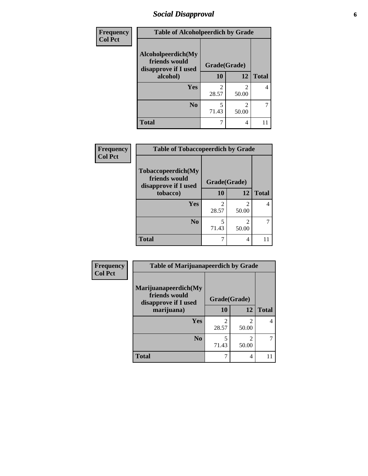### *Social Disapproval* **6**

| <b>Frequency</b> | <b>Table of Alcoholpeerdich by Grade</b>                    |                         |                                   |              |  |
|------------------|-------------------------------------------------------------|-------------------------|-----------------------------------|--------------|--|
| <b>Col Pct</b>   | Alcoholpeerdich(My<br>friends would<br>disapprove if I used | Grade(Grade)            |                                   |              |  |
|                  | alcohol)                                                    | 10                      | <b>12</b>                         | <b>Total</b> |  |
|                  | <b>Yes</b>                                                  | $\mathfrak{D}$<br>28.57 | 2<br>50.00                        | 4            |  |
|                  | N <sub>0</sub>                                              | 5<br>71.43              | $\overline{\mathcal{L}}$<br>50.00 |              |  |
|                  | <b>Total</b>                                                |                         | 4                                 | 11           |  |

| <b>Frequency</b> |
|------------------|
| <b>Col Pct</b>   |

| <b>Table of Tobaccopeerdich by Grade</b>                    |       |              |              |  |  |
|-------------------------------------------------------------|-------|--------------|--------------|--|--|
| Tobaccopeerdich(My<br>friends would<br>disapprove if I used |       | Grade(Grade) |              |  |  |
| tobacco)                                                    | 10    | 12           | <b>Total</b> |  |  |
| Yes                                                         | 2     | 2            |              |  |  |
|                                                             | 28.57 | 50.00        |              |  |  |
| N <sub>0</sub>                                              | 5     | 2            |              |  |  |
|                                                             | 71.43 | 50.00        |              |  |  |
| <b>Total</b>                                                | 7     | 4            |              |  |  |

| <b>Frequency</b> | <b>Table of Marijuanapeerdich by Grade</b>                    |              |                         |              |  |
|------------------|---------------------------------------------------------------|--------------|-------------------------|--------------|--|
| <b>Col Pct</b>   | Marijuanapeerdich(My<br>friends would<br>disapprove if I used | Grade(Grade) |                         |              |  |
|                  | marijuana)                                                    | 10           | 12                      | <b>Total</b> |  |
|                  | <b>Yes</b>                                                    | 28.57        | $\mathfrak{D}$<br>50.00 | 4            |  |
|                  | N <sub>0</sub>                                                | 5<br>71.43   | 2<br>50.00              |              |  |
|                  | <b>Total</b>                                                  |              | 4                       | 11           |  |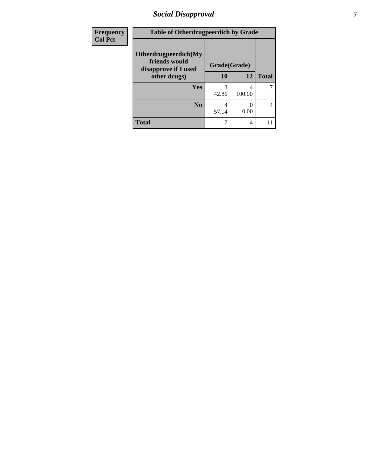### *Social Disapproval* **7**

| <b>Frequency</b> | <b>Table of Otherdrugpeerdich by Grade</b>                    |              |             |              |  |
|------------------|---------------------------------------------------------------|--------------|-------------|--------------|--|
| <b>Col Pct</b>   | Otherdrugpeerdich(My<br>friends would<br>disapprove if I used | Grade(Grade) |             |              |  |
|                  | other drugs)                                                  | 10           | 12          | <b>Total</b> |  |
|                  | <b>Yes</b>                                                    | 3<br>42.86   | 4<br>100.00 |              |  |
|                  | N <sub>0</sub>                                                | 4<br>57.14   | 0.00        | 4            |  |
|                  | <b>Total</b>                                                  |              | 4           |              |  |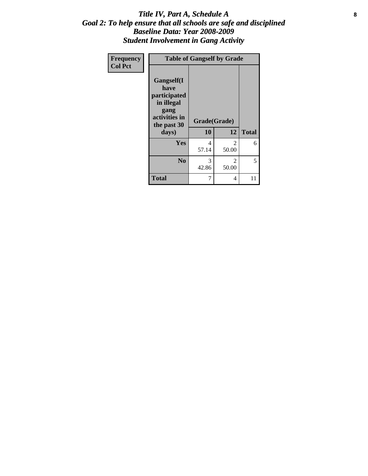#### Title IV, Part A, Schedule A **8** *Goal 2: To help ensure that all schools are safe and disciplined Baseline Data: Year 2008-2009 Student Involvement in Gang Activity*

| Frequency      | <b>Table of Gangself by Grade</b>                                                                 |                    |            |              |  |
|----------------|---------------------------------------------------------------------------------------------------|--------------------|------------|--------------|--|
| <b>Col Pct</b> | Gangself(I<br>have<br>participated<br>in illegal<br>gang<br>activities in<br>the past 30<br>days) | Grade(Grade)<br>10 | 12         | <b>Total</b> |  |
|                | Yes                                                                                               | 4<br>57.14         | 2<br>50.00 | 6            |  |
|                | N <sub>0</sub>                                                                                    | 3<br>42.86         | 2<br>50.00 | 5            |  |
|                | <b>Total</b>                                                                                      | 7                  | 4          | 11           |  |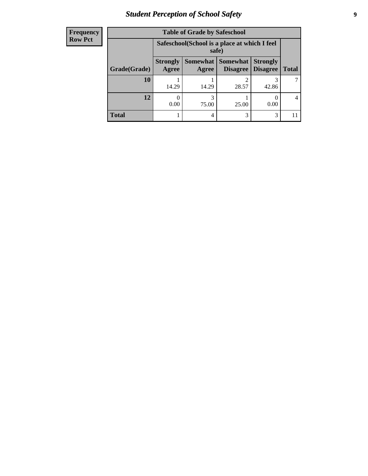# *Student Perception of School Safety* **9**

| <b>Frequency</b> |
|------------------|
| <b>Row Pct</b>   |

| <b>Table of Grade by Safeschool</b> |                                 |                                                        |                                 |                                    |              |
|-------------------------------------|---------------------------------|--------------------------------------------------------|---------------------------------|------------------------------------|--------------|
|                                     |                                 | Safeschool (School is a place at which I feel<br>safe) |                                 |                                    |              |
| Grade(Grade)                        | <b>Strongly</b><br><b>Agree</b> | Agree                                                  | Somewhat   Somewhat<br>Disagree | <b>Strongly</b><br><b>Disagree</b> | <b>Total</b> |
| 10                                  | 14.29                           | 14.29                                                  | 2<br>28.57                      | 42.86                              |              |
| 12                                  | 0.00                            | 3<br>75.00                                             | 25.00                           | 0.00                               |              |
| <b>Total</b>                        |                                 | 4                                                      | 3                               | 3                                  |              |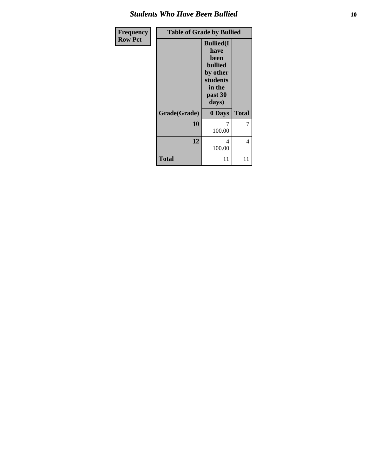#### *Students Who Have Been Bullied* **10**

| Frequency      | <b>Table of Grade by Bullied</b> |                                                                                                           |              |  |  |
|----------------|----------------------------------|-----------------------------------------------------------------------------------------------------------|--------------|--|--|
| <b>Row Pct</b> |                                  | <b>Bullied(I)</b><br>have<br>been<br><b>bullied</b><br>by other<br>students<br>in the<br>past 30<br>days) |              |  |  |
|                | Grade(Grade)                     | 0 Days                                                                                                    | <b>Total</b> |  |  |
|                | 10                               | 7<br>100.00                                                                                               | 7            |  |  |
|                | 12                               | 4<br>100.00                                                                                               | 4            |  |  |
|                | <b>Total</b>                     | 11                                                                                                        | 11           |  |  |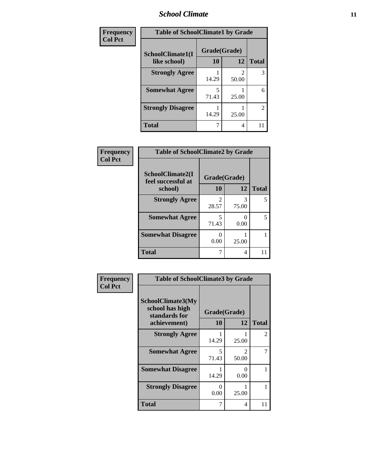#### *School Climate* **11**

| Frequency      | <b>Table of SchoolClimate1 by Grade</b> |              |       |                |  |
|----------------|-----------------------------------------|--------------|-------|----------------|--|
| <b>Col Pct</b> | SchoolClimate1(I                        | Grade(Grade) |       |                |  |
|                | like school)                            | 10           | 12    | <b>Total</b>   |  |
|                | <b>Strongly Agree</b>                   | 14.29        | 50.00 | 3              |  |
|                | <b>Somewhat Agree</b>                   | 5<br>71.43   | 25.00 | 6              |  |
|                | <b>Strongly Disagree</b>                | 14.29        | 25.00 | $\overline{2}$ |  |
|                | <b>Total</b>                            |              | 4     | 11             |  |

| Frequency      | <b>Table of SchoolClimate2 by Grade</b> |                         |                |              |  |  |
|----------------|-----------------------------------------|-------------------------|----------------|--------------|--|--|
| <b>Col Pct</b> | SchoolClimate2(I<br>feel successful at  | Grade(Grade)            |                |              |  |  |
|                | school)                                 | 10                      | 12             | <b>Total</b> |  |  |
|                | <b>Strongly Agree</b>                   | $\mathfrak{D}$<br>28.57 | 3<br>75.00     | 5            |  |  |
|                | <b>Somewhat Agree</b>                   | 5<br>71.43              | 0.00           | 5            |  |  |
|                | <b>Somewhat Disagree</b>                | ∩<br>0.00               | 25.00          |              |  |  |
|                | <b>Total</b>                            | 7                       | $\overline{4}$ | 11           |  |  |

| Frequency      | <b>Table of SchoolClimate3 by Grade</b>               |              |                                      |                |
|----------------|-------------------------------------------------------|--------------|--------------------------------------|----------------|
| <b>Col Pct</b> | SchoolClimate3(My<br>school has high<br>standards for | Grade(Grade) |                                      |                |
|                | achievement)                                          | <b>10</b>    | 12                                   | <b>Total</b>   |
|                | <b>Strongly Agree</b>                                 | 14.29        | 25.00                                | $\overline{2}$ |
|                | <b>Somewhat Agree</b>                                 | 5<br>71.43   | $\mathcal{D}_{\mathcal{L}}$<br>50.00 | 7              |
|                | <b>Somewhat Disagree</b>                              | 14.29        | 0<br>0.00                            | 1              |
|                | <b>Strongly Disagree</b>                              | 0<br>0.00    | 25.00                                | 1              |
|                | Total                                                 | 7            | 4                                    | 11             |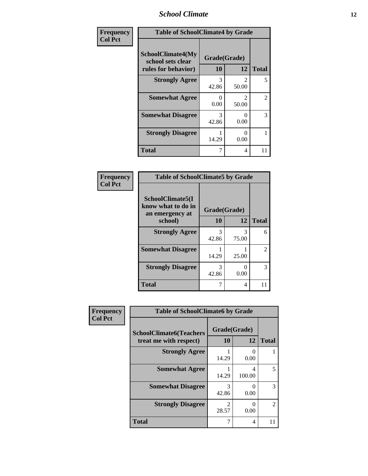#### *School Climate* **12**

| Frequency      | <b>Table of SchoolClimate4 by Grade</b>                       |                    |                         |              |
|----------------|---------------------------------------------------------------|--------------------|-------------------------|--------------|
| <b>Col Pct</b> | SchoolClimate4(My<br>school sets clear<br>rules for behavior) | Grade(Grade)<br>10 | 12                      | <b>Total</b> |
|                | <b>Strongly Agree</b>                                         | 3<br>42.86         | $\mathfrak{D}$<br>50.00 | 5            |
|                | <b>Somewhat Agree</b>                                         | 0<br>0.00          | $\mathfrak{D}$<br>50.00 | 2            |
|                | <b>Somewhat Disagree</b>                                      | 3<br>42.86         | 0<br>0.00               | 3            |
|                | <b>Strongly Disagree</b>                                      | 14.29              | 0<br>0.00               | 1            |
|                | <b>Total</b>                                                  | 7                  | 4                       | 11           |

#### **Frequency Col Pct**

| <b>Table of SchoolClimate5 by Grade</b>                              |                    |            |              |  |
|----------------------------------------------------------------------|--------------------|------------|--------------|--|
| SchoolClimate5(I<br>know what to do in<br>an emergency at<br>school) | Grade(Grade)<br>10 | 12         | <b>Total</b> |  |
| <b>Strongly Agree</b>                                                | 3<br>42.86         | 3<br>75.00 | 6            |  |
| <b>Somewhat Disagree</b>                                             | 14.29              | 25.00      | 2            |  |
| <b>Strongly Disagree</b>                                             | 3<br>42.86         | 0<br>0.00  | 3            |  |
| <b>Total</b>                                                         |                    | 4          |              |  |

| Frequency      | <b>Table of SchoolClimate6 by Grade</b>                  |                    |             |               |  |
|----------------|----------------------------------------------------------|--------------------|-------------|---------------|--|
| <b>Col Pct</b> | <b>SchoolClimate6(Teachers</b><br>treat me with respect) | Grade(Grade)<br>10 | 12          | <b>Total</b>  |  |
|                | <b>Strongly Agree</b>                                    | 14.29              | 0.00        |               |  |
|                | <b>Somewhat Agree</b>                                    | 14.29              | 4<br>100.00 |               |  |
|                | <b>Somewhat Disagree</b>                                 | 3<br>42.86         | 0.00        | 3             |  |
|                | <b>Strongly Disagree</b>                                 | 28.57              | 0.00        | $\mathcal{L}$ |  |
|                | <b>Total</b>                                             |                    | 4           |               |  |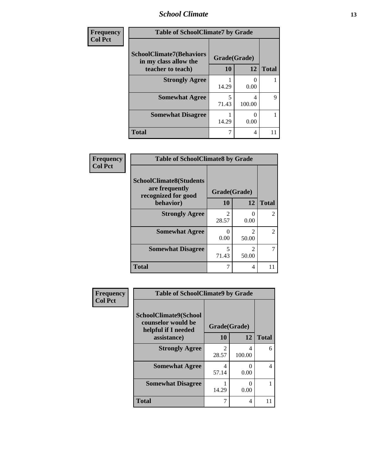# *School Climate* **13**

| Frequency      | <b>Table of SchoolClimate7 by Grade</b>                  |              |        |              |
|----------------|----------------------------------------------------------|--------------|--------|--------------|
| <b>Col Pct</b> | <b>SchoolClimate7(Behaviors</b><br>in my class allow the | Grade(Grade) |        |              |
|                | teacher to teach)                                        | 10           | 12     | <b>Total</b> |
|                | <b>Strongly Agree</b>                                    | 14.29        | 0.00   |              |
|                | <b>Somewhat Agree</b>                                    | 5<br>71.43   | 100.00 | 9            |
|                | <b>Somewhat Disagree</b>                                 | 14.29        | 0.00   |              |
|                | <b>Total</b>                                             |              | 4      |              |

| Frequency      | <b>Table of SchoolClimate8 by Grade</b>                                 |              |            |              |
|----------------|-------------------------------------------------------------------------|--------------|------------|--------------|
| <b>Col Pct</b> | <b>SchoolClimate8(Students</b><br>are frequently<br>recognized for good | Grade(Grade) |            |              |
|                | behavior)                                                               | 10           | 12         | <b>Total</b> |
|                | <b>Strongly Agree</b>                                                   | 28.57        | 0.00       | 2            |
|                | <b>Somewhat Agree</b>                                                   | 0.00         | 50.00      | 2            |
|                | <b>Somewhat Disagree</b>                                                | 5<br>71.43   | 2<br>50.00 | 7            |
|                | <b>Total</b>                                                            |              | 4          | 11           |

| Frequency      | <b>Table of SchoolClimate9 by Grade</b>                                           |                         |             |              |
|----------------|-----------------------------------------------------------------------------------|-------------------------|-------------|--------------|
| <b>Col Pct</b> | SchoolClimate9(School<br>counselor would be<br>helpful if I needed<br>assistance) | Grade(Grade)<br>10      | 12          | <b>Total</b> |
|                | <b>Strongly Agree</b>                                                             | $\mathfrak{D}$<br>28.57 | 4<br>100.00 | 6            |
|                | <b>Somewhat Agree</b>                                                             | 4<br>57.14              | 0.00        | 4            |
|                | <b>Somewhat Disagree</b>                                                          | 14.29                   | 0.00        |              |
|                | <b>Total</b>                                                                      |                         | 4           |              |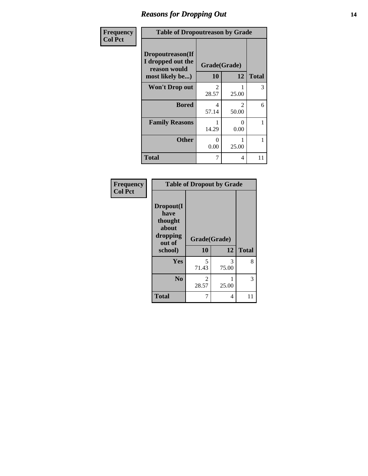#### *Reasons for Dropping Out* **14**

| Frequency      | <b>Table of Dropoutreason by Grade</b>                                   |                         |                                      |              |
|----------------|--------------------------------------------------------------------------|-------------------------|--------------------------------------|--------------|
| <b>Col Pct</b> | Dropoutreason(If<br>I dropped out the<br>reason would<br>most likely be) | Grade(Grade)<br>10      | 12                                   | <b>Total</b> |
|                | <b>Won't Drop out</b>                                                    | $\mathfrak{D}$<br>28.57 | 25.00                                | 3            |
|                | <b>Bored</b>                                                             | 4<br>57.14              | $\mathcal{D}_{\mathcal{L}}$<br>50.00 | 6            |
|                | <b>Family Reasons</b>                                                    | 14.29                   | 0<br>0.00                            | 1            |
|                | <b>Other</b>                                                             | 0<br>0.00               | 25.00                                | 1            |
|                | <b>Total</b>                                                             | 7                       | 4                                    | 11           |

| Frequency<br><b>Col Pct</b> | <b>Table of Dropout by Grade</b>                                       |                         |            |              |  |
|-----------------------------|------------------------------------------------------------------------|-------------------------|------------|--------------|--|
|                             | Dropout(I<br>have<br>thought<br>about<br>dropping<br>out of<br>school) | Grade(Grade)<br>10      | 12         | <b>Total</b> |  |
|                             | <b>Yes</b>                                                             | 5<br>71.43              | 3<br>75.00 | 8            |  |
|                             | N <sub>0</sub>                                                         | $\mathfrak{D}$<br>28.57 | 25.00      | 3            |  |
|                             | <b>Total</b>                                                           | 7                       | 4          | 11           |  |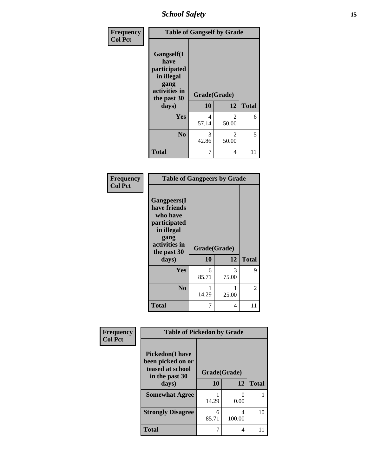*School Safety* **15**

| Frequency      | <b>Table of Gangself by Grade</b>                                                                 |                    |                         |              |
|----------------|---------------------------------------------------------------------------------------------------|--------------------|-------------------------|--------------|
| <b>Col Pct</b> | Gangself(I<br>have<br>participated<br>in illegal<br>gang<br>activities in<br>the past 30<br>days) | Grade(Grade)<br>10 | 12                      | <b>Total</b> |
|                | Yes                                                                                               | 4<br>57.14         | $\overline{c}$<br>50.00 | 6            |
|                | N <sub>o</sub>                                                                                    | 3<br>42.86         | $\mathcal{L}$<br>50.00  | 5            |
|                | <b>Total</b>                                                                                      | 7                  | 4                       | 11           |

| Frequency<br><b>Col Pct</b> | <b>Table of Gangpeers by Grade</b>                                                                                     |                    |            |              |
|-----------------------------|------------------------------------------------------------------------------------------------------------------------|--------------------|------------|--------------|
|                             | Gangpeers(I<br>have friends<br>who have<br>participated<br>in illegal<br>gang<br>activities in<br>the past 30<br>days) | Grade(Grade)<br>10 | 12         | <b>Total</b> |
|                             | Yes                                                                                                                    | 6<br>85.71         | 3<br>75.00 | 9            |
|                             | N <sub>0</sub>                                                                                                         | 14.29              | 25.00      | 2            |
|                             | <b>Total</b>                                                                                                           | 7                  | 4          | 11           |

| Frequency      | <b>Table of Pickedon by Grade</b>                                |              |             |              |
|----------------|------------------------------------------------------------------|--------------|-------------|--------------|
| <b>Col Pct</b> | <b>Pickedon</b> (I have<br>been picked on or<br>teased at school | Grade(Grade) |             |              |
|                | in the past 30<br>days)                                          | 10           | 12          | <b>Total</b> |
|                | <b>Somewhat Agree</b>                                            | 14.29        | 0.00        |              |
|                | <b>Strongly Disagree</b>                                         | 6<br>85.71   | 4<br>100.00 | 10           |
|                | <b>Total</b>                                                     | 7            | 4           |              |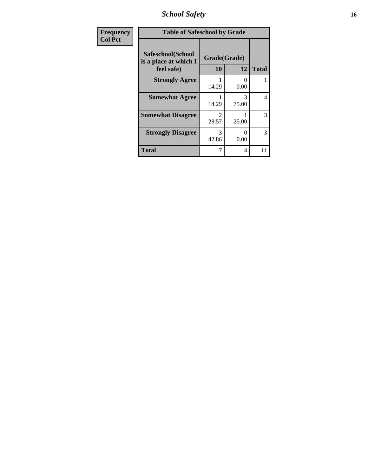*School Safety* **16**

| Frequency<br><b>Col Pct</b> | <b>Table of Safeschool by Grade</b>                      |                           |            |              |
|-----------------------------|----------------------------------------------------------|---------------------------|------------|--------------|
|                             | Safeschool(School<br>is a place at which I<br>feel safe) | Grade(Grade)<br><b>10</b> | 12         | <b>Total</b> |
|                             | <b>Strongly Agree</b>                                    | 14.29                     | 0<br>0.00  |              |
|                             | <b>Somewhat Agree</b>                                    | 14.29                     | 3<br>75.00 | 4            |
|                             | <b>Somewhat Disagree</b>                                 | 28.57                     | 25.00      | 3            |
|                             | <b>Strongly Disagree</b>                                 | 3<br>42.86                | 0<br>0.00  | 3            |
|                             | <b>Total</b>                                             |                           | 4          | 11           |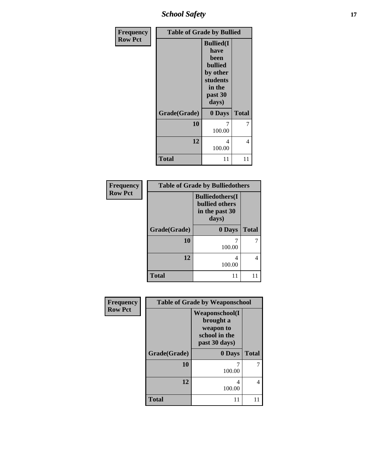*School Safety* **17**

| Frequency      | <b>Table of Grade by Bullied</b> |                                                                                                           |              |  |
|----------------|----------------------------------|-----------------------------------------------------------------------------------------------------------|--------------|--|
| <b>Row Pct</b> |                                  | <b>Bullied(I)</b><br>have<br>been<br><b>bullied</b><br>by other<br>students<br>in the<br>past 30<br>days) |              |  |
|                | Grade(Grade)                     | 0 Days                                                                                                    | <b>Total</b> |  |
|                | 10                               | 7<br>100.00                                                                                               | 7            |  |
|                | 12                               | 4<br>100.00                                                                                               | 4            |  |
|                | <b>Total</b>                     | 11                                                                                                        | 11           |  |

| Frequency      | <b>Table of Grade by Bulliedothers</b> |                                                                             |              |
|----------------|----------------------------------------|-----------------------------------------------------------------------------|--------------|
| <b>Row Pct</b> |                                        | <b>Bulliedothers(I)</b><br><b>bullied others</b><br>in the past 30<br>days) |              |
|                | Grade(Grade)                           | 0 Days                                                                      | <b>Total</b> |
|                | 10                                     | 100.00                                                                      |              |
|                | 12                                     | 4<br>100.00                                                                 |              |
|                | <b>Total</b>                           | 11                                                                          |              |

| Frequency<br><b>Row Pct</b> |              | <b>Table of Grade by Weaponschool</b>                                              |              |  |
|-----------------------------|--------------|------------------------------------------------------------------------------------|--------------|--|
|                             |              | <b>Weaponschool</b> (I<br>brought a<br>weapon to<br>school in the<br>past 30 days) |              |  |
|                             | Grade(Grade) | 0 Days                                                                             | <b>Total</b> |  |
|                             | 10           | 100.00                                                                             |              |  |
|                             | 12           | 4<br>100.00                                                                        | 4            |  |
|                             | Total        | 11                                                                                 | 11           |  |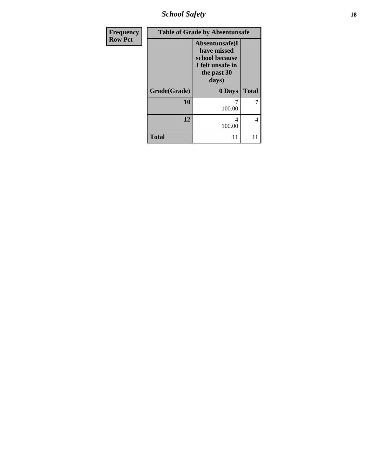*School Safety* **18**

| Frequency      |              |                                                                                              | <b>Table of Grade by Absentunsafe</b> |  |  |
|----------------|--------------|----------------------------------------------------------------------------------------------|---------------------------------------|--|--|
| <b>Row Pct</b> |              | Absentunsafe(I)<br>have missed<br>school because<br>I felt unsafe in<br>the past 30<br>days) |                                       |  |  |
|                | Grade(Grade) | 0 Days                                                                                       | <b>Total</b>                          |  |  |
|                | 10           | 100.00                                                                                       |                                       |  |  |
|                | 12           | 4<br>100.00                                                                                  | 4                                     |  |  |
|                | <b>Total</b> | 11                                                                                           | 11                                    |  |  |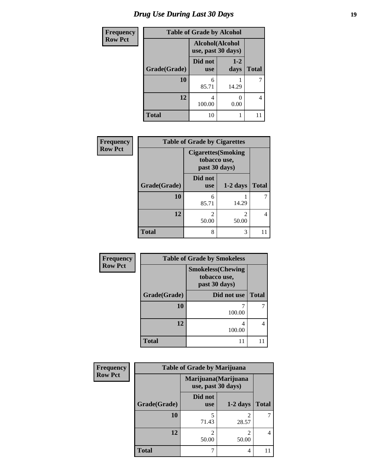# *Drug Use During Last 30 Days* **19**

| <b>Frequency</b> | <b>Table of Grade by Alcohol</b> |                                       |                 |              |
|------------------|----------------------------------|---------------------------------------|-----------------|--------------|
| <b>Row Pct</b>   |                                  | Alcohol(Alcohol<br>use, past 30 days) |                 |              |
|                  | Grade(Grade)                     | Did not<br><b>use</b>                 | $1 - 2$<br>days | <b>Total</b> |
|                  | <b>10</b>                        | 6<br>85.71                            | 14.29           | 7            |
|                  | 12                               | 4<br>100.00                           | 0.00            | 4            |
|                  | <b>Total</b>                     | 10                                    |                 |              |

| Frequency      |              | <b>Table of Grade by Cigarettes</b>                         |            |              |  |  |
|----------------|--------------|-------------------------------------------------------------|------------|--------------|--|--|
| <b>Row Pct</b> |              | <b>Cigarettes</b> (Smoking<br>tobacco use,<br>past 30 days) |            |              |  |  |
|                | Grade(Grade) | Did not<br><b>use</b>                                       | $1-2$ days | <b>Total</b> |  |  |
|                | 10           | 6<br>85.71                                                  | 14.29      |              |  |  |
|                | 12           | $\mathcal{D}_{\mathcal{A}}$<br>50.00                        | 2<br>50.00 |              |  |  |
|                | <b>Total</b> | 8                                                           | 3          |              |  |  |

| <b>Frequency</b> |              | <b>Table of Grade by Smokeless</b>                         |              |  |
|------------------|--------------|------------------------------------------------------------|--------------|--|
| <b>Row Pct</b>   |              | <b>Smokeless</b> (Chewing<br>tobacco use,<br>past 30 days) |              |  |
|                  | Grade(Grade) | Did not use                                                | <b>Total</b> |  |
|                  | <b>10</b>    | 100.00                                                     | 7            |  |
|                  | 12           | 100.00                                                     | 4            |  |
|                  | <b>Total</b> | 11                                                         |              |  |

| <b>Frequency</b> | <b>Table of Grade by Marijuana</b> |                                            |                         |              |  |
|------------------|------------------------------------|--------------------------------------------|-------------------------|--------------|--|
| <b>Row Pct</b>   |                                    | Marijuana (Marijuana<br>use, past 30 days) |                         |              |  |
|                  | Grade(Grade)                       | Did not<br><b>use</b>                      | $1-2$ days              | <b>Total</b> |  |
|                  | 10                                 | 5<br>71.43                                 | 2<br>28.57              |              |  |
|                  | 12                                 | $\mathfrak{D}$<br>50.00                    | $\overline{c}$<br>50.00 | 4            |  |
|                  | <b>Total</b>                       |                                            | 4                       |              |  |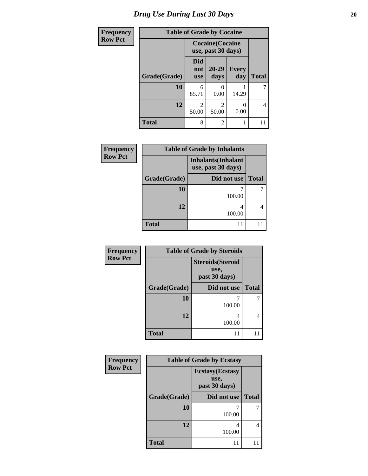| <b>Frequency</b> |              |                                 | <b>Table of Grade by Cocaine</b>              |                     |              |
|------------------|--------------|---------------------------------|-----------------------------------------------|---------------------|--------------|
| <b>Row Pct</b>   |              |                                 | <b>Cocaine</b> (Cocaine<br>use, past 30 days) |                     |              |
|                  | Grade(Grade) | <b>Did</b><br>not<br><b>use</b> | $20 - 29$<br>days                             | <b>Every</b><br>day | <b>Total</b> |
|                  | 10           | 6<br>85.71                      | 0<br>0.00                                     | 14.29               | 7            |
|                  | 12           | $\mathfrak{D}$<br>50.00         | $\overline{\mathcal{L}}$<br>50.00             | 0.00                | 4            |
|                  | <b>Total</b> | 8                               | 2                                             |                     | 11           |

| Frequency      |              | <b>Table of Grade by Inhalants</b>               |              |
|----------------|--------------|--------------------------------------------------|--------------|
| <b>Row Pct</b> |              | <b>Inhalants</b> (Inhalant<br>use, past 30 days) |              |
|                | Grade(Grade) | Did not use                                      | <b>Total</b> |
|                | 10           | 100.00                                           |              |
|                | 12           | 4<br>100.00                                      |              |
|                | <b>Total</b> | 11                                               |              |

| Frequency      | <b>Table of Grade by Steroids</b> |                                                   |              |  |
|----------------|-----------------------------------|---------------------------------------------------|--------------|--|
| <b>Row Pct</b> |                                   | <b>Steroids</b> (Steroid<br>use,<br>past 30 days) |              |  |
|                | Grade(Grade)                      | Did not use                                       | <b>Total</b> |  |
|                | 10                                | 100.00                                            | 7            |  |
|                | 12                                | 4<br>100.00                                       | 4            |  |
|                | <b>Total</b>                      | 11                                                |              |  |

| <b>Frequency</b> | <b>Table of Grade by Ecstasy</b> |                                                  |              |  |  |
|------------------|----------------------------------|--------------------------------------------------|--------------|--|--|
| <b>Row Pct</b>   |                                  | <b>Ecstasy</b> (Ecstasy<br>use,<br>past 30 days) |              |  |  |
|                  | Grade(Grade)                     | Did not use                                      | <b>Total</b> |  |  |
|                  | 10                               | 100.00                                           |              |  |  |
|                  | 12                               | 4<br>100.00                                      | 4            |  |  |
|                  | <b>Total</b>                     | 11                                               |              |  |  |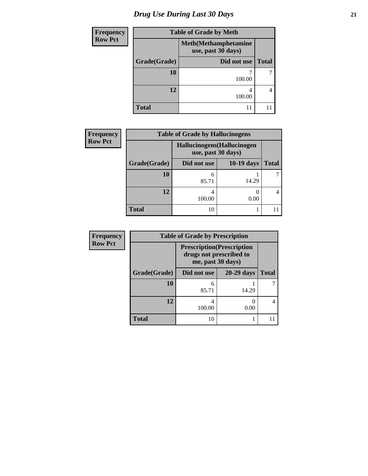# *Drug Use During Last 30 Days* **21**

| <b>Frequency</b> | <b>Table of Grade by Meth</b> |                                                    |              |  |  |
|------------------|-------------------------------|----------------------------------------------------|--------------|--|--|
| <b>Row Pct</b>   |                               | <b>Meth</b> (Methamphetamine<br>use, past 30 days) |              |  |  |
|                  | Grade(Grade)                  | Did not use                                        | <b>Total</b> |  |  |
|                  | 10                            | 100.00                                             |              |  |  |
|                  | 12                            | 4<br>100.00                                        | 4            |  |  |
|                  | <b>Total</b>                  |                                                    |              |  |  |

| <b>Frequency</b> | <b>Table of Grade by Hallucinogens</b> |                                                  |              |              |  |
|------------------|----------------------------------------|--------------------------------------------------|--------------|--------------|--|
| <b>Row Pct</b>   |                                        | Hallucinogens(Hallucinogen<br>use, past 30 days) |              |              |  |
|                  | Grade(Grade)                           | Did not use                                      | $10-19$ days | <b>Total</b> |  |
|                  | 10                                     | 6<br>85.71                                       | 14.29        |              |  |
|                  | 12                                     | 4<br>100.00                                      | 0.00         | 4            |  |
|                  | <b>Total</b>                           | 10                                               |              |              |  |

| <b>Frequency</b> | <b>Table of Grade by Prescription</b> |                                                                                   |            |       |
|------------------|---------------------------------------|-----------------------------------------------------------------------------------|------------|-------|
| <b>Row Pct</b>   |                                       | <b>Prescription</b> (Prescription<br>drugs not prescribed to<br>me, past 30 days) |            |       |
|                  | Grade(Grade)                          | Did not use                                                                       | 20-29 days | Total |
|                  | 10                                    | 6<br>85.71                                                                        | 14.29      |       |
|                  | 12                                    | 4<br>100.00                                                                       | 0.00       |       |
|                  | <b>Total</b>                          | 10                                                                                |            |       |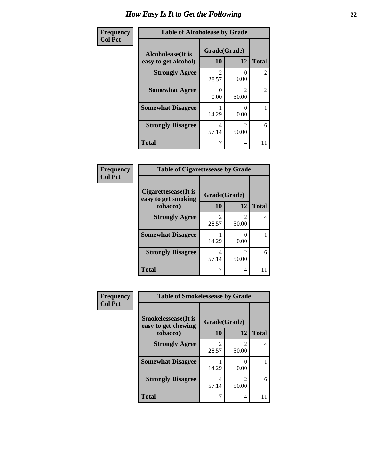| Frequency      | <b>Table of Alcoholease by Grade</b>              |                    |                         |                |
|----------------|---------------------------------------------------|--------------------|-------------------------|----------------|
| <b>Col Pct</b> | <b>Alcoholease</b> (It is<br>easy to get alcohol) | Grade(Grade)<br>10 | 12                      | <b>Total</b>   |
|                | <b>Strongly Agree</b>                             | 2<br>28.57         | 0.00                    | 2              |
|                | <b>Somewhat Agree</b>                             | 0<br>0.00          | $\mathfrak{D}$<br>50.00 | $\overline{2}$ |
|                | <b>Somewhat Disagree</b>                          | 14.29              | 0.00                    |                |
|                | <b>Strongly Disagree</b>                          | 4<br>57.14         | $\mathfrak{D}$<br>50.00 | 6              |
|                | <b>Total</b>                                      | 7                  | 4                       | 11             |

| Frequency      | <b>Table of Cigarettesease by Grade</b>                 |                    |           |              |
|----------------|---------------------------------------------------------|--------------------|-----------|--------------|
| <b>Col Pct</b> | Cigarettesease(It is<br>easy to get smoking<br>tobacco) | Grade(Grade)<br>10 | 12        | <b>Total</b> |
|                | <b>Strongly Agree</b>                                   | 2<br>28.57         | 50.00     | 4            |
|                | <b>Somewhat Disagree</b>                                | 14.29              | 0<br>0.00 |              |
|                | <b>Strongly Disagree</b>                                | 4<br>57.14         | 50.00     | 6            |
|                | Total                                                   | 7                  | 4         | 11           |

| Frequency      | <b>Table of Smokelessease by Grade</b>             |              |            |              |
|----------------|----------------------------------------------------|--------------|------------|--------------|
| <b>Col Pct</b> | <b>Smokelessease</b> (It is<br>easy to get chewing | Grade(Grade) |            |              |
|                | tobacco)                                           | 10           | 12         | <b>Total</b> |
|                | <b>Strongly Agree</b>                              | 2<br>28.57   | 2<br>50.00 | 4            |
|                | <b>Somewhat Disagree</b>                           | 14.29        | 0.00       |              |
|                | <b>Strongly Disagree</b>                           | 4<br>57.14   | 2<br>50.00 | 6            |
|                | <b>Total</b>                                       |              | 4          | 11           |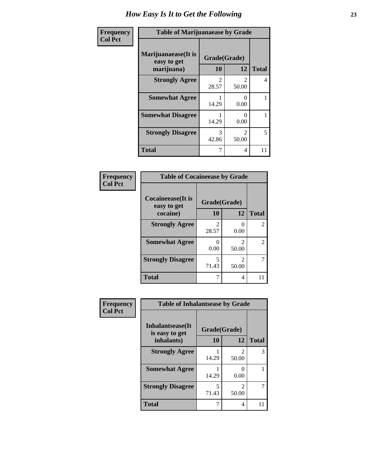| Frequency      | <b>Table of Marijuanaease by Grade</b>           |                                      |                                      |              |
|----------------|--------------------------------------------------|--------------------------------------|--------------------------------------|--------------|
| <b>Col Pct</b> | Marijuanaease(It is<br>easy to get<br>marijuana) | Grade(Grade)<br>10                   | 12                                   | <b>Total</b> |
|                | <b>Strongly Agree</b>                            | $\mathcal{D}_{\mathcal{L}}$<br>28.57 | $\mathcal{D}_{\mathcal{A}}$<br>50.00 | 4            |
|                | <b>Somewhat Agree</b>                            | 14.29                                | $\mathbf{\Omega}$<br>0.00            |              |
|                | <b>Somewhat Disagree</b>                         | 14.29                                | $\mathbf{\Omega}$<br>0.00            |              |
|                | <b>Strongly Disagree</b>                         | 3<br>42.86                           | $\mathfrak{D}$<br>50.00              | 5            |
|                | <b>Total</b>                                     | 7                                    | 4                                    | 11           |

#### **Frequency Col Pct**

| <b>Table of Cocaineease by Grade</b> |              |                         |                             |  |
|--------------------------------------|--------------|-------------------------|-----------------------------|--|
| Cocaineease(It is<br>easy to get     | Grade(Grade) |                         |                             |  |
| cocaine)                             | 10           | 12                      | <b>Total</b>                |  |
| <b>Strongly Agree</b>                | 2<br>28.57   | 0<br>0.00               | $\mathcal{D}_{\mathcal{L}}$ |  |
| <b>Somewhat Agree</b>                | 0<br>0.00    | $\mathfrak{D}$<br>50.00 | $\mathcal{L}$               |  |
| <b>Strongly Disagree</b>             | 5<br>71.43   | $\mathfrak{D}$<br>50.00 |                             |  |
| <b>Total</b>                         |              | 4                       |                             |  |

#### **Frequency Col Pct**

| <b>Table of Inhalantsease by Grade</b> |              |                         |              |  |
|----------------------------------------|--------------|-------------------------|--------------|--|
| Inhalantsease(It)<br>is easy to get    | Grade(Grade) |                         |              |  |
| inhalants)                             | 10           | 12                      | <b>Total</b> |  |
| <b>Strongly Agree</b>                  | 14.29        | $\mathfrak{D}$<br>50.00 | 3            |  |
| <b>Somewhat Agree</b>                  | 14.29        | 0.00                    |              |  |
| <b>Strongly Disagree</b>               | 5<br>71.43   | $\mathfrak{D}$<br>50.00 |              |  |
| Total                                  |              | 4                       |              |  |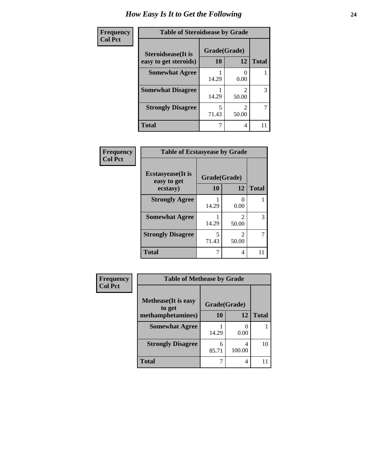| Frequency      | <b>Table of Steroidsease by Grade</b>       |                    |       |              |
|----------------|---------------------------------------------|--------------------|-------|--------------|
| <b>Col Pct</b> | Steroidsease(It is<br>easy to get steroids) | Grade(Grade)<br>10 | 12    | <b>Total</b> |
|                | <b>Somewhat Agree</b>                       | 14.29              | 0.00  |              |
|                | <b>Somewhat Disagree</b>                    | 14.29              | 50.00 | 3            |
|                | <b>Strongly Disagree</b>                    | 5<br>71.43         | 50.00 | 7            |
|                | <b>Total</b>                                |                    | 4     |              |

| Frequency      | <b>Table of Ecstasyease by Grade</b>                     |            |                                      |              |
|----------------|----------------------------------------------------------|------------|--------------------------------------|--------------|
| <b>Col Pct</b> | <b>Ecstasyease</b> (It is<br>Grade(Grade)<br>easy to get |            |                                      |              |
|                | ecstasy)                                                 | 10         | 12                                   | <b>Total</b> |
|                | <b>Strongly Agree</b>                                    | 14.29      | 0<br>0.00                            |              |
|                | <b>Somewhat Agree</b>                                    | 14.29      | $\mathcal{D}_{\mathcal{L}}$<br>50.00 | 3            |
|                | <b>Strongly Disagree</b>                                 | 5<br>71.43 | $\mathcal{D}_{\mathcal{L}}$<br>50.00 |              |
|                | <b>Total</b>                                             | 7          | 4                                    | 11           |

| Frequency      | <b>Table of Methease by Grade</b>     |              |             |              |
|----------------|---------------------------------------|--------------|-------------|--------------|
| <b>Col Pct</b> | <b>Methease</b> (It is easy<br>to get | Grade(Grade) |             |              |
|                | methamphetamines)                     | 10           | 12          | <b>Total</b> |
|                | <b>Somewhat Agree</b>                 | 14.29        | 0.00        |              |
|                | <b>Strongly Disagree</b>              | 6<br>85.71   | 4<br>100.00 | 10           |
|                | Total                                 |              | 4           | 11           |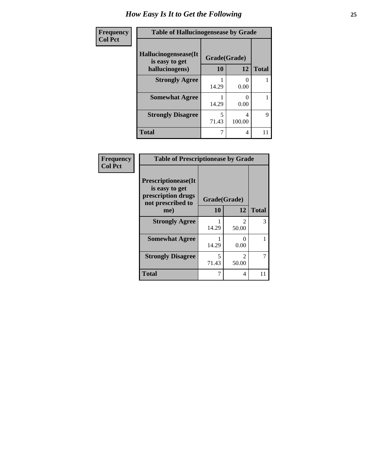| Frequency      | <b>Table of Hallucinogensease by Grade</b> |              |                           |              |
|----------------|--------------------------------------------|--------------|---------------------------|--------------|
| <b>Col Pct</b> | Hallucinogensease(It<br>is easy to get     | Grade(Grade) |                           |              |
|                | hallucinogens)                             | 10           | 12                        | <b>Total</b> |
|                | <b>Strongly Agree</b>                      | 14.29        | $\mathbf{\Omega}$<br>0.00 |              |
|                | <b>Somewhat Agree</b>                      | 14.29        | 0.00                      |              |
|                | <b>Strongly Disagree</b>                   | 5<br>71.43   | 4<br>100.00               | 9            |
|                | <b>Total</b>                               |              | 4                         | 11           |

| Frequency      | <b>Table of Prescriptionease by Grade</b>                                                |                                   |                                      |              |  |
|----------------|------------------------------------------------------------------------------------------|-----------------------------------|--------------------------------------|--------------|--|
| <b>Col Pct</b> | <b>Prescriptionease</b> (It<br>is easy to get<br>prescription drugs<br>not prescribed to | Grade(Grade)                      |                                      |              |  |
|                | me)                                                                                      | 10                                | 12                                   | <b>Total</b> |  |
|                | <b>Strongly Agree</b>                                                                    | 14.29                             | $\mathcal{D}_{\mathcal{L}}$<br>50.00 | 3            |  |
|                | <b>Somewhat Agree</b>                                                                    | 14.29                             | 0<br>0.00                            |              |  |
|                | <b>Strongly Disagree</b>                                                                 | $\overline{\phantom{0}}$<br>71.43 | $\mathcal{D}_{\mathcal{L}}$<br>50.00 |              |  |
|                | <b>Total</b>                                                                             | 7                                 | 4                                    | 11           |  |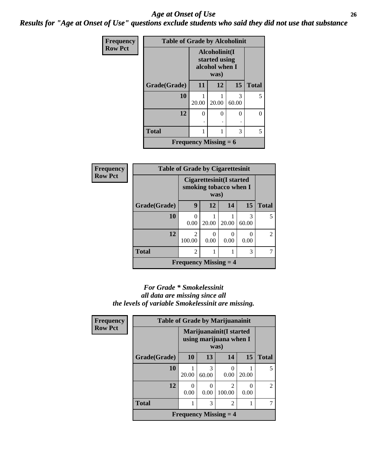#### *Age at Onset of Use* **26** *Results for "Age at Onset of Use" questions exclude students who said they did not use that substance*

| Frequency      | <b>Table of Grade by Alcoholinit</b> |                                                          |       |              |              |
|----------------|--------------------------------------|----------------------------------------------------------|-------|--------------|--------------|
| <b>Row Pct</b> |                                      | Alcoholinit(I<br>started using<br>alcohol when I<br>was) |       |              |              |
|                | Grade(Grade)                         | 11                                                       | 12    | 15           | <b>Total</b> |
|                | 10                                   | 20.00                                                    | 20.00 | 3<br>60.00   | 5            |
|                | 12                                   | $\theta$                                                 | 0     | $\mathbf{0}$ | 0            |
|                | <b>Total</b>                         | 1                                                        | 1     | 3            | 5            |
|                | <b>Frequency Missing = 6</b>         |                                                          |       |              |              |

| Frequency      | <b>Table of Grade by Cigarettesinit</b> |                                                            |       |       |            |                |
|----------------|-----------------------------------------|------------------------------------------------------------|-------|-------|------------|----------------|
| <b>Row Pct</b> |                                         | Cigarettesinit(I started<br>smoking tobacco when I<br>was) |       |       |            |                |
|                | Grade(Grade)                            | 9                                                          | 12    | 14    | 15         | <b>Total</b>   |
|                | 10                                      | 0<br>0.00                                                  | 20.00 | 20.00 | 3<br>60.00 | 5              |
|                | 12                                      | $\mathfrak{D}$<br>100.00                                   | 0.00  | 0.00  | 0<br>0.00  | $\overline{2}$ |
|                | <b>Total</b>                            | $\overline{c}$                                             |       |       | 3          |                |
|                |                                         | <b>Frequency Missing <math>=</math> 4</b>                  |       |       |            |                |

#### *For Grade \* Smokelessinit all data are missing since all the levels of variable Smokelessinit are missing.*

| Frequency      | <b>Table of Grade by Marijuanainit</b> |                                                            |                       |                                           |           |                |
|----------------|----------------------------------------|------------------------------------------------------------|-----------------------|-------------------------------------------|-----------|----------------|
| <b>Row Pct</b> |                                        | Marijuanainit (I started<br>using marijuana when I<br>was) |                       |                                           |           |                |
|                | Grade(Grade)                           | 10                                                         | 13                    | 14                                        | 15        | <b>Total</b>   |
|                | 10                                     | 20.00                                                      | 3<br>60.00            | 0.00                                      | 20.00     | 5              |
|                | 12                                     | $\Omega$<br>0.00                                           | $\mathcal{O}$<br>0.00 | $\mathfrak{D}$<br>100.00                  | 0<br>0.00 | $\mathfrak{D}$ |
|                | <b>Total</b>                           |                                                            | 3                     | 2                                         |           |                |
|                |                                        |                                                            |                       | <b>Frequency Missing <math>=</math> 4</b> |           |                |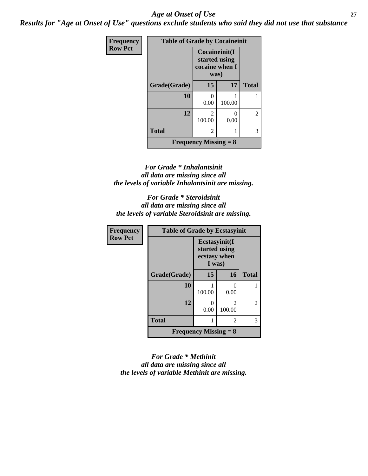#### *Age at Onset of Use* **27**

*Results for "Age at Onset of Use" questions exclude students who said they did not use that substance*

| Frequency      | <b>Table of Grade by Cocaineinit</b> |                                                          |                       |              |
|----------------|--------------------------------------|----------------------------------------------------------|-----------------------|--------------|
| <b>Row Pct</b> |                                      | Cocaineinit(I<br>started using<br>cocaine when I<br>was) |                       |              |
|                | Grade(Grade)                         | 15                                                       | 17                    | <b>Total</b> |
|                | 10                                   | 0<br>0.00                                                | 100.00                |              |
|                | 12                                   | $\mathfrak{D}$<br>100.00                                 | $\mathcal{O}$<br>0.00 | 2            |
|                | <b>Total</b>                         | 2                                                        |                       | 3            |
|                |                                      | <b>Frequency Missing = 8</b>                             |                       |              |

#### *For Grade \* Inhalantsinit all data are missing since all the levels of variable Inhalantsinit are missing.*

*For Grade \* Steroidsinit all data are missing since all the levels of variable Steroidsinit are missing.*

| <b>Frequency</b> | <b>Table of Grade by Ecstasyinit</b> |                                                          |                          |                |
|------------------|--------------------------------------|----------------------------------------------------------|--------------------------|----------------|
| <b>Row Pct</b>   |                                      | Ecstasyinit(I<br>started using<br>ecstasy when<br>I was) |                          |                |
|                  | Grade(Grade)                         | 15                                                       | 16                       | <b>Total</b>   |
|                  | 10                                   | 100.00                                                   | 0<br>0.00                |                |
|                  | 12                                   | 0<br>0.00                                                | $\mathfrak{D}$<br>100.00 | $\overline{c}$ |
|                  | <b>Total</b>                         |                                                          | 2                        | 3              |
|                  |                                      | <b>Frequency Missing = 8</b>                             |                          |                |

*For Grade \* Methinit all data are missing since all the levels of variable Methinit are missing.*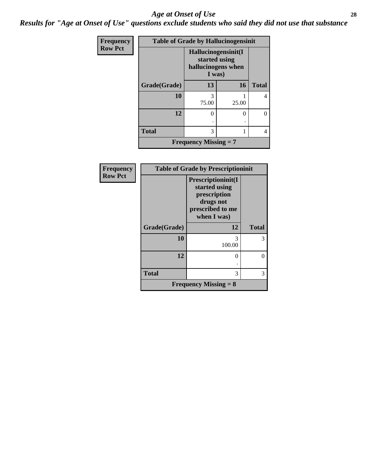#### *Age at Onset of Use* **28**

*Results for "Age at Onset of Use" questions exclude students who said they did not use that substance*

| <b>Frequency</b> | <b>Table of Grade by Hallucinogensinit</b> |                                                                      |       |              |  |
|------------------|--------------------------------------------|----------------------------------------------------------------------|-------|--------------|--|
| <b>Row Pct</b>   |                                            | Hallucinogensinit(I<br>started using<br>hallucinogens when<br>I was) |       |              |  |
|                  | Grade(Grade)                               | 13                                                                   | 16    | <b>Total</b> |  |
|                  | 10                                         | 75.00                                                                | 25.00 | 4            |  |
|                  | 12                                         | O                                                                    | 0     | $\cup$       |  |
|                  | <b>Total</b>                               | 3                                                                    |       | 4            |  |
|                  |                                            | <b>Frequency Missing = 7</b>                                         |       |              |  |

| <b>Frequency</b> | <b>Table of Grade by Prescriptioninit</b> |                                                                                                     |              |  |
|------------------|-------------------------------------------|-----------------------------------------------------------------------------------------------------|--------------|--|
| <b>Row Pct</b>   |                                           | Prescriptioninit(I<br>started using<br>prescription<br>drugs not<br>prescribed to me<br>when I was) |              |  |
|                  | Grade(Grade)                              | 12                                                                                                  | <b>Total</b> |  |
|                  | 10                                        | 3<br>100.00                                                                                         | 3            |  |
|                  | 12                                        | 0                                                                                                   | 0            |  |
|                  | <b>Total</b>                              | 3                                                                                                   | 3            |  |
|                  |                                           | <b>Frequency Missing = 8</b>                                                                        |              |  |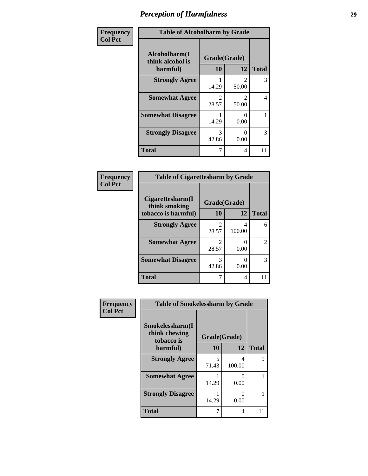| Frequency      | <b>Table of Alcoholharm by Grade</b>          |                         |                         |              |
|----------------|-----------------------------------------------|-------------------------|-------------------------|--------------|
| <b>Col Pct</b> | Alcoholharm(I<br>think alcohol is<br>harmful) | Grade(Grade)<br>10      | 12                      | <b>Total</b> |
|                | <b>Strongly Agree</b>                         | 14.29                   | $\mathfrak{D}$<br>50.00 | 3            |
|                | <b>Somewhat Agree</b>                         | $\mathfrak{D}$<br>28.57 | $\mathfrak{D}$<br>50.00 | 4            |
|                | <b>Somewhat Disagree</b>                      | 14.29                   | $\mathcal{O}$<br>0.00   |              |
|                | <b>Strongly Disagree</b>                      | 3<br>42.86              | ∩<br>0.00               | 3            |
|                | <b>Total</b>                                  | 7                       | 4                       | 11           |

#### **Frequency Col Pct**

| <b>Table of Cigarettesharm by Grade</b> |              |        |              |  |  |
|-----------------------------------------|--------------|--------|--------------|--|--|
| Cigarettesharm(I<br>think smoking       | Grade(Grade) |        |              |  |  |
| tobacco is harmful)                     | 10           | 12     | <b>Total</b> |  |  |
| <b>Strongly Agree</b>                   | 2<br>28.57   | 100.00 | 6            |  |  |
| <b>Somewhat Agree</b>                   | 2<br>28.57   | 0.00   | 2            |  |  |
| <b>Somewhat Disagree</b>                | 3<br>42.86   | 0.00   | 3            |  |  |
| <b>Total</b>                            | 7            | 4      |              |  |  |

| Frequency      | <b>Table of Smokelessharm by Grade</b>         |                    |                       |              |
|----------------|------------------------------------------------|--------------------|-----------------------|--------------|
| <b>Col Pct</b> | Smokelessharm(I<br>think chewing<br>tobacco is | Grade(Grade)<br>10 | 12                    | <b>Total</b> |
|                | harmful)                                       |                    |                       |              |
|                | <b>Strongly Agree</b>                          | 5<br>71.43         | 4<br>100.00           | 9            |
|                | <b>Somewhat Agree</b>                          | 14.29              | 0<br>0.00             |              |
|                | <b>Strongly Disagree</b>                       | 14.29              | $\mathcal{O}$<br>0.00 |              |
|                | <b>Total</b>                                   | 7                  | 4                     | 11           |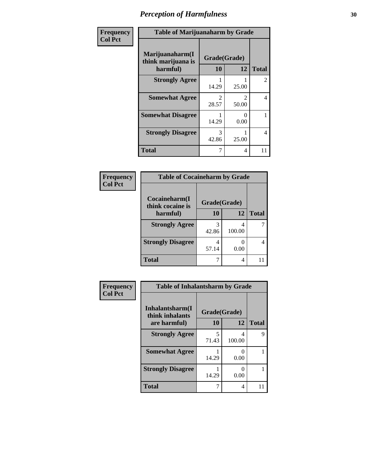| Frequency      | <b>Table of Marijuanaharm by Grade</b>            |                         |                         |                |
|----------------|---------------------------------------------------|-------------------------|-------------------------|----------------|
| <b>Col Pct</b> | Marijuanaharm(I<br>think marijuana is<br>harmful) | Grade(Grade)<br>10      | 12                      | <b>Total</b>   |
|                | <b>Strongly Agree</b>                             | 14.29                   | 25.00                   | $\overline{2}$ |
|                | <b>Somewhat Agree</b>                             | $\mathfrak{D}$<br>28.57 | $\mathfrak{D}$<br>50.00 | 4              |
|                | <b>Somewhat Disagree</b>                          | 14.29                   | $\Omega$<br>0.00        | 1              |
|                | <b>Strongly Disagree</b>                          | 3<br>42.86              | 25.00                   | 4              |
|                | <b>Total</b>                                      | $\overline{7}$          | 4                       | 11             |

#### **Frequency Col Pct**

| <b>Table of Cocaineharm by Grade</b> |              |              |  |  |  |
|--------------------------------------|--------------|--------------|--|--|--|
| Cocaineharm(I<br>think cocaine is    | Grade(Grade) |              |  |  |  |
| harmful)                             | 10           | <b>Total</b> |  |  |  |
| <b>Strongly Agree</b>                | 3<br>42.86   | 4<br>100.00  |  |  |  |
| <b>Strongly Disagree</b>             | 4<br>57.14   | 0.00         |  |  |  |
| <b>Total</b>                         |              | 4            |  |  |  |

| Frequency      | <b>Table of Inhalantsharm by Grade</b> |              |                           |              |
|----------------|----------------------------------------|--------------|---------------------------|--------------|
| <b>Col Pct</b> | Inhalantsharm(I)<br>think inhalants    | Grade(Grade) |                           |              |
|                | are harmful)                           | 10           | 12                        | <b>Total</b> |
|                | <b>Strongly Agree</b>                  | 5<br>71.43   | 4<br>100.00               | 9            |
|                | <b>Somewhat Agree</b>                  | 14.29        | $\mathbf{\Omega}$<br>0.00 |              |
|                | <b>Strongly Disagree</b>               | 14.29        | 0<br>0.00                 |              |
|                | <b>Total</b>                           | 7            | 4                         | 11           |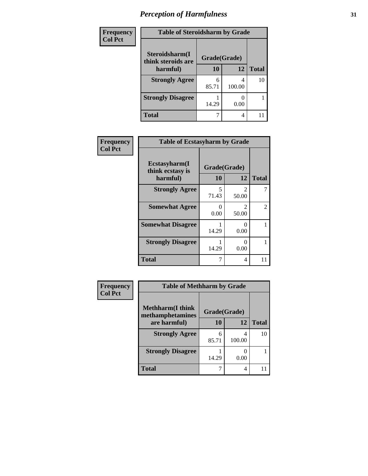| Frequency      | <b>Table of Steroidsharm by Grade</b> |            |             |              |
|----------------|---------------------------------------|------------|-------------|--------------|
| <b>Col Pct</b> | Steroidsharm(I<br>think steroids are  |            |             |              |
|                | harmful)                              | 10         | 12          | <b>Total</b> |
|                | <b>Strongly Agree</b>                 | 6<br>85.71 | 4<br>100.00 | 10           |
|                | <b>Strongly Disagree</b>              | 14.29      | 0.00        |              |
|                | Total                                 |            | 4           |              |

| Frequency      | <b>Table of Ecstasyharm by Grade</b>           |                    |                                |              |
|----------------|------------------------------------------------|--------------------|--------------------------------|--------------|
| <b>Col Pct</b> | Ecstasyharm(I)<br>think ecstasy is<br>harmful) | Grade(Grade)<br>10 | 12                             | <b>Total</b> |
|                | <b>Strongly Agree</b>                          | 5<br>71.43         | $\mathcal{D}_{\cdot}$<br>50.00 |              |
|                | <b>Somewhat Agree</b>                          | 0<br>0.00          | 2<br>50.00                     | 2            |
|                | <b>Somewhat Disagree</b>                       | 14.29              | ∩<br>0.00                      |              |
|                | <b>Strongly Disagree</b>                       | 14.29              | 0<br>0.00                      |              |
|                | <b>Total</b>                                   | 7                  | 4                              | 11           |

| Frequency      | <b>Table of Methharm by Grade</b> |              |             |              |
|----------------|-----------------------------------|--------------|-------------|--------------|
| <b>Col Pct</b> | <b>Methharm</b> (I think          | Grade(Grade) |             |              |
|                | methamphetamines<br>are harmful)  | 10           | 12          | <b>Total</b> |
|                |                                   |              |             |              |
|                | <b>Strongly Agree</b>             | 6<br>85.71   | 4<br>100.00 | 10           |
|                | <b>Strongly Disagree</b>          | 14.29        | 0.00        |              |
|                | <b>Total</b>                      |              | 4           |              |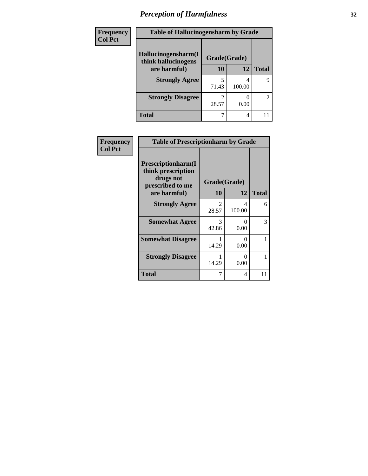| Frequency      | <b>Table of Hallucinogensharm by Grade</b> |              |             |              |
|----------------|--------------------------------------------|--------------|-------------|--------------|
| <b>Col Pct</b> | Hallucinogensharm(I<br>think hallucinogens | Grade(Grade) |             |              |
|                | are harmful)                               | 10           | 12          | <b>Total</b> |
|                | <b>Strongly Agree</b>                      | 71.43        | 4<br>100.00 | 9            |
|                | <b>Strongly Disagree</b>                   | 28.57        | 0.00        | 2            |
|                | Total                                      |              | 4           |              |

| Frequency      | <b>Table of Prescriptionharm by Grade</b>                                 |                        |              |              |  |
|----------------|---------------------------------------------------------------------------|------------------------|--------------|--------------|--|
| <b>Col Pct</b> | Prescriptionharm(I<br>think prescription<br>drugs not<br>prescribed to me |                        | Grade(Grade) |              |  |
|                | are harmful)                                                              | <b>10</b>              | 12           | <b>Total</b> |  |
|                | <b>Strongly Agree</b>                                                     | 2<br>28.57             | 4<br>100.00  | 6            |  |
|                | <b>Somewhat Agree</b>                                                     | $\mathcal{R}$<br>42.86 | 0<br>0.00    | 3            |  |
|                | <b>Somewhat Disagree</b>                                                  | 14.29                  | 0<br>0.00    | 1            |  |
|                | <b>Strongly Disagree</b>                                                  | 14.29                  | 0<br>0.00    |              |  |
|                | Total                                                                     |                        | 4            | 11           |  |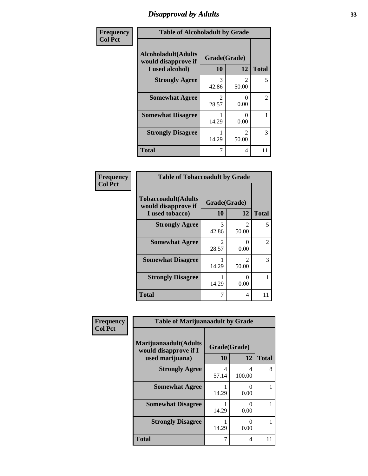### *Disapproval by Adults* **33**

| Frequency      |                                                                       | <b>Table of Alcoholadult by Grade</b> |                                      |              |  |
|----------------|-----------------------------------------------------------------------|---------------------------------------|--------------------------------------|--------------|--|
| <b>Col Pct</b> | <b>Alcoholadult</b> (Adults<br>would disapprove if<br>I used alcohol) | Grade(Grade)<br>10                    | 12                                   | <b>Total</b> |  |
|                | <b>Strongly Agree</b>                                                 | 3<br>42.86                            | $\mathcal{D}_{\mathcal{L}}$<br>50.00 | 5            |  |
|                | <b>Somewhat Agree</b>                                                 | 2<br>28.57                            | 0.00                                 | 2            |  |
|                | <b>Somewhat Disagree</b>                                              | 14.29                                 | 0.00                                 |              |  |
|                | <b>Strongly Disagree</b>                                              | 14.29                                 | $\mathfrak{D}$<br>50.00              | 3            |  |
|                | <b>Total</b>                                                          | 7                                     | 4                                    | 11           |  |

#### **Frequency Col Pct**

| <b>Table of Tobaccoadult by Grade</b>                                                            |                        |                        |                |  |  |
|--------------------------------------------------------------------------------------------------|------------------------|------------------------|----------------|--|--|
| <b>Tobaccoadult(Adults</b><br>Grade(Grade)<br>would disapprove if<br>10<br>12<br>I used tobacco) |                        |                        |                |  |  |
| <b>Strongly Agree</b>                                                                            | 3<br>42.86             | $\mathcal{L}$<br>50.00 | 5              |  |  |
| <b>Somewhat Agree</b>                                                                            | $\mathcal{L}$<br>28.57 | 0<br>0.00              | $\mathfrak{D}$ |  |  |
| <b>Somewhat Disagree</b>                                                                         | 14.29                  | $\mathcal{L}$<br>50.00 | 3              |  |  |
| <b>Strongly Disagree</b>                                                                         | 14.29                  | 0.00                   |                |  |  |
| <b>Total</b>                                                                                     | 7                      | 4                      | 11             |  |  |

| Frequency      | <b>Table of Marijuanaadult by Grade</b>                           |                    |                  |              |  |
|----------------|-------------------------------------------------------------------|--------------------|------------------|--------------|--|
| <b>Col Pct</b> | Marijuanaadult(Adults<br>would disapprove if I<br>used marijuana) | Grade(Grade)<br>10 | 12               | <b>Total</b> |  |
|                | <b>Strongly Agree</b>                                             | 4<br>57.14         | 4<br>100.00      | 8            |  |
|                | <b>Somewhat Agree</b>                                             | 14.29              | 0<br>0.00        |              |  |
|                | <b>Somewhat Disagree</b>                                          | 14.29              | 0<br>0.00        |              |  |
|                | <b>Strongly Disagree</b>                                          | 14.29              | $\Omega$<br>0.00 |              |  |
|                | <b>Total</b>                                                      | 7                  | 4                | 11           |  |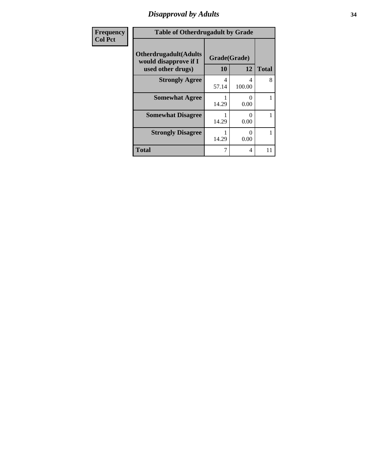# *Disapproval by Adults* **34**

| <b>Frequency</b> | <b>Table of Otherdrugadult by Grade</b>                                     |                    |                           |              |
|------------------|-----------------------------------------------------------------------------|--------------------|---------------------------|--------------|
| <b>Col Pct</b>   | <b>Otherdrugadult</b> (Adults<br>would disapprove if I<br>used other drugs) | Grade(Grade)<br>10 | 12                        | <b>Total</b> |
|                  | <b>Strongly Agree</b>                                                       | 4<br>57.14         | 4<br>100.00               | 8            |
|                  | <b>Somewhat Agree</b>                                                       | 14.29              | $\mathbf{\Omega}$<br>0.00 |              |
|                  | <b>Somewhat Disagree</b>                                                    | 14.29              | $\mathbf{\Omega}$<br>0.00 |              |
|                  | <b>Strongly Disagree</b>                                                    | 14.29              | 0<br>0.00                 |              |
|                  | <b>Total</b>                                                                | 7                  | 4                         | 11           |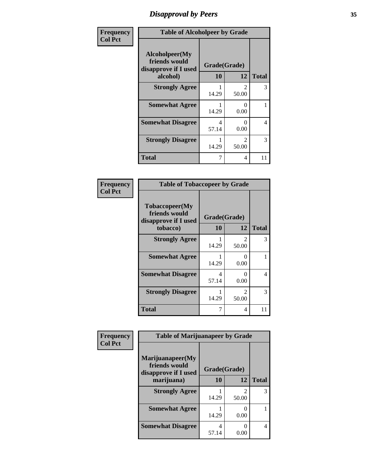### *Disapproval by Peers* **35**

| Frequency      | <b>Table of Alcoholpeer by Grade</b>                    |              |                         |              |
|----------------|---------------------------------------------------------|--------------|-------------------------|--------------|
| <b>Col Pct</b> | Alcoholpeer(My<br>friends would<br>disapprove if I used | Grade(Grade) |                         |              |
|                | alcohol)                                                | 10           | 12                      | <b>Total</b> |
|                | <b>Strongly Agree</b>                                   | 14.29        | $\mathfrak{D}$<br>50.00 | 3            |
|                | <b>Somewhat Agree</b>                                   | 14.29        | $\Omega$<br>0.00        |              |
|                | <b>Somewhat Disagree</b>                                | 4<br>57.14   | 0.00                    | 4            |
|                | <b>Strongly Disagree</b>                                | 14.29        | $\mathfrak{D}$<br>50.00 | 3            |
|                | Total                                                   | 7            | 4                       | 11           |

| Frequency      | <b>Table of Tobaccopeer by Grade</b>                                |                    |                        |              |
|----------------|---------------------------------------------------------------------|--------------------|------------------------|--------------|
| <b>Col Pct</b> | Tobaccopeer(My<br>friends would<br>disapprove if I used<br>tobacco) | Grade(Grade)<br>10 | 12                     | <b>Total</b> |
|                | <b>Strongly Agree</b>                                               | 14.29              | 2<br>50.00             | 3            |
|                | <b>Somewhat Agree</b>                                               | 14.29              | 0<br>0.00              |              |
|                | <b>Somewhat Disagree</b>                                            | 4<br>57.14         | 0<br>0.00              | 4            |
|                | <b>Strongly Disagree</b>                                            | 14.29              | $\mathcal{L}$<br>50.00 | 3            |
|                | <b>Total</b>                                                        | 7                  | 4                      | 11           |

| icv | <b>Table of Marijuanapeer by Grade</b>                                  |                    |                         |              |  |
|-----|-------------------------------------------------------------------------|--------------------|-------------------------|--------------|--|
|     | Marijuanapeer(My<br>friends would<br>disapprove if I used<br>marijuana) | Grade(Grade)<br>10 | 12                      | <b>Total</b> |  |
|     | <b>Strongly Agree</b>                                                   | 14.29              | $\mathfrak{D}$<br>50.00 | 3            |  |
|     | <b>Somewhat Agree</b>                                                   | 14.29              | 0.00                    |              |  |
|     | <b>Somewhat Disagree</b>                                                | 57.14              | 0.00                    | 4            |  |

| Frequenc       |
|----------------|
| <b>Col Pct</b> |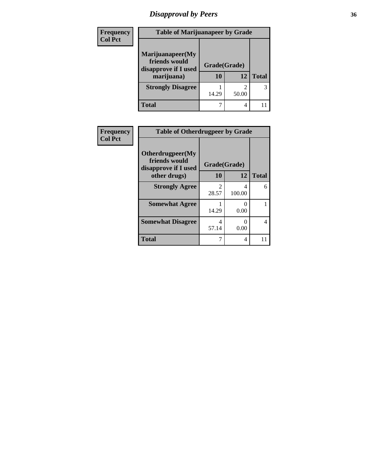# *Disapproval by Peers* **36**

| <b>Frequency</b> | <b>Table of Marijuanapeer by Grade</b>                                  |                    |       |              |
|------------------|-------------------------------------------------------------------------|--------------------|-------|--------------|
| <b>Col Pct</b>   | Marijuanapeer(My<br>friends would<br>disapprove if I used<br>marijuana) | Grade(Grade)<br>10 | 12    | <b>Total</b> |
|                  | <b>Strongly Disagree</b>                                                | 14.29              | 50.00 | 3            |
|                  | <b>Total</b>                                                            |                    | 4     |              |

| Frequency      |                                                           | <b>Table of Otherdrugpeer by Grade</b> |             |              |  |
|----------------|-----------------------------------------------------------|----------------------------------------|-------------|--------------|--|
| <b>Col Pct</b> | Otherdrugpeer(My<br>friends would<br>disapprove if I used | Grade(Grade)                           |             |              |  |
|                | other drugs)                                              | 10                                     | 12          | <b>Total</b> |  |
|                | <b>Strongly Agree</b>                                     | $\mathfrak{D}$<br>28.57                | 4<br>100.00 | 6            |  |
|                | <b>Somewhat Agree</b>                                     | 14.29                                  | 0<br>0.00   |              |  |
|                | <b>Somewhat Disagree</b>                                  | 4<br>57.14                             | 0<br>0.00   | 4            |  |
|                | <b>Total</b>                                              |                                        | 4           | 11           |  |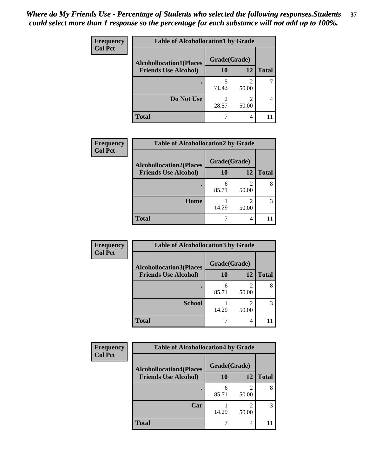| <b>Frequency</b> | <b>Table of Alcohollocation1 by Grade</b> |              |                         |              |  |
|------------------|-------------------------------------------|--------------|-------------------------|--------------|--|
| <b>Col Pct</b>   | <b>Alcohollocation1(Places</b>            | Grade(Grade) |                         |              |  |
|                  | <b>Friends Use Alcohol)</b>               | 10           | 12                      | <b>Total</b> |  |
|                  |                                           | 71.43        | $\overline{2}$<br>50.00 |              |  |
|                  | Do Not Use                                | 2<br>28.57   | $\mathcal{D}$<br>50.00  |              |  |
|                  | <b>Total</b>                              | ℸ            | 4                       |              |  |

| <b>Frequency</b> | <b>Table of Alcohollocation2 by Grade</b>                     |                    |            |              |
|------------------|---------------------------------------------------------------|--------------------|------------|--------------|
| <b>Col Pct</b>   | <b>Alcohollocation2(Places</b><br><b>Friends Use Alcohol)</b> | Grade(Grade)<br>10 | 12         | <b>Total</b> |
|                  |                                                               | 6<br>85.71         | 2<br>50.00 |              |
|                  | Home                                                          | 14.29              | 50.00      |              |
|                  | <b>Total</b>                                                  |                    | 4          |              |

| Frequency      | <b>Table of Alcohollocation 3 by Grade</b> |                    |                         |              |
|----------------|--------------------------------------------|--------------------|-------------------------|--------------|
| <b>Col Pct</b> | <b>Alcohollocation3(Places</b>             | Grade(Grade)<br>10 |                         |              |
|                | <b>Friends Use Alcohol)</b>                |                    | 12                      | <b>Total</b> |
|                |                                            | 6<br>85.71         | $\mathfrak{D}$<br>50.00 | 8            |
|                | <b>School</b>                              | 14.29              | $\mathcal{D}$<br>50.00  | 3            |
|                | <b>Total</b>                               | 7                  | 4                       |              |

| <b>Frequency</b> | <b>Table of Alcohollocation4 by Grade</b> |              |            |              |  |
|------------------|-------------------------------------------|--------------|------------|--------------|--|
| <b>Col Pct</b>   | <b>Alcohollocation4(Places</b>            | Grade(Grade) |            |              |  |
|                  | <b>Friends Use Alcohol)</b>               | 10           | 12         | <b>Total</b> |  |
|                  |                                           | 6<br>85.71   | 2<br>50.00 | 8            |  |
|                  | Car                                       | 14.29        | 2<br>50.00 | 3            |  |
|                  | <b>Total</b>                              | ┑            | 4          |              |  |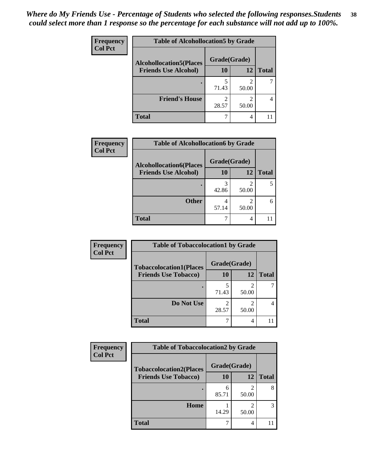| <b>Frequency</b> | <b>Table of Alcohollocation5 by Grade</b> |              |                                      |              |  |
|------------------|-------------------------------------------|--------------|--------------------------------------|--------------|--|
| <b>Col Pct</b>   | <b>Alcohollocation5(Places</b>            | Grade(Grade) |                                      |              |  |
|                  | <b>Friends Use Alcohol)</b>               | 10           | 12                                   | <b>Total</b> |  |
|                  |                                           | 5<br>71.43   | $\mathcal{D}_{\mathcal{D}}$<br>50.00 |              |  |
|                  | <b>Friend's House</b>                     | 2<br>28.57   | 2<br>50.00                           |              |  |
|                  | <b>Total</b>                              |              | $\overline{4}$                       |              |  |

| Frequency      | <b>Table of Alcohollocation6 by Grade</b>                     |                    |       |              |
|----------------|---------------------------------------------------------------|--------------------|-------|--------------|
| <b>Col Pct</b> | <b>Alcohollocation6(Places</b><br><b>Friends Use Alcohol)</b> | Grade(Grade)<br>10 | 12    | <b>Total</b> |
|                |                                                               | 3<br>42.86         | 50.00 |              |
|                | <b>Other</b>                                                  | 57.14              | 50.00 | 6            |
|                | <b>Total</b>                                                  |                    | 4     |              |

| <b>Frequency</b> | <b>Table of Tobaccolocation1 by Grade</b> |              |       |              |
|------------------|-------------------------------------------|--------------|-------|--------------|
| <b>Col Pct</b>   | <b>Tobaccolocation1(Places</b>            | Grade(Grade) |       |              |
|                  | <b>Friends Use Tobacco)</b>               | 10           | 12    | <b>Total</b> |
|                  |                                           | 71.43        | 50.00 |              |
|                  | Do Not Use                                | 28.57        | 50.00 |              |
|                  | <b>Total</b>                              |              | 4     |              |

| <b>Frequency</b> | <b>Table of Tobaccolocation2 by Grade</b> |              |                        |              |  |
|------------------|-------------------------------------------|--------------|------------------------|--------------|--|
| <b>Col Pct</b>   | <b>Tobaccolocation2(Places</b>            | Grade(Grade) |                        |              |  |
|                  | <b>Friends Use Tobacco)</b>               | 10           | 12                     | <b>Total</b> |  |
|                  |                                           | 6<br>85.71   | 50.00                  | 8            |  |
|                  | Home                                      | 14.29        | $\mathcal{D}$<br>50.00 | 3            |  |
|                  | <b>Total</b>                              |              | 4                      |              |  |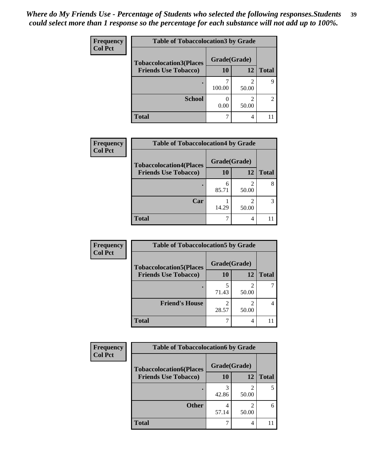| Frequency      | <b>Table of Tobaccolocation 3 by Grade</b> |              |                         |                |
|----------------|--------------------------------------------|--------------|-------------------------|----------------|
| <b>Col Pct</b> | <b>Tobaccolocation3(Places</b>             | Grade(Grade) |                         |                |
|                | <b>Friends Use Tobacco)</b>                | 10           | 12                      | <b>Total</b>   |
|                |                                            | 100.00       | $\overline{c}$<br>50.00 | 9              |
|                | <b>School</b>                              | 0.00         | 2<br>50.00              | $\overline{2}$ |
|                | <b>Total</b>                               |              | 4                       |                |

| Frequency      | <b>Table of Tobaccolocation4 by Grade</b> |              |                         |              |
|----------------|-------------------------------------------|--------------|-------------------------|--------------|
| <b>Col Pct</b> | <b>Tobaccolocation4(Places</b>            | Grade(Grade) |                         |              |
|                | <b>Friends Use Tobacco)</b>               | 10           | 12                      | <b>Total</b> |
|                |                                           | 6<br>85.71   | $\mathfrak{D}$<br>50.00 |              |
|                | Car                                       | 14.29        | $\mathfrak{D}$<br>50.00 |              |
|                | <b>Total</b>                              |              | 4                       |              |

| Frequency      | <b>Table of Tobaccolocation5 by Grade</b> |              |                         |              |
|----------------|-------------------------------------------|--------------|-------------------------|--------------|
| <b>Col Pct</b> | <b>Tobaccolocation5(Places</b>            | Grade(Grade) |                         |              |
|                | <b>Friends Use Tobacco)</b>               | 10           | <b>12</b>               | <b>Total</b> |
|                |                                           | 71.43        | $\mathfrak{D}$<br>50.00 |              |
|                | <b>Friend's House</b>                     | 28.57        | 50.00                   |              |
|                | <b>Total</b>                              |              | 4                       |              |

| Frequency      | <b>Table of Tobaccolocation6 by Grade</b> |              |            |              |  |
|----------------|-------------------------------------------|--------------|------------|--------------|--|
| <b>Col Pct</b> | <b>Tobaccolocation6(Places</b>            | Grade(Grade) |            |              |  |
|                | <b>Friends Use Tobacco)</b>               | 10           | 12         | <b>Total</b> |  |
|                |                                           | 42.86        | ി<br>50.00 | 5            |  |
|                | <b>Other</b>                              | 57.14        | っ<br>50.00 | 6            |  |
|                | <b>Total</b>                              |              | 4          |              |  |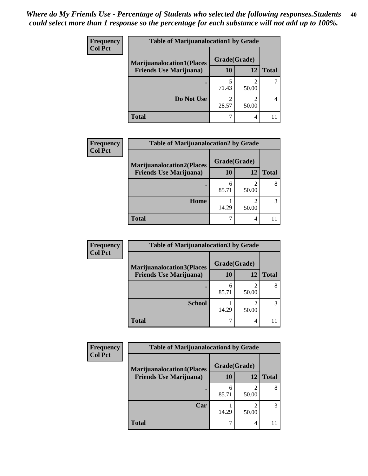| <b>Frequency</b> | <b>Table of Marijuanalocation1 by Grade</b> |              |       |              |
|------------------|---------------------------------------------|--------------|-------|--------------|
| <b>Col Pct</b>   | <b>Marijuanalocation1(Places</b>            | Grade(Grade) |       |              |
|                  | <b>Friends Use Marijuana</b> )              | 10           | 12    | <b>Total</b> |
|                  |                                             | 71.43        | 50.00 |              |
|                  | Do Not Use                                  | 28.57        | 50.00 |              |
|                  | Total                                       |              |       |              |

| Frequency      | <b>Table of Marijuanalocation2 by Grade</b>                        |                    |       |              |
|----------------|--------------------------------------------------------------------|--------------------|-------|--------------|
| <b>Col Pct</b> | <b>Marijuanalocation2(Places</b><br><b>Friends Use Marijuana</b> ) | Grade(Grade)<br>10 | 12    | <b>Total</b> |
|                |                                                                    | 6<br>85.71         | 50.00 |              |
|                | Home                                                               | 14.29              | 50.00 |              |
|                | <b>Total</b>                                                       |                    | 4     |              |

| Frequency<br><b>Col Pct</b> | <b>Table of Marijuanalocation3 by Grade</b> |              |       |              |
|-----------------------------|---------------------------------------------|--------------|-------|--------------|
|                             | <b>Marijuanalocation3</b> (Places           | Grade(Grade) |       |              |
|                             | <b>Friends Use Marijuana</b> )              | 10           | 12    | <b>Total</b> |
|                             |                                             | 6<br>85.71   | 50.00 | 8            |
|                             | <b>School</b>                               | 14.29        | 50.00 |              |
|                             | <b>Total</b>                                |              | 4     |              |

| <b>Frequency</b> | <b>Table of Marijuanalocation4 by Grade</b> |              |            |              |
|------------------|---------------------------------------------|--------------|------------|--------------|
| <b>Col Pct</b>   | <b>Marijuanalocation4(Places</b>            | Grade(Grade) |            |              |
|                  | <b>Friends Use Marijuana</b> )              | <b>10</b>    | 12         | <b>Total</b> |
|                  |                                             | 6<br>85.71   | 50.00      | 8            |
|                  | Car                                         | 14.29        | ↑<br>50.00 | 3            |
|                  | <b>Total</b>                                |              | 4          |              |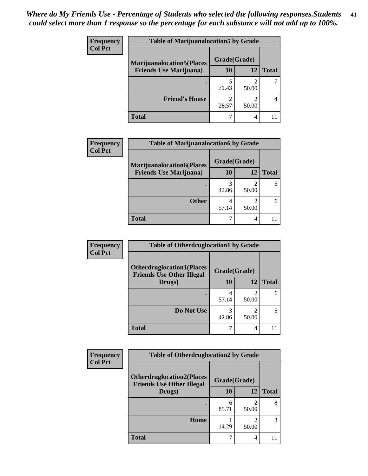| <b>Frequency</b> | <b>Table of Marijuanalocation5 by Grade</b> |              |       |              |
|------------------|---------------------------------------------|--------------|-------|--------------|
| <b>Col Pct</b>   | <b>Marijuanalocation5</b> (Places           | Grade(Grade) |       |              |
|                  | <b>Friends Use Marijuana</b> )              | 10           | 12    | <b>Total</b> |
|                  |                                             | 71.43        | 50.00 |              |
|                  | <b>Friend's House</b>                       | 28.57        | 50.00 |              |
|                  | <b>Total</b>                                |              | 4     |              |

| <b>Frequency</b> | <b>Table of Marijuanalocation6 by Grade</b>                        |                    |       |              |
|------------------|--------------------------------------------------------------------|--------------------|-------|--------------|
| <b>Col Pct</b>   | <b>Marijuanalocation6(Places</b><br><b>Friends Use Marijuana</b> ) | Grade(Grade)<br>10 | 12    | <b>Total</b> |
|                  |                                                                    | 3<br>42.86         | 50.00 |              |
|                  | <b>Other</b>                                                       | 57.14              | 50.00 |              |
|                  | <b>Total</b>                                                       |                    | 4     |              |

| <b>Frequency</b> | <b>Table of Otherdruglocation1 by Grade</b>                          |              |                                                                                                                                                                          |              |
|------------------|----------------------------------------------------------------------|--------------|--------------------------------------------------------------------------------------------------------------------------------------------------------------------------|--------------|
| <b>Col Pct</b>   | <b>Otherdruglocation1(Places</b><br><b>Friends Use Other Illegal</b> | Grade(Grade) |                                                                                                                                                                          |              |
|                  | Drugs)                                                               | 10           | 12                                                                                                                                                                       | <b>Total</b> |
|                  |                                                                      | 4<br>57.14   | $\mathcal{D}_{\mathcal{A}}^{\mathcal{A}}(\mathcal{A})=\mathcal{D}_{\mathcal{A}}^{\mathcal{A}}(\mathcal{A})\mathcal{D}_{\mathcal{A}}^{\mathcal{A}}(\mathcal{A})$<br>50.00 | 6            |
|                  | Do Not Use                                                           | 42.86        | $\mathcal{D}_{\mathcal{A}}^{\mathcal{A}}(\mathcal{A})=\mathcal{D}_{\mathcal{A}}^{\mathcal{A}}(\mathcal{A})\mathcal{D}_{\mathcal{A}}^{\mathcal{A}}(\mathcal{A})$<br>50.00 |              |
|                  | <b>Total</b>                                                         |              | 4                                                                                                                                                                        |              |

| <b>Frequency</b> | <b>Table of Otherdruglocation2 by Grade</b>                          |              |                         |              |
|------------------|----------------------------------------------------------------------|--------------|-------------------------|--------------|
| <b>Col Pct</b>   | <b>Otherdruglocation2(Places</b><br><b>Friends Use Other Illegal</b> | Grade(Grade) |                         |              |
|                  | Drugs)                                                               | 10           | 12                      | <b>Total</b> |
|                  |                                                                      | 6<br>85.71   | 2<br>50.00              | 8            |
|                  | <b>Home</b>                                                          | 14.29        | $\mathfrak{D}$<br>50.00 | 3            |
|                  | <b>Total</b>                                                         |              | 4                       |              |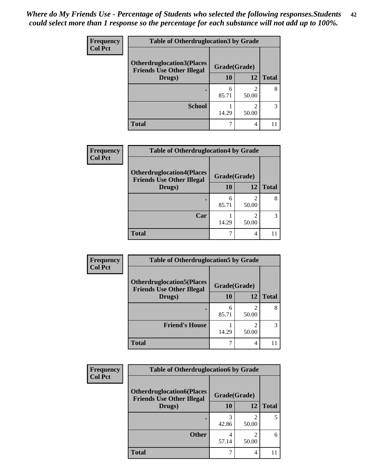| <b>Frequency</b> | <b>Table of Otherdruglocation 3 by Grade</b> |              |            |              |
|------------------|----------------------------------------------|--------------|------------|--------------|
| <b>Col Pct</b>   | <b>Otherdruglocation3(Places</b>             | Grade(Grade) |            |              |
|                  | <b>Friends Use Other Illegal</b><br>Drugs)   | 10           | 12         | <b>Total</b> |
|                  |                                              | 6<br>85.71   | 50.00      | 8            |
|                  | <b>School</b>                                | 14.29        | ∍<br>50.00 | 3            |
|                  | <b>Total</b>                                 |              |            |              |

| <b>Frequency</b> | <b>Table of Otherdruglocation4 by Grade</b>                          |              |       |              |
|------------------|----------------------------------------------------------------------|--------------|-------|--------------|
| <b>Col Pct</b>   | <b>Otherdruglocation4(Places</b><br><b>Friends Use Other Illegal</b> | Grade(Grade) |       |              |
|                  | Drugs)                                                               | <b>10</b>    | 12    | <b>Total</b> |
|                  |                                                                      | 6<br>85.71   | 50.00 | 8            |
|                  | Car                                                                  | 14.29        | 50.00 | 3            |
|                  | <b>Total</b>                                                         |              | 4     |              |

| Frequency<br><b>Col Pct</b> | <b>Table of Otherdruglocation5 by Grade</b>                          |              |       |              |
|-----------------------------|----------------------------------------------------------------------|--------------|-------|--------------|
|                             | <b>Otherdruglocation5(Places</b><br><b>Friends Use Other Illegal</b> | Grade(Grade) |       |              |
|                             | Drugs)                                                               | <b>10</b>    | 12    | <b>Total</b> |
|                             |                                                                      | 6<br>85.71   | 50.00 | 8            |
|                             | <b>Friend's House</b>                                                | 14.29        | 50.00 | 3            |
|                             | <b>Total</b>                                                         |              |       |              |

| Frequency      | <b>Table of Otherdruglocation6 by Grade</b>                          |              |                                                                                                                                                                          |              |  |  |
|----------------|----------------------------------------------------------------------|--------------|--------------------------------------------------------------------------------------------------------------------------------------------------------------------------|--------------|--|--|
| <b>Col Pct</b> | <b>Otherdruglocation6(Places</b><br><b>Friends Use Other Illegal</b> | Grade(Grade) |                                                                                                                                                                          |              |  |  |
|                | Drugs)                                                               | 10           | 12                                                                                                                                                                       | <b>Total</b> |  |  |
|                |                                                                      | 42.86        | $\mathcal{D}_{\mathcal{A}}^{\mathcal{A}}(\mathcal{A})=\mathcal{D}_{\mathcal{A}}^{\mathcal{A}}(\mathcal{A})\mathcal{D}_{\mathcal{A}}^{\mathcal{A}}(\mathcal{A})$<br>50.00 |              |  |  |
|                | <b>Other</b>                                                         | 57.14        | $\mathcal{D}$<br>50.00                                                                                                                                                   | 6            |  |  |
|                | <b>Total</b>                                                         |              | 4                                                                                                                                                                        |              |  |  |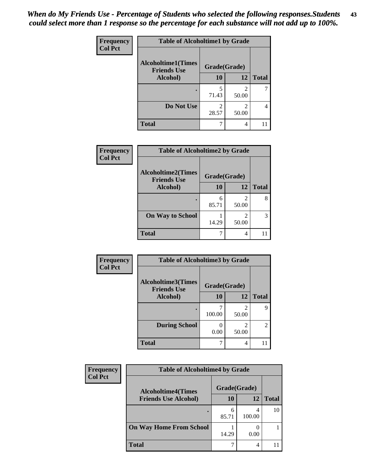| Frequency      | <b>Table of Alcoholtime1 by Grade</b>           |                         |            |              |
|----------------|-------------------------------------------------|-------------------------|------------|--------------|
| <b>Col Pct</b> | <b>Alcoholtime1(Times</b><br><b>Friends Use</b> | Grade(Grade)            |            |              |
|                | Alcohol)                                        | 10                      | 12         | <b>Total</b> |
|                |                                                 | 5<br>71.43              | 2<br>50.00 |              |
|                | Do Not Use                                      | $\mathfrak{D}$<br>28.57 | 50.00      |              |
|                | <b>Total</b>                                    |                         | 4          |              |

| Frequency      | <b>Table of Alcoholtime2 by Grade</b>           |              |            |              |
|----------------|-------------------------------------------------|--------------|------------|--------------|
| <b>Col Pct</b> | <b>Alcoholtime2(Times</b><br><b>Friends Use</b> | Grade(Grade) |            |              |
|                | Alcohol)                                        | 10           | 12         | <b>Total</b> |
|                |                                                 | 6<br>85.71   | 2<br>50.00 |              |
|                | <b>On Way to School</b>                         | 14.29        | 2<br>50.00 | 3            |
|                | <b>Total</b>                                    |              | 4          |              |

| Frequency      | <b>Table of Alcoholtime3 by Grade</b> |                                    |                         |                |
|----------------|---------------------------------------|------------------------------------|-------------------------|----------------|
| <b>Col Pct</b> | <b>Alcoholtime3(Times</b>             | Grade(Grade)<br><b>Friends Use</b> |                         |                |
|                | Alcohol)                              | 10                                 | 12                      | <b>Total</b>   |
|                |                                       | 100.00                             | $\mathfrak{D}$<br>50.00 | 9              |
|                | <b>During School</b>                  | ∩<br>0.00                          | 2<br>50.00              | $\overline{2}$ |
|                | <b>Total</b>                          |                                    | 4                       |                |

| <b>Frequency</b><br><b>Col Pct</b> | <b>Table of Alcoholtime4 by Grade</b> |              |        |              |
|------------------------------------|---------------------------------------|--------------|--------|--------------|
|                                    | <b>Alcoholtime4(Times</b>             | Grade(Grade) |        |              |
|                                    | <b>Friends Use Alcohol)</b>           | 10           | 12     | <b>Total</b> |
|                                    |                                       | 6<br>85.71   | 100.00 | 10           |
|                                    | <b>On Way Home From School</b>        | 14.29        | 0.00   |              |
|                                    | <b>Total</b>                          |              | 4      |              |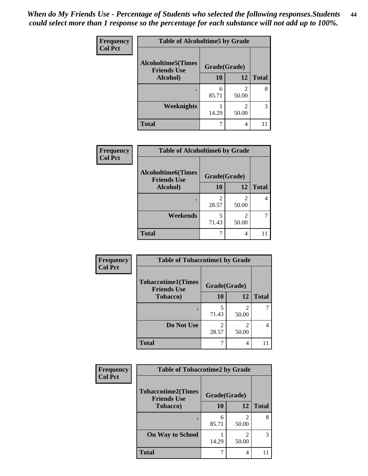*When do My Friends Use - Percentage of Students who selected the following responses.Students could select more than 1 response so the percentage for each substance will not add up to 100%.* **44**

| Frequency      | <b>Table of Alcoholtime5 by Grade</b>           |              |            |              |
|----------------|-------------------------------------------------|--------------|------------|--------------|
| <b>Col Pct</b> | <b>Alcoholtime5(Times</b><br><b>Friends Use</b> | Grade(Grade) |            |              |
|                | Alcohol)                                        | 10           | 12         | <b>Total</b> |
|                |                                                 | 6<br>85.71   | 2<br>50.00 | 8            |
|                | <b>Weeknights</b>                               | 14.29        | 50.00      | 3            |
|                | <b>Total</b>                                    |              | 4          | Ш            |

| <b>Frequency</b> | <b>Table of Alcoholtime6 by Grade</b>           |              |                         |              |
|------------------|-------------------------------------------------|--------------|-------------------------|--------------|
| <b>Col Pct</b>   | <b>Alcoholtime6(Times</b><br><b>Friends Use</b> | Grade(Grade) |                         |              |
|                  | Alcohol)                                        | 10           | 12                      | <b>Total</b> |
|                  |                                                 | 28.57        | $\mathfrak{D}$<br>50.00 | 4            |
|                  | Weekends                                        | 5<br>71.43   | $\mathfrak{D}$<br>50.00 |              |
|                  | <b>Total</b>                                    | 7            | 4                       |              |

| Frequency      | <b>Table of Tobaccotime1 by Grade</b>           |              |                         |              |
|----------------|-------------------------------------------------|--------------|-------------------------|--------------|
| <b>Col Pct</b> | <b>Tobaccotime1(Times</b><br><b>Friends Use</b> | Grade(Grade) |                         |              |
|                | <b>Tobacco</b> )                                | 10           | 12                      | <b>Total</b> |
|                | ٠                                               | 5<br>71.43   | 2<br>50.00              |              |
|                | Do Not Use                                      | 28.57        | $\mathfrak{D}$<br>50.00 | 4            |
|                | <b>Total</b>                                    |              | 4                       |              |

| <b>Frequency</b> | <b>Table of Tobaccotime2 by Grade</b>           |              |                         |              |
|------------------|-------------------------------------------------|--------------|-------------------------|--------------|
| <b>Col Pct</b>   | <b>Tobaccotime2(Times</b><br><b>Friends Use</b> | Grade(Grade) |                         |              |
|                  | <b>Tobacco</b> )                                | 10           | 12                      | <b>Total</b> |
|                  |                                                 | 6<br>85.71   | $\mathfrak{D}$<br>50.00 | 8            |
|                  | <b>On Way to School</b>                         | 14.29        | 50.00                   | 3            |
|                  | <b>Total</b>                                    |              | 4                       |              |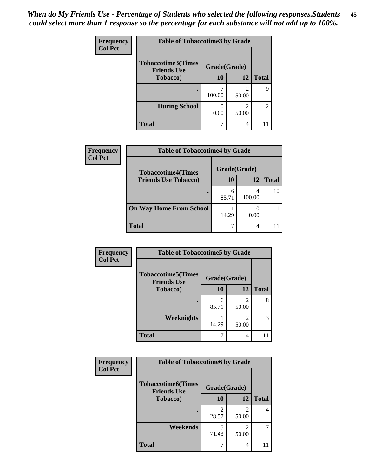| <b>Frequency</b> | <b>Table of Tobaccotime3 by Grade</b>           |              |                         |                |
|------------------|-------------------------------------------------|--------------|-------------------------|----------------|
| <b>Col Pct</b>   | <b>Tobaccotime3(Times</b><br><b>Friends Use</b> | Grade(Grade) |                         |                |
|                  | <b>Tobacco</b> )                                | 10           | 12                      | <b>Total</b>   |
|                  |                                                 | 100.00       | $\mathfrak{D}$<br>50.00 | q              |
|                  | <b>During School</b>                            | 0.00         | 2<br>50.00              | $\overline{2}$ |
|                  | <b>Total</b>                                    |              | 4                       |                |

| <b>Frequency</b> | <b>Table of Tobaccotime4 by Grade</b> |              |        |              |
|------------------|---------------------------------------|--------------|--------|--------------|
| <b>Col Pct</b>   | <b>Tobaccotime4(Times</b>             | Grade(Grade) |        |              |
|                  | <b>Friends Use Tobacco)</b>           | 10           | 12     | <b>Total</b> |
|                  |                                       | 6<br>85.71   | 100.00 | 10           |
|                  | <b>On Way Home From School</b>        | 14.29        | 0.00   |              |
|                  | <b>Total</b>                          | ℸ            | 4      |              |

| Frequency      | <b>Table of Tobaccotime5 by Grade</b>           |              |       |              |
|----------------|-------------------------------------------------|--------------|-------|--------------|
| <b>Col Pct</b> | <b>Tobaccotime5(Times</b><br><b>Friends Use</b> | Grade(Grade) |       |              |
|                | <b>Tobacco</b> )                                | 10           | 12    | <b>Total</b> |
|                |                                                 | 6<br>85.71   | 50.00 | 8            |
|                | Weeknights                                      | 14.29        | 50.00 | 3            |
|                | <b>Total</b>                                    |              | 4     |              |

| <b>Frequency</b> | <b>Table of Tobaccotime6 by Grade</b>           |              |                         |              |
|------------------|-------------------------------------------------|--------------|-------------------------|--------------|
| <b>Col Pct</b>   | <b>Tobaccotime6(Times</b><br><b>Friends Use</b> | Grade(Grade) |                         |              |
|                  | <b>Tobacco</b> )                                | 10           | 12                      | <b>Total</b> |
|                  |                                                 | 28.57        | 2<br>50.00              | 4            |
|                  | Weekends                                        | 5<br>71.43   | $\mathfrak{D}$<br>50.00 | 7            |
|                  | <b>Total</b>                                    |              | 4                       |              |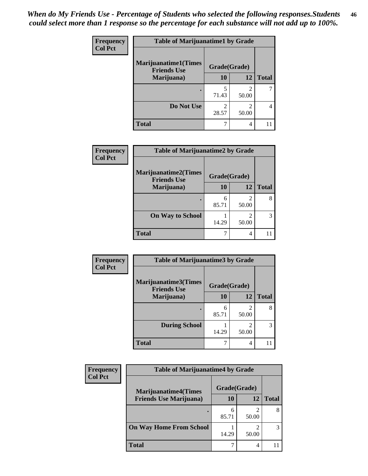| Frequency      | <b>Table of Marijuanatime1 by Grade</b>           |                         |                         |              |
|----------------|---------------------------------------------------|-------------------------|-------------------------|--------------|
| <b>Col Pct</b> | <b>Marijuanatime1(Times</b><br><b>Friends Use</b> | Grade(Grade)            |                         |              |
|                | Marijuana)                                        | 10                      | 12                      | <b>Total</b> |
|                |                                                   | 5<br>71.43              | $\mathfrak{D}$<br>50.00 |              |
|                | Do Not Use                                        | $\mathfrak{D}$<br>28.57 | 2<br>50.00              |              |
|                | <b>Total</b>                                      |                         | 4                       |              |

| Frequency      | <b>Table of Marijuanatime2 by Grade</b>    |              |       |              |
|----------------|--------------------------------------------|--------------|-------|--------------|
| <b>Col Pct</b> | Marijuanatime2(Times<br><b>Friends Use</b> | Grade(Grade) |       |              |
|                | Marijuana)                                 | 10           | 12    | <b>Total</b> |
|                |                                            | 6<br>85.71   | 50.00 | 8            |
|                | <b>On Way to School</b>                    | 14.29        | 50.00 | 3            |
|                | <b>Total</b>                               | ┑            | 4     |              |

| Frequency      | <b>Table of Marijuanatime3 by Grade</b>    |              |            |              |
|----------------|--------------------------------------------|--------------|------------|--------------|
| <b>Col Pct</b> | Marijuanatime3(Times<br><b>Friends Use</b> | Grade(Grade) |            |              |
|                | Marijuana)                                 | 10           | 12         | <b>Total</b> |
|                |                                            | 6<br>85.71   | 2<br>50.00 | 8            |
|                | <b>During School</b>                       | 14.29        | 2<br>50.00 | 3            |
|                | <b>Total</b>                               | 7            | 4          |              |

| <b>Frequency</b> | <b>Table of Marijuanatime4 by Grade</b> |              |       |       |
|------------------|-----------------------------------------|--------------|-------|-------|
| <b>Col Pct</b>   | <b>Marijuanatime4(Times</b>             | Grade(Grade) |       |       |
|                  | <b>Friends Use Marijuana</b> )          | 10           | 12    | Total |
|                  |                                         | 6<br>85.71   | 50.00 |       |
|                  | <b>On Way Home From School</b>          | 14.29        | 50.00 | 3     |
|                  | Total                                   |              | 4     |       |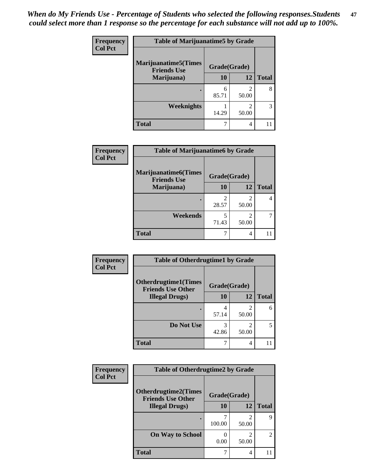| Frequency<br><b>Col Pct</b> | <b>Table of Marijuanatime5 by Grade</b>            |              |                         |              |
|-----------------------------|----------------------------------------------------|--------------|-------------------------|--------------|
|                             | <b>Marijuanatime5</b> (Times<br><b>Friends Use</b> | Grade(Grade) |                         |              |
|                             | Marijuana)                                         | 10           | 12                      | <b>Total</b> |
|                             |                                                    | 6<br>85.71   | 2<br>50.00              | 8            |
|                             | Weeknights                                         | 14.29        | $\mathfrak{D}$<br>50.00 | 3            |
|                             | <b>Total</b>                                       | 7            | 4                       |              |

| Frequency      | <b>Table of Marijuanatime6 by Grade</b>            |                         |       |              |
|----------------|----------------------------------------------------|-------------------------|-------|--------------|
| <b>Col Pct</b> | <b>Marijuanatime6</b> (Times<br><b>Friends Use</b> | Grade(Grade)            |       |              |
|                | Marijuana)                                         | 10                      | 12    | <b>Total</b> |
|                |                                                    | $\mathfrak{D}$<br>28.57 | 50.00 | 4            |
|                | Weekends                                           | 5<br>71.43              | 50.00 |              |
|                | <b>Total</b>                                       | ┑                       | 4     |              |

| Frequency      | <b>Table of Otherdrugtime1 by Grade</b>                 |              |                                                                                                                                                                          |              |
|----------------|---------------------------------------------------------|--------------|--------------------------------------------------------------------------------------------------------------------------------------------------------------------------|--------------|
| <b>Col Pct</b> | <b>Otherdrugtime1(Times</b><br><b>Friends Use Other</b> | Grade(Grade) |                                                                                                                                                                          |              |
|                | <b>Illegal Drugs</b> )                                  | 10           | 12                                                                                                                                                                       | <b>Total</b> |
|                |                                                         | 4<br>57.14   | $\mathfrak{D}$<br>50.00                                                                                                                                                  | 6            |
|                | Do Not Use                                              | 3<br>42.86   | $\mathcal{D}_{\mathcal{A}}^{\mathcal{A}}(\mathcal{A})=\mathcal{D}_{\mathcal{A}}^{\mathcal{A}}(\mathcal{A})\mathcal{D}_{\mathcal{A}}^{\mathcal{A}}(\mathcal{A})$<br>50.00 |              |
|                | <b>Total</b>                                            | 7            | $\overline{4}$                                                                                                                                                           |              |

| Frequency      | <b>Table of Otherdrugtime2 by Grade</b>                 |              |                         |                |
|----------------|---------------------------------------------------------|--------------|-------------------------|----------------|
| <b>Col Pct</b> | <b>Otherdrugtime2(Times</b><br><b>Friends Use Other</b> | Grade(Grade) |                         |                |
|                | <b>Illegal Drugs</b> )                                  | 10           | 12                      | <b>Total</b>   |
|                |                                                         | 100.00       | $\mathfrak{D}$<br>50.00 | 9              |
|                | <b>On Way to School</b>                                 | 0.00         | $\mathfrak{D}$<br>50.00 | $\overline{c}$ |
|                | <b>Total</b>                                            |              | 4                       |                |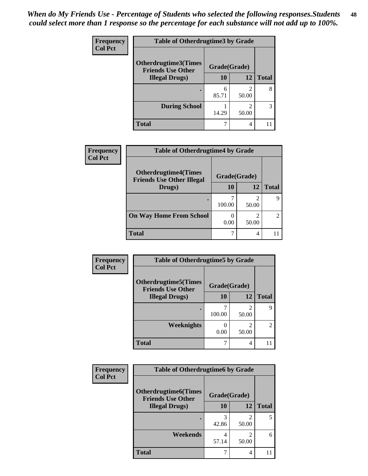| <b>Frequency</b> | <b>Table of Otherdrugtime3 by Grade</b>          |              |                |              |
|------------------|--------------------------------------------------|--------------|----------------|--------------|
| <b>Col Pct</b>   | Otherdrugtime3(Times<br><b>Friends Use Other</b> | Grade(Grade) |                |              |
|                  | <b>Illegal Drugs</b> )                           | 10           | 12             | <b>Total</b> |
|                  |                                                  | 6<br>85.71   | 2<br>50.00     | 8            |
|                  | <b>During School</b>                             | 14.29        | 2<br>50.00     | 3            |
|                  | <b>Total</b>                                     | 7            | $\overline{4}$ |              |

| Frequency<br><b>Col Pct</b> | <b>Table of Otherdrugtime4 by Grade</b>                         |              |            |                |
|-----------------------------|-----------------------------------------------------------------|--------------|------------|----------------|
|                             | <b>Otherdrugtime4(Times</b><br><b>Friends Use Other Illegal</b> | Grade(Grade) |            |                |
|                             | Drugs)                                                          | 10           | 12         | <b>Total</b>   |
|                             | ٠                                                               | 100.00       | 50.00      | q              |
|                             | <b>On Way Home From School</b>                                  | 0.00         | ∍<br>50.00 | $\overline{2}$ |
|                             | <b>Total</b>                                                    |              | 4          |                |

| <b>Frequency</b> | <b>Table of Otherdrugtime5 by Grade</b>                  |              |                         |                |
|------------------|----------------------------------------------------------|--------------|-------------------------|----------------|
| <b>Col Pct</b>   | <b>Otherdrugtime5</b> (Times<br><b>Friends Use Other</b> | Grade(Grade) |                         |                |
|                  | <b>Illegal Drugs</b> )                                   | 10           | 12                      | <b>Total</b>   |
|                  |                                                          | 100.00       | $\mathfrak{D}$<br>50.00 | 9              |
|                  | Weeknights                                               | 0.00         | $\mathfrak{D}$<br>50.00 | $\overline{2}$ |
|                  | <b>Total</b>                                             |              | 4                       |                |

| Frequency      | <b>Table of Otherdrugtime6 by Grade</b>                  |              |                         |              |
|----------------|----------------------------------------------------------|--------------|-------------------------|--------------|
| <b>Col Pct</b> | <b>Otherdrugtime6</b> (Times<br><b>Friends Use Other</b> | Grade(Grade) |                         |              |
|                | <b>Illegal Drugs</b> )                                   | 10           | 12                      | <b>Total</b> |
|                |                                                          | 3<br>42.86   | $\mathfrak{D}$<br>50.00 | 5            |
|                | Weekends                                                 | 4<br>57.14   | $\mathfrak{D}$<br>50.00 | 6            |
|                | <b>Total</b>                                             |              | 4                       |              |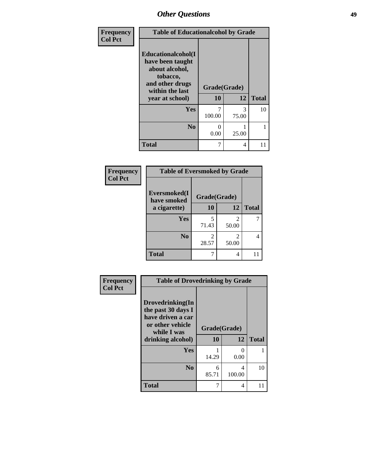| Frequency      | <b>Table of Educationalcohol by Grade</b>                                                                  |              |            |              |  |
|----------------|------------------------------------------------------------------------------------------------------------|--------------|------------|--------------|--|
| <b>Col Pct</b> | Educationalcohol(I<br>have been taught<br>about alcohol,<br>tobacco,<br>and other drugs<br>within the last | Grade(Grade) |            |              |  |
|                | year at school)                                                                                            | 10           | 12         | <b>Total</b> |  |
|                | Yes                                                                                                        | 7<br>100.00  | 3<br>75.00 | 10           |  |
|                | N <sub>0</sub>                                                                                             | 0<br>0.00    | 25.00      | 1            |  |
|                | <b>Total</b>                                                                                               | 7            | 4          | 11           |  |

| Frequency      | <b>Table of Eversmoked by Grade</b>         |            |            |              |  |
|----------------|---------------------------------------------|------------|------------|--------------|--|
| <b>Col Pct</b> | Eversmoked(I<br>Grade(Grade)<br>have smoked |            |            |              |  |
|                | a cigarette)                                | 10         | 12         | <b>Total</b> |  |
|                | Yes                                         | 5<br>71.43 | 2<br>50.00 | 7            |  |
|                | N <sub>0</sub>                              | 2<br>28.57 | 2<br>50.00 | 4            |  |
|                | <b>Total</b>                                |            | 4          |              |  |

| Frequency      | <b>Table of Drovedrinking by Grade</b>                                                                              |                          |             |              |  |
|----------------|---------------------------------------------------------------------------------------------------------------------|--------------------------|-------------|--------------|--|
| <b>Col Pct</b> | Drovedrinking(In<br>the past 30 days I<br>have driven a car<br>or other vehicle<br>while I was<br>drinking alcohol) | Grade(Grade)<br>10<br>12 |             | <b>Total</b> |  |
|                | <b>Yes</b>                                                                                                          | 14.29                    | 0<br>0.00   |              |  |
|                | N <sub>0</sub>                                                                                                      | 6<br>85.71               | 4<br>100.00 | 10           |  |
|                | <b>Total</b>                                                                                                        | 7                        | 4           | 11           |  |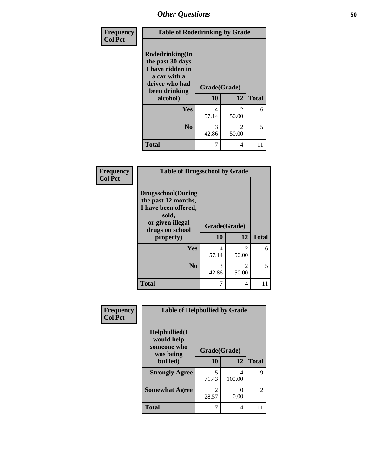| <b>Frequency</b> | <b>Table of Rodedrinking by Grade</b>                                                                      |              |                         |              |
|------------------|------------------------------------------------------------------------------------------------------------|--------------|-------------------------|--------------|
| <b>Col Pct</b>   | Rodedrinking(In<br>the past 30 days<br>I have ridden in<br>a car with a<br>driver who had<br>been drinking | Grade(Grade) |                         |              |
|                  | alcohol)                                                                                                   | 10           | 12                      | <b>Total</b> |
|                  | Yes                                                                                                        | 4<br>57.14   | $\mathfrak{D}$<br>50.00 | 6            |
|                  | No                                                                                                         | 3<br>42.86   | $\mathfrak{D}$<br>50.00 | 5            |
|                  | <b>Total</b>                                                                                               | 7            | 4                       | 11           |

#### **Frequency Col Pct**

| <b>Table of Drugsschool by Grade</b>                                                                                      |              |                         |              |  |  |
|---------------------------------------------------------------------------------------------------------------------------|--------------|-------------------------|--------------|--|--|
| <b>Drugsschool</b> (During<br>the past 12 months,<br>I have been offered,<br>sold,<br>or given illegal<br>drugs on school | Grade(Grade) |                         |              |  |  |
| property)                                                                                                                 | 10           | 12                      | <b>Total</b> |  |  |
| Yes                                                                                                                       | 4<br>57.14   | $\mathfrak{D}$<br>50.00 | 6            |  |  |
| $\bf No$                                                                                                                  | 3<br>42.86   | $\mathfrak{D}$<br>50.00 | 5            |  |  |
| <b>Total</b>                                                                                                              |              | 4                       |              |  |  |

| Frequency      | <b>Table of Helpbullied by Grade</b> |                         |             |                |  |  |
|----------------|--------------------------------------|-------------------------|-------------|----------------|--|--|
| <b>Col Pct</b> | Helpbullied(I<br>would help          |                         |             |                |  |  |
|                | someone who<br>was being             | Grade(Grade)            |             |                |  |  |
|                | bullied)                             | 10                      | 12          | <b>Total</b>   |  |  |
|                | <b>Strongly Agree</b>                | 5<br>71.43              | 4<br>100.00 | 9              |  |  |
|                | <b>Somewhat Agree</b>                | $\mathfrak{D}$<br>28.57 | 0.00        | $\mathfrak{D}$ |  |  |
|                | <b>Total</b>                         | 7                       | 4           | 11             |  |  |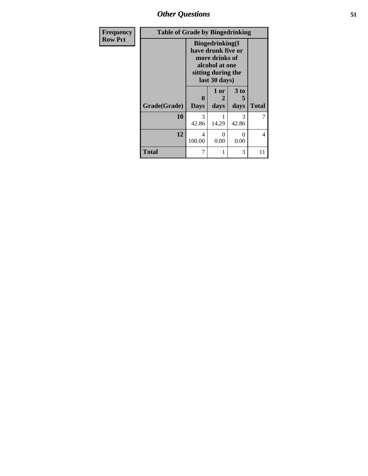*Other Questions* **51**

| <b>Frequency</b> | <b>Table of Grade by Bingedrinking</b> |                                                                                                                          |                   |                   |              |
|------------------|----------------------------------------|--------------------------------------------------------------------------------------------------------------------------|-------------------|-------------------|--------------|
| <b>Row Pct</b>   |                                        | <b>Bingedrinking</b> (I<br>have drunk five or<br>more drinks of<br>alcohol at one<br>sitting during the<br>last 30 days) |                   |                   |              |
|                  | Grade(Grade)                           | 0<br><b>Days</b>                                                                                                         | 1 or<br>2<br>days | 3 to<br>5<br>days | <b>Total</b> |
|                  | 10                                     | 3<br>42.86                                                                                                               | 14.29             | 3<br>42.86        | 7            |
|                  | 12                                     | 4<br>100.00                                                                                                              | 0<br>0.00         | 0<br>0.00         | 4            |
|                  | <b>Total</b>                           | 7                                                                                                                        | 1                 | 3                 | 11           |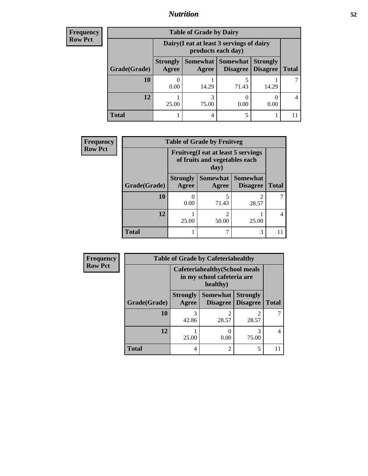## *Nutrition* **52**

| <b>Frequency</b> |
|------------------|
| Row Pct          |

| <b>Table of Grade by Dairy</b> |                          |                                                                 |                                    |                                    |              |
|--------------------------------|--------------------------|-----------------------------------------------------------------|------------------------------------|------------------------------------|--------------|
|                                |                          | Dairy (I eat at least 3 servings of dairy<br>products each day) |                                    |                                    |              |
| Grade(Grade)                   | <b>Strongly</b><br>Agree | Somewhat  <br>Agree                                             | <b>Somewhat</b><br><b>Disagree</b> | <b>Strongly</b><br><b>Disagree</b> | <b>Total</b> |
| 10                             | 0.00                     | 14.29                                                           | 71.43                              | 14.29                              |              |
| 12                             | 25.00                    | 75.00                                                           | 0.00                               | 0.00                               |              |
| Total                          |                          | 4                                                               |                                    |                                    |              |

| <b>Frequency</b> | <b>Table of Grade by Fruitveg</b> |                                 |                                                                                     |                                    |              |
|------------------|-----------------------------------|---------------------------------|-------------------------------------------------------------------------------------|------------------------------------|--------------|
| <b>Row Pct</b>   |                                   |                                 | <b>Fruitveg</b> (I eat at least 5 servings<br>of fruits and vegetables each<br>day) |                                    |              |
|                  | Grade(Grade)                      | <b>Strongly</b><br><b>Agree</b> | Somewhat<br>Agree                                                                   | <b>Somewhat</b><br><b>Disagree</b> | <b>Total</b> |
|                  | 10                                | 0<br>0.00                       | 71.43                                                                               | 28.57                              |              |
|                  | 12                                | 25.00                           | 2<br>50.00                                                                          | 25.00                              | 4            |
|                  | <b>Total</b>                      |                                 |                                                                                     | 3                                  |              |

| <b>Frequency</b> |              |                                                                                 | <b>Table of Grade by Cafeteriahealthy</b> |                                    |              |
|------------------|--------------|---------------------------------------------------------------------------------|-------------------------------------------|------------------------------------|--------------|
| <b>Row Pct</b>   |              | <b>Cafeteriahealthy</b> (School meals<br>in my school cafeteria are<br>healthy) |                                           |                                    |              |
|                  | Grade(Grade) | <b>Strongly</b><br>Agree                                                        | <b>Somewhat</b><br><b>Disagree</b>        | <b>Strongly</b><br><b>Disagree</b> | <b>Total</b> |
|                  | 10           | 3<br>42.86                                                                      | 28.57                                     | $\mathfrak{D}$<br>28.57            |              |
|                  | 12           | 25.00                                                                           | 0<br>0.00                                 | 75.00                              |              |
|                  | <b>Total</b> | 4                                                                               | $\overline{2}$                            | 5                                  |              |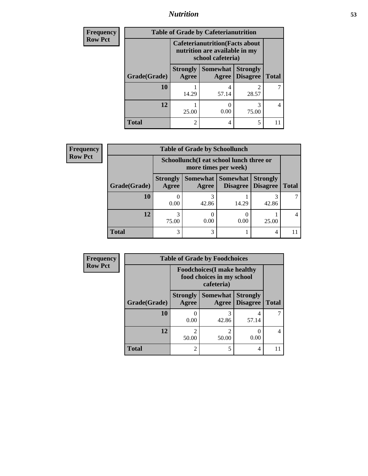## *Nutrition* **53**

| <b>Frequency</b> |                                                                                              | <b>Table of Grade by Cafeterianutrition</b> |                          |                                    |              |
|------------------|----------------------------------------------------------------------------------------------|---------------------------------------------|--------------------------|------------------------------------|--------------|
| <b>Row Pct</b>   | <b>Cafeterianutrition</b> (Facts about<br>nutrition are available in my<br>school cafeteria) |                                             |                          |                                    |              |
|                  | Grade(Grade)                                                                                 | <b>Strongly</b><br>Agree                    | <b>Somewhat</b><br>Agree | <b>Strongly</b><br><b>Disagree</b> | <b>Total</b> |
|                  | 10                                                                                           | 14.29                                       | 4<br>57.14               | 28.57                              |              |
|                  | 12                                                                                           | 25.00                                       | 0.00                     | 75.00                              | 4            |
|                  | <b>Total</b>                                                                                 | $\overline{\mathcal{L}}$                    | 4                        | 5                                  | 11           |

| Frequency      | <b>Table of Grade by Schoollunch</b> |                                                                 |            |                                      |                                    |              |
|----------------|--------------------------------------|-----------------------------------------------------------------|------------|--------------------------------------|------------------------------------|--------------|
| <b>Row Pct</b> |                                      | Schoollunch(I eat school lunch three or<br>more times per week) |            |                                      |                                    |              |
|                | Grade(Grade)                         | <b>Strongly</b><br>Agree                                        | Agree      | Somewhat Somewhat<br><b>Disagree</b> | <b>Strongly</b><br><b>Disagree</b> | <b>Total</b> |
|                | 10                                   | 0.00                                                            | 3<br>42.86 | 14.29                                | 42.86                              |              |
|                | 12                                   | 3<br>75.00                                                      | 0<br>0.00  | 0.00                                 | 25.00                              |              |
|                | <b>Total</b>                         | 3                                                               | 3          |                                      | $\overline{4}$                     |              |

| <b>Frequency</b> |                                                                               | <b>Table of Grade by Foodchoices</b> |                          |                                    |              |
|------------------|-------------------------------------------------------------------------------|--------------------------------------|--------------------------|------------------------------------|--------------|
| <b>Row Pct</b>   | <b>Foodchoices</b> (I make healthy<br>food choices in my school<br>cafeteria) |                                      |                          |                                    |              |
|                  | Grade(Grade)                                                                  | <b>Strongly</b><br>Agree             | <b>Somewhat</b><br>Agree | <b>Strongly</b><br><b>Disagree</b> | <b>Total</b> |
|                  | 10                                                                            | 0.00                                 | 3<br>42.86               | 57.14                              |              |
|                  | 12                                                                            | っ<br>50.00                           | $\mathfrak{D}$<br>50.00  | 0.00                               | 4            |
|                  | <b>Total</b>                                                                  | $\mathfrak{D}$                       | 5                        | 4                                  |              |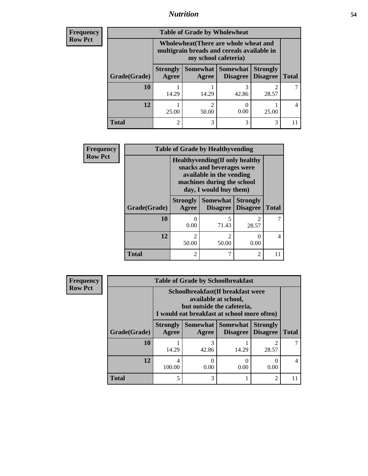# *Nutrition* **54**

| <b>Frequency</b> |  |
|------------------|--|
| Row Pct          |  |

| <b>Table of Grade by Wholewheat</b> |                                                                                                             |            |                               |                                    |              |  |
|-------------------------------------|-------------------------------------------------------------------------------------------------------------|------------|-------------------------------|------------------------------------|--------------|--|
|                                     | Wholewheat (There are whole wheat and<br>multigrain breads and cereals available in<br>my school cafeteria) |            |                               |                                    |              |  |
| Grade(Grade)                        | <b>Strongly</b><br>Agree                                                                                    | Agree      | Somewhat Somewhat<br>Disagree | <b>Strongly</b><br><b>Disagree</b> | <b>Total</b> |  |
| 10                                  | 14.29                                                                                                       | 14.29      | 42.86                         | 28.57                              |              |  |
| 12                                  | 25.00                                                                                                       | 2<br>50.00 | 0.00                          | 25.00                              | 4            |  |
| Total                               |                                                                                                             | 3          |                               | 3                                  |              |  |

| Frequency      | <b>Table of Grade by Healthyvending</b>                                                                                                                 |                          |                             |                                    |              |  |
|----------------|---------------------------------------------------------------------------------------------------------------------------------------------------------|--------------------------|-----------------------------|------------------------------------|--------------|--|
| <b>Row Pct</b> | <b>Healthyvending</b> (If only healthy<br>snacks and beverages were<br>available in the vending<br>machines during the school<br>day, I would buy them) |                          |                             |                                    |              |  |
|                | Grade(Grade)                                                                                                                                            | <b>Strongly</b><br>Agree | <b>Somewhat</b><br>Disagree | <b>Strongly</b><br><b>Disagree</b> | <b>Total</b> |  |
|                | 10                                                                                                                                                      | 0.00                     | 5<br>71.43                  | $\mathfrak{D}$<br>28.57            |              |  |
|                | 12                                                                                                                                                      | 50.00                    | $\overline{2}$<br>50.00     | $\theta$<br>0.00                   | 4            |  |
|                | <b>Total</b>                                                                                                                                            | $\mathfrak{D}$           | 7                           | 2                                  |              |  |

| Frequency      | <b>Table of Grade by Schoolbreakfast</b> |                                                                                                                                         |            |                                        |                                    |                |  |
|----------------|------------------------------------------|-----------------------------------------------------------------------------------------------------------------------------------------|------------|----------------------------------------|------------------------------------|----------------|--|
| <b>Row Pct</b> |                                          | Schoolbreakfast (If breakfast were<br>available at school,<br>but outside the cafeteria,<br>I would eat breakfast at school more often) |            |                                        |                                    |                |  |
|                | Grade(Grade)                             | <b>Strongly</b><br>Agree                                                                                                                | Agree      | Somewhat   Somewhat<br><b>Disagree</b> | <b>Strongly</b><br><b>Disagree</b> | <b>Total</b>   |  |
|                | 10                                       | 14.29                                                                                                                                   | 3<br>42.86 | 14.29                                  | ി<br>28.57                         |                |  |
|                | 12                                       | 4<br>100.00                                                                                                                             | 0<br>0.00  | $\theta$<br>0.00                       | $\left( \right)$<br>0.00           | $\overline{4}$ |  |
|                | <b>Total</b>                             | 5                                                                                                                                       | 3          |                                        | $\overline{2}$                     | 11             |  |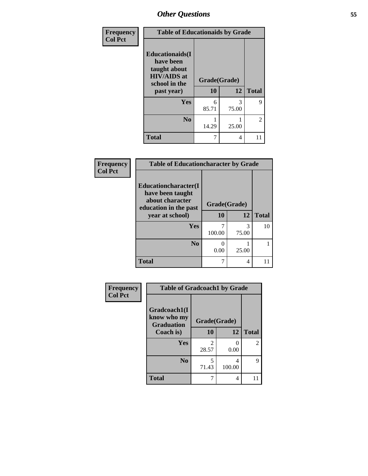| Frequency<br><b>Col Pct</b> | <b>Table of Educationaids by Grade</b>                                                                   |                          |            |                |
|-----------------------------|----------------------------------------------------------------------------------------------------------|--------------------------|------------|----------------|
|                             | <b>Educationaids(I</b><br>have been<br>taught about<br><b>HIV/AIDS</b> at<br>school in the<br>past year) | Grade(Grade)<br>10<br>12 |            | <b>Total</b>   |
|                             |                                                                                                          |                          |            |                |
|                             | <b>Yes</b>                                                                                               | 6<br>85.71               | 3<br>75.00 | 9              |
|                             | N <sub>0</sub>                                                                                           | 14.29                    | 25.00      | $\overline{2}$ |
|                             | <b>Total</b>                                                                                             | 7                        | 4          |                |

| Frequency      | <b>Table of Educationcharacter by Grade</b>                                          |              |            |              |  |  |
|----------------|--------------------------------------------------------------------------------------|--------------|------------|--------------|--|--|
| <b>Col Pct</b> | Educationcharacter(I<br>have been taught<br>about character<br>education in the past | Grade(Grade) |            |              |  |  |
|                | year at school)                                                                      | 10           | 12         | <b>Total</b> |  |  |
|                | <b>Yes</b>                                                                           | 100.00       | 3<br>75.00 | 10           |  |  |
|                | N <sub>0</sub>                                                                       | 0.00         | 25.00      |              |  |  |
|                | <b>Total</b>                                                                         | 7            | 4          |              |  |  |

| Frequency      | <b>Table of Gradcoach1 by Grade</b>              |                         |             |                |
|----------------|--------------------------------------------------|-------------------------|-------------|----------------|
| <b>Col Pct</b> | Gradcoach1(I<br>know who my<br><b>Graduation</b> | Grade(Grade)            |             |                |
|                | Coach is)                                        | 10                      | 12          | <b>Total</b>   |
|                | <b>Yes</b>                                       | $\mathfrak{D}$<br>28.57 | 0.00        | $\overline{2}$ |
|                | N <sub>0</sub>                                   | 5<br>71.43              | 4<br>100.00 | 9              |
|                | <b>Total</b>                                     |                         | 4           |                |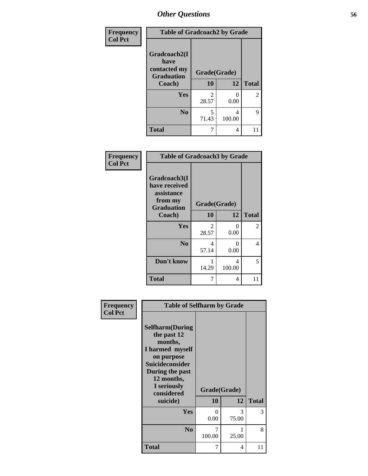| Frequency      | <b>Table of Gradcoach2 by Grade</b> |              |             |                |
|----------------|-------------------------------------|--------------|-------------|----------------|
| <b>Col Pct</b> |                                     |              |             |                |
|                | Gradcoach2(I<br>have                |              |             |                |
|                | contacted my<br><b>Graduation</b>   | Grade(Grade) |             |                |
|                | Coach)                              | 10           | 12          | <b>Total</b>   |
|                | Yes                                 | 2<br>28.57   | 0<br>0.00   | $\overline{2}$ |
|                | N <sub>0</sub>                      | 5<br>71.43   | 4<br>100.00 | 9              |
|                | <b>Total</b>                        | 7            | 4           |                |

| <b>Frequency</b><br><b>Col Pct</b> | <b>Table of Gradcoach3 by Grade</b>                    |              |             |                |  |
|------------------------------------|--------------------------------------------------------|--------------|-------------|----------------|--|
|                                    | Gradcoach3(I<br>have received<br>assistance<br>from my | Grade(Grade) |             |                |  |
|                                    | <b>Graduation</b><br>Coach)                            | 10           | 12          | <b>Total</b>   |  |
|                                    | Yes                                                    | 2<br>28.57   | 0<br>0.00   | $\overline{2}$ |  |
|                                    | N <sub>0</sub>                                         | 4<br>57.14   | 0<br>0.00   | 4              |  |
|                                    | Don't know                                             | 14.29        | 4<br>100.00 | 5              |  |
|                                    | <b>Total</b>                                           | 7            | 4           | 11             |  |

| <b>Table of Selfharm by Grade</b>                                                                                                                                          |             |            |                    |
|----------------------------------------------------------------------------------------------------------------------------------------------------------------------------|-------------|------------|--------------------|
| <b>Selfharm</b> (During<br>the past 12<br>months,<br>I harmed myself<br>on purpose<br><b>Suicideconsider</b><br>During the past<br>12 months,<br>I seriously<br>considered |             |            |                    |
|                                                                                                                                                                            |             |            | <b>Total</b>       |
| Yes                                                                                                                                                                        | 0<br>0.00   | 3<br>75.00 | 3                  |
| N <sub>0</sub>                                                                                                                                                             | 7<br>100.00 | 1<br>25.00 | 8                  |
| <b>Total</b>                                                                                                                                                               | 7           | 4          | 11                 |
|                                                                                                                                                                            | suicide)    | 10         | Grade(Grade)<br>12 |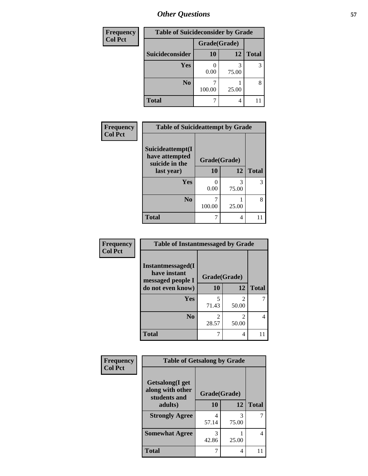| <b>Frequency</b> | <b>Table of Suicideconsider by Grade</b> |              |            |              |
|------------------|------------------------------------------|--------------|------------|--------------|
| <b>Col Pct</b>   |                                          | Grade(Grade) |            |              |
|                  | Suicideconsider                          | <b>10</b>    | 12         | <b>Total</b> |
|                  | Yes                                      | 0.00         | 3<br>75.00 | 3            |
|                  | N <sub>0</sub>                           | 100.00       | 25.00      | 8            |
|                  | <b>Total</b>                             |              | 4          |              |

| Frequency      | <b>Table of Suicideattempt by Grade</b>              |              |            |              |
|----------------|------------------------------------------------------|--------------|------------|--------------|
| <b>Col Pct</b> | Suicideattempt(I<br>have attempted<br>suicide in the | Grade(Grade) |            |              |
|                | last year)                                           | 10           | 12         | <b>Total</b> |
|                | Yes                                                  | ∩<br>0.00    | 3<br>75.00 | 3            |
|                | N <sub>0</sub>                                       | 100.00       | 25.00      | 8            |
|                | <b>Total</b>                                         | 7            | 4          | 11           |

| Frequency      | <b>Table of Instantmessaged by Grade</b>               |              |            |              |  |  |  |  |
|----------------|--------------------------------------------------------|--------------|------------|--------------|--|--|--|--|
| <b>Col Pct</b> | Instantmessaged(I<br>have instant<br>messaged people I | Grade(Grade) |            |              |  |  |  |  |
|                | do not even know)                                      | 10           | 12         | <b>Total</b> |  |  |  |  |
|                | Yes                                                    | 5<br>71.43   | 2<br>50.00 |              |  |  |  |  |
|                | N <sub>0</sub>                                         | 2<br>28.57   | 2<br>50.00 |              |  |  |  |  |
|                | <b>Total</b>                                           | 7            | 4          |              |  |  |  |  |

| Frequency      | <b>Table of Getsalong by Grade</b>                  |              |            |              |  |  |
|----------------|-----------------------------------------------------|--------------|------------|--------------|--|--|
| <b>Col Pct</b> | Getsalong(I get<br>along with other<br>students and | Grade(Grade) |            |              |  |  |
|                | adults)                                             | 10           | 12         | <b>Total</b> |  |  |
|                | <b>Strongly Agree</b>                               | 57.14        | 3<br>75.00 | 7            |  |  |
|                | <b>Somewhat Agree</b>                               | 3<br>42.86   | 25.00      | 4            |  |  |
|                | Total                                               |              | 4          |              |  |  |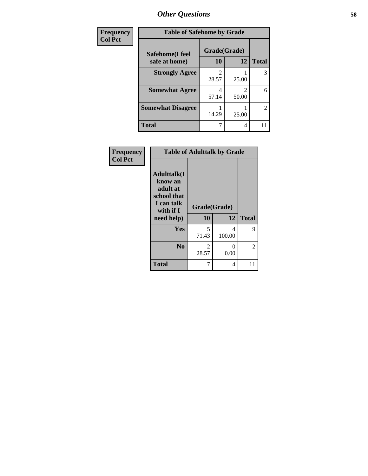| Frequency      | <b>Table of Safehome by Grade</b> |              |       |              |  |  |
|----------------|-----------------------------------|--------------|-------|--------------|--|--|
| <b>Col Pct</b> | Safehome(I feel                   | Grade(Grade) |       |              |  |  |
|                | safe at home)                     | 10           | 12    | <b>Total</b> |  |  |
|                | <b>Strongly Agree</b>             | 2<br>28.57   | 25.00 | 3            |  |  |
|                | <b>Somewhat Agree</b>             | 4<br>57.14   | 50.00 | 6            |  |  |
|                | <b>Somewhat Disagree</b>          | 14.29        | 25.00 | 2            |  |  |
|                | <b>Total</b>                      | 7            | 4     |              |  |  |

| Frequency<br><b>Col Pct</b> | <b>Table of Adulttalk by Grade</b>                                                                |                         |             |              |  |  |
|-----------------------------|---------------------------------------------------------------------------------------------------|-------------------------|-------------|--------------|--|--|
|                             | <b>Adulttalk(I</b><br>know an<br>adult at<br>school that<br>I can talk<br>with if I<br>need help) | Grade(Grade)<br>10      | 12          | <b>Total</b> |  |  |
|                             | Yes                                                                                               | 5<br>71.43              | 4<br>100.00 | 9            |  |  |
|                             | N <sub>0</sub>                                                                                    | $\mathfrak{D}$<br>28.57 | 0<br>0.00   | 2            |  |  |
|                             | <b>Total</b>                                                                                      | 7                       | 4           | 11           |  |  |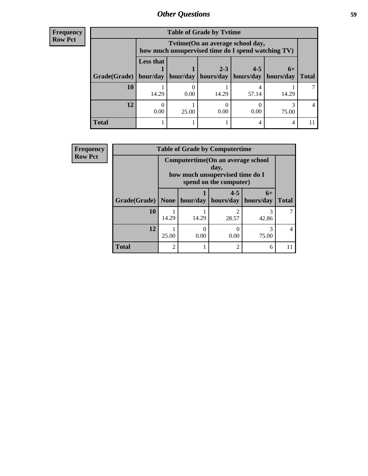#### **Frequency Row Pct**

| <b>Table of Grade by Tytime</b> |                              |                                                                                         |                      |                      |                     |              |  |  |  |
|---------------------------------|------------------------------|-----------------------------------------------------------------------------------------|----------------------|----------------------|---------------------|--------------|--|--|--|
|                                 |                              | Tytime (On an average school day,<br>how much unsupervised time do I spend watching TV) |                      |                      |                     |              |  |  |  |
| Grade(Grade)                    | <b>Less that</b><br>hour/day | hour/day                                                                                | $2 - 3$<br>hours/day | $4 - 5$<br>hours/day | $6+$<br>  hours/dav | <b>Total</b> |  |  |  |
| 10                              | 14.29                        | 0.00                                                                                    | 14.29                | 57.14                | 14.29               |              |  |  |  |
| 12                              | 0.00                         | 25.00                                                                                   | 0.00                 | 0.00                 | 75.00               | 4            |  |  |  |
| <b>Total</b>                    |                              |                                                                                         |                      | 4                    | 4                   |              |  |  |  |

| Frequency      |              | <b>Table of Grade by Computertime</b> |          |                                                                                                         |            |                |  |  |  |  |
|----------------|--------------|---------------------------------------|----------|---------------------------------------------------------------------------------------------------------|------------|----------------|--|--|--|--|
| <b>Row Pct</b> |              |                                       |          | Computertime (On an average school<br>day,<br>how much unsupervised time do I<br>spend on the computer) |            |                |  |  |  |  |
|                | Grade(Grade) | None                                  | hour/day | $4 - 5$<br>  hours/day   hours/day                                                                      | $6+$       | <b>Total</b>   |  |  |  |  |
|                | 10           | 14.29                                 | 14.29    | 28.57                                                                                                   | 3<br>42.86 | 7              |  |  |  |  |
|                | 12           | 25.00                                 | 0.00     | 0.00                                                                                                    | 3<br>75.00 | $\overline{4}$ |  |  |  |  |
|                | <b>Total</b> | 2                                     |          | $\overline{c}$                                                                                          | 6          | 11             |  |  |  |  |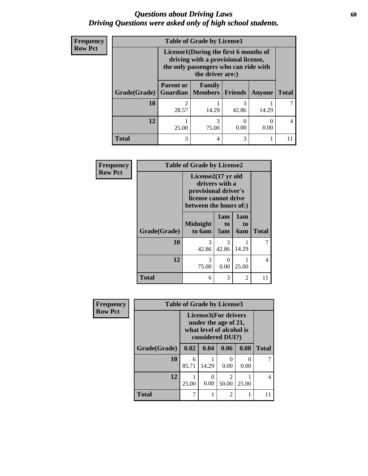### *Questions about Driving Laws* **60** *Driving Questions were asked only of high school students.*

| Frequency      | <b>Table of Grade by License1</b> |                                                                                                                                           |                          |                |                          |              |  |  |  |
|----------------|-----------------------------------|-------------------------------------------------------------------------------------------------------------------------------------------|--------------------------|----------------|--------------------------|--------------|--|--|--|
| <b>Row Pct</b> |                                   | License1(During the first 6 months of<br>driving with a provisional license,<br>the only passengers who can ride with<br>the driver are:) |                          |                |                          |              |  |  |  |
|                | Grade(Grade)                      | <b>Parent or</b><br><b>Guardian</b>                                                                                                       | Family<br><b>Members</b> | <b>Friends</b> | Anyone                   | <b>Total</b> |  |  |  |
|                | 10                                | 28.57                                                                                                                                     | 14.29                    | 3<br>42.86     | 14.29                    |              |  |  |  |
|                | 12                                | 25.00                                                                                                                                     | 3<br>75.00               | 0.00           | $\left( \right)$<br>0.00 | 4            |  |  |  |
|                | <b>Total</b>                      | 3                                                                                                                                         | 4                        | 3              |                          | 11           |  |  |  |

| Frequency      | <b>Table of Grade by License2</b> |                                                                                                                |                  |                  |              |  |  |
|----------------|-----------------------------------|----------------------------------------------------------------------------------------------------------------|------------------|------------------|--------------|--|--|
| <b>Row Pct</b> |                                   | License2(17 yr old<br>drivers with a<br>provisional driver's<br>license cannot drive<br>between the hours of:) |                  |                  |              |  |  |
|                | Grade(Grade)                      | <b>Midnight</b><br>to 6am                                                                                      | 1am<br>to<br>5am | 1am<br>to<br>6am | <b>Total</b> |  |  |
|                | 10                                | 3<br>42.86                                                                                                     | 3<br>42.86       | 14.29            |              |  |  |
|                | 12                                | 3<br>75.00                                                                                                     | 0<br>0.00        | 25.00            | 4            |  |  |
|                | <b>Total</b>                      | 6                                                                                                              | 3                | $\overline{2}$   | 11           |  |  |

| <b>Frequency</b> | <b>Table of Grade by License3</b> |                                                                                                     |       |                         |                       |              |
|------------------|-----------------------------------|-----------------------------------------------------------------------------------------------------|-------|-------------------------|-----------------------|--------------|
| <b>Row Pct</b>   |                                   | <b>License3(For drivers</b><br>under the age of 21,<br>what level of alcohol is<br>considered DUI?) |       |                         |                       |              |
|                  | Grade(Grade)                      | 0.02                                                                                                | 0.04  | 0.06                    | 0.08                  | <b>Total</b> |
|                  | 10                                | 6<br>85.71                                                                                          | 14.29 | $\Omega$<br>0.00        | $\mathcal{O}$<br>0.00 |              |
|                  | 12                                | 25.00                                                                                               | 0.00  | $\overline{2}$<br>50.00 | 25.00                 | 4            |
|                  | <b>Total</b>                      |                                                                                                     |       | $\overline{2}$          |                       | 11           |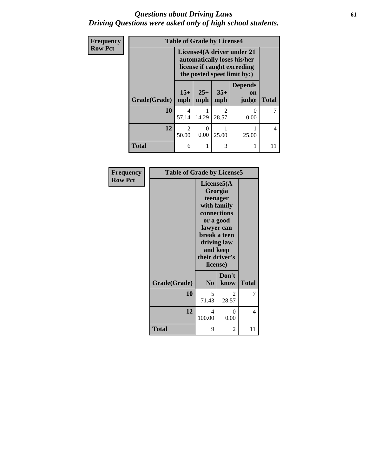### *Questions about Driving Laws* **61** *Driving Questions were asked only of high school students.*

| Frequency      | <b>Table of Grade by License4</b> |                         |              |                         |                                                                                                                         |                |
|----------------|-----------------------------------|-------------------------|--------------|-------------------------|-------------------------------------------------------------------------------------------------------------------------|----------------|
| <b>Row Pct</b> |                                   |                         |              |                         | License4(A driver under 21<br>automatically loses his/her<br>license if caught exceeding<br>the posted speet limit by:) |                |
|                | Grade(Grade)                      | $15+$<br>mph            | $25+$<br>mph | $35+$<br>mph            | <b>Depends</b><br><b>on</b><br>judge                                                                                    | <b>Total</b>   |
|                | 10                                | 4<br>57.14              | 14.29        | $\mathfrak{D}$<br>28.57 | $\theta$<br>0.00                                                                                                        | 7              |
|                | 12                                | $\overline{2}$<br>50.00 | 0<br>0.00    | 25.00                   | 25.00                                                                                                                   | $\overline{4}$ |
|                | <b>Total</b>                      | 6                       |              | 3                       | 1                                                                                                                       | 11             |

| Frequency      | <b>Table of Grade by License5</b> |                                                                     |                                                                                               |              |
|----------------|-----------------------------------|---------------------------------------------------------------------|-----------------------------------------------------------------------------------------------|--------------|
| <b>Row Pct</b> |                                   | License5(A)<br>lawyer can<br>and keep<br>their driver's<br>license) | Georgia<br>teenager<br>with family<br>connections<br>or a good<br>break a teen<br>driving law |              |
|                | Grade(Grade)                      | N <sub>0</sub>                                                      | Don't<br>know                                                                                 | <b>Total</b> |
|                | 10                                | 5<br>71.43                                                          | $\mathcal{L}$<br>28.57                                                                        | 7            |
|                | 12                                | 4<br>100.00                                                         | 0<br>0.00                                                                                     | 4            |
|                | <b>Total</b>                      | 9                                                                   | 2                                                                                             | 11           |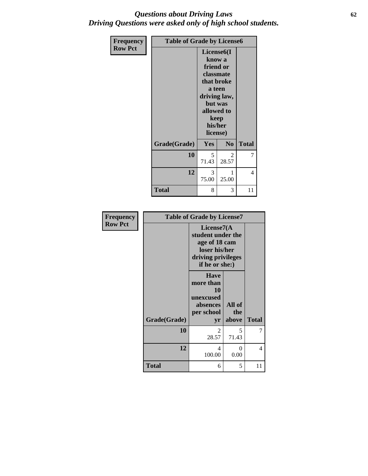### *Questions about Driving Laws* **62** *Driving Questions were asked only of high school students.*

| <b>Frequency</b> | <b>Table of Grade by License6</b> |                                                                                            |                                                               |              |
|------------------|-----------------------------------|--------------------------------------------------------------------------------------------|---------------------------------------------------------------|--------------|
| <b>Row Pct</b>   |                                   | License <sub>6</sub> (I<br>know a<br>friend or<br>classmate<br>keep<br>his/her<br>license) | that broke<br>a teen<br>driving law,<br>but was<br>allowed to |              |
|                  | Grade(Grade)                      | Yes                                                                                        | N <sub>0</sub>                                                | <b>Total</b> |
|                  | 10                                | 5<br>71.43                                                                                 | $\mathfrak{D}$<br>28.57                                       | 7            |
|                  | 12                                | 3<br>75.00                                                                                 | 1<br>25.00                                                    | 4            |
|                  | Total                             | 8                                                                                          | 3                                                             | 11           |

| <b>Frequency</b> | <b>Table of Grade by License7</b> |                                                                                                               |                        |              |
|------------------|-----------------------------------|---------------------------------------------------------------------------------------------------------------|------------------------|--------------|
| <b>Row Pct</b>   |                                   | License $7(A)$<br>student under the<br>age of 18 cam<br>loser his/her<br>driving privileges<br>if he or she:) |                        |              |
|                  | Grade(Grade)                      | <b>Have</b><br>more than<br>10<br>unexcused<br>absences<br>per school<br>yr                                   | All of<br>the<br>above | <b>Total</b> |
|                  | 10                                | $\mathfrak{D}$<br>28.57                                                                                       | 5<br>71.43             | 7            |
|                  | 12                                | 4<br>100.00                                                                                                   | 0<br>0.00              | 4            |
|                  | <b>Total</b>                      | 6                                                                                                             | 5                      | 11           |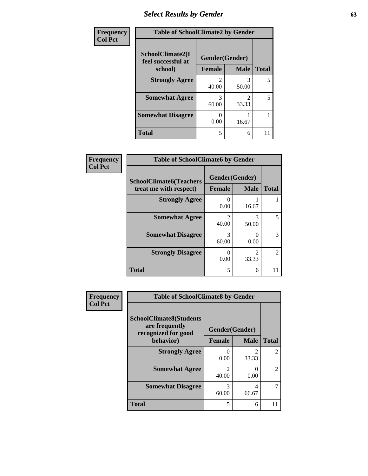# *Select Results by Gender* **63**

| Frequency      | <b>Table of SchoolClimate2 by Gender</b> |                |             |              |
|----------------|------------------------------------------|----------------|-------------|--------------|
| <b>Col Pct</b> | SchoolClimate2(I<br>feel successful at   | Gender(Gender) |             |              |
|                | school)                                  | <b>Female</b>  | <b>Male</b> | <b>Total</b> |
|                | <b>Strongly Agree</b>                    | 40.00          | 50.00       | 5            |
|                | <b>Somewhat Agree</b>                    | 60.00          | 2<br>33.33  | 5            |
|                | <b>Somewhat Disagree</b>                 | 0.00           | 16.67       |              |
|                | <b>Total</b>                             | 5              | 6           | 11           |

| <b>Frequency</b> | <b>Table of SchoolClimate6 by Gender</b>                 |                                      |                                      |                |
|------------------|----------------------------------------------------------|--------------------------------------|--------------------------------------|----------------|
| <b>Col Pct</b>   | <b>SchoolClimate6(Teachers</b><br>treat me with respect) | Gender(Gender)<br><b>Female</b>      | <b>Male</b>                          | <b>Total</b>   |
|                  | <b>Strongly Agree</b>                                    | $\theta$<br>0.00                     | 16.67                                |                |
|                  | <b>Somewhat Agree</b>                                    | $\mathcal{D}_{\mathcal{L}}$<br>40.00 | 3<br>50.00                           | 5              |
|                  | <b>Somewhat Disagree</b>                                 | 3<br>60.00                           | 0<br>0.00                            | 3              |
|                  | <b>Strongly Disagree</b>                                 | $\Omega$<br>0.00                     | $\mathcal{D}_{\mathcal{L}}$<br>33.33 | $\overline{2}$ |
|                  | <b>Total</b>                                             | 5                                    | 6                                    | 11             |

| Frequency      | <b>Table of SchoolClimate8 by Gender</b>                                             |                                 |                        |                |
|----------------|--------------------------------------------------------------------------------------|---------------------------------|------------------------|----------------|
| <b>Col Pct</b> | <b>SchoolClimate8(Students</b><br>are frequently<br>recognized for good<br>behavior) | Gender(Gender)<br><b>Female</b> | <b>Male</b>            | <b>Total</b>   |
|                | <b>Strongly Agree</b>                                                                | 0.00                            | $\mathcal{D}$<br>33.33 | $\mathfrak{D}$ |
|                | <b>Somewhat Agree</b>                                                                | 2<br>40.00                      | 0.00                   | $\mathfrak{D}$ |
|                | <b>Somewhat Disagree</b>                                                             | 3<br>60.00                      | 4<br>66.67             |                |
|                | <b>Total</b>                                                                         | 5                               | 6                      |                |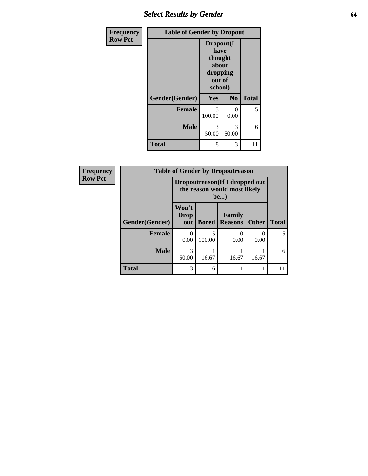# *Select Results by Gender* **64**

| <b>Frequency</b> | <b>Table of Gender by Dropout</b> |                                                                        |                |              |
|------------------|-----------------------------------|------------------------------------------------------------------------|----------------|--------------|
| <b>Row Pct</b>   |                                   | Dropout(I<br>have<br>thought<br>about<br>dropping<br>out of<br>school) |                |              |
|                  | Gender(Gender)                    | Yes                                                                    | N <sub>0</sub> | <b>Total</b> |
|                  | <b>Female</b>                     | 5<br>100.00                                                            | 0<br>0.00      | 5            |
|                  | <b>Male</b>                       | 3<br>50.00                                                             | 3<br>50.00     | 6            |
|                  | <b>Total</b>                      | 8                                                                      | 3              | 11           |

| Frequency      | <b>Table of Gender by Dropoutreason</b> |                                                                        |              |                          |              |              |
|----------------|-----------------------------------------|------------------------------------------------------------------------|--------------|--------------------------|--------------|--------------|
| <b>Row Pct</b> |                                         | Dropoutreason (If I dropped out<br>the reason would most likely<br>be) |              |                          |              |              |
|                | Gender(Gender)                          | Won't<br><b>Drop</b><br>out                                            | <b>Bored</b> | Family<br><b>Reasons</b> | <b>Other</b> | <b>Total</b> |
|                | <b>Female</b>                           | $\mathbf{\Omega}$<br>0.00                                              | 100.00       | $\mathbf{0}$<br>0.00     | 0<br>0.00    | 5            |
|                | <b>Male</b>                             | 3<br>50.00                                                             | 16.67        | 16.67                    | 16.67        | 6            |
|                | <b>Total</b>                            | 3                                                                      | 6            |                          |              | 11           |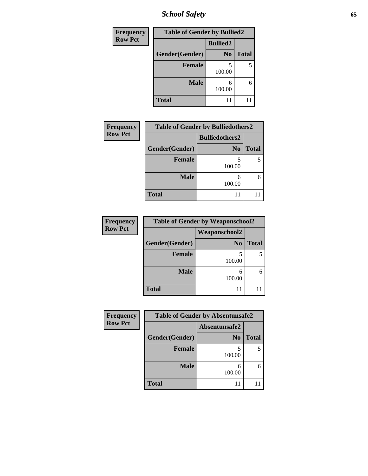*School Safety* **65**

| <b>Frequency</b> | <b>Table of Gender by Bullied2</b> |                 |              |  |  |
|------------------|------------------------------------|-----------------|--------------|--|--|
| <b>Row Pct</b>   |                                    | <b>Bullied2</b> |              |  |  |
|                  | Gender(Gender)                     | N <sub>0</sub>  | <b>Total</b> |  |  |
|                  | <b>Female</b>                      | 5<br>100.00     |              |  |  |
|                  | <b>Male</b>                        | 6<br>100.00     |              |  |  |
|                  | <b>Total</b>                       | 11              |              |  |  |

| <b>Frequency</b> |                | <b>Table of Gender by Bulliedothers2</b> |              |
|------------------|----------------|------------------------------------------|--------------|
| <b>Row Pct</b>   |                | <b>Bulliedothers2</b>                    |              |
|                  | Gender(Gender) | N <sub>0</sub>                           | <b>Total</b> |
|                  | <b>Female</b>  | 100.00                                   |              |
|                  | <b>Male</b>    | 100.00                                   |              |
|                  | <b>Total</b>   | 11                                       |              |

| Frequency      | <b>Table of Gender by Weaponschool2</b> |                      |              |  |  |
|----------------|-----------------------------------------|----------------------|--------------|--|--|
| <b>Row Pct</b> |                                         | <b>Weaponschool2</b> |              |  |  |
|                | Gender(Gender)                          | N <sub>0</sub>       | <b>Total</b> |  |  |
|                | <b>Female</b>                           | 100.00               |              |  |  |
|                | <b>Male</b>                             | 6<br>100.00          |              |  |  |
|                | <b>Total</b>                            |                      |              |  |  |

| Frequency      | <b>Table of Gender by Absentunsafe2</b> |                |              |  |  |
|----------------|-----------------------------------------|----------------|--------------|--|--|
| <b>Row Pct</b> |                                         | Absentunsafe2  |              |  |  |
|                | Gender(Gender)                          | N <sub>0</sub> | <b>Total</b> |  |  |
|                | Female                                  | 100.00         |              |  |  |
|                | <b>Male</b>                             | 100.00         | 6            |  |  |
|                | <b>Total</b>                            | 11             |              |  |  |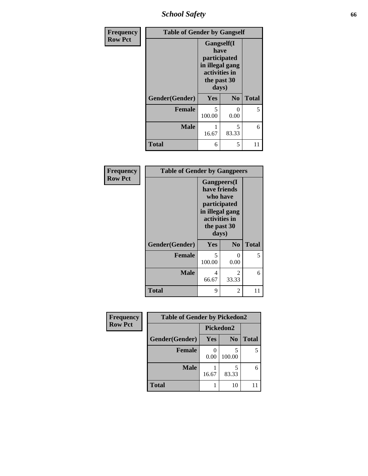*School Safety* **66**

| Frequency      | <b>Table of Gender by Gangself</b> |                                                                                                |                |              |
|----------------|------------------------------------|------------------------------------------------------------------------------------------------|----------------|--------------|
| <b>Row Pct</b> |                                    | Gangself(I<br>have<br>participated<br>in illegal gang<br>activities in<br>the past 30<br>days) |                |              |
|                | Gender(Gender)                     | Yes                                                                                            | N <sub>0</sub> | <b>Total</b> |
|                | <b>Female</b>                      | 5<br>100.00                                                                                    | ∩<br>0.00      | 5            |
|                | <b>Male</b>                        | 16.67                                                                                          | 5<br>83.33     | 6            |
|                | <b>Total</b>                       | 6                                                                                              | 5              | 11           |

| Frequency      | <b>Table of Gender by Gangpeers</b> |                                                                                                                             |                        |              |
|----------------|-------------------------------------|-----------------------------------------------------------------------------------------------------------------------------|------------------------|--------------|
| <b>Row Pct</b> |                                     | <b>Gangpeers</b> (I<br>have friends<br>who have<br>participated<br>in illegal gang<br>activities in<br>the past 30<br>days) |                        |              |
|                | Gender(Gender)                      | Yes                                                                                                                         | N <sub>0</sub>         | <b>Total</b> |
|                | <b>Female</b>                       | 5<br>100.00                                                                                                                 | 0<br>0.00              | 5            |
|                | <b>Male</b>                         | 4<br>66.67                                                                                                                  | $\mathcal{L}$<br>33.33 | 6            |
|                | <b>Total</b>                        | 9                                                                                                                           | 2                      | 11           |

| Frequency      | <b>Table of Gender by Pickedon2</b> |                           |                |       |  |
|----------------|-------------------------------------|---------------------------|----------------|-------|--|
| <b>Row Pct</b> |                                     | Pickedon2                 |                |       |  |
|                | Gender(Gender)                      | <b>Yes</b>                | N <sub>0</sub> | Total |  |
|                | <b>Female</b>                       | $\mathbf{\Omega}$<br>0.00 | 100.00         |       |  |
|                | <b>Male</b>                         | 16.67                     | 83.33          | 6     |  |
|                | <b>Total</b>                        |                           | 10             |       |  |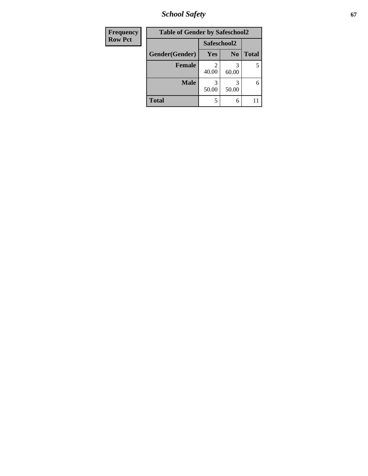*School Safety* **67**

| <b>Frequency</b> | <b>Table of Gender by Safeschool2</b> |             |                |              |
|------------------|---------------------------------------|-------------|----------------|--------------|
| <b>Row Pct</b>   |                                       | Safeschool2 |                |              |
|                  | Gender(Gender)                        | <b>Yes</b>  | N <sub>0</sub> | <b>Total</b> |
|                  | <b>Female</b>                         | 40.00       | 3<br>60.00     | 5            |
|                  | <b>Male</b>                           | 3<br>50.00  | 50.00          | 6            |
|                  | <b>Total</b>                          | 5           | 6              |              |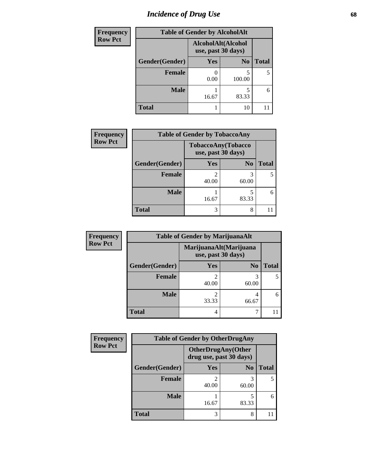# *Incidence of Drug Use* 68

| Frequency      |                | <b>Table of Gender by AlcoholAlt</b>     |                |              |
|----------------|----------------|------------------------------------------|----------------|--------------|
| <b>Row Pct</b> |                | AlcoholAlt(Alcohol<br>use, past 30 days) |                |              |
|                | Gender(Gender) | Yes                                      | N <sub>0</sub> | <b>Total</b> |
|                | <b>Female</b>  | 0.00                                     | 5<br>100.00    | 5            |
|                | <b>Male</b>    | 16.67                                    | 5<br>83.33     | 6            |
|                | <b>Total</b>   |                                          | 10             |              |

| <b>Frequency</b> | <b>Table of Gender by TobaccoAny</b> |                                          |                |              |  |
|------------------|--------------------------------------|------------------------------------------|----------------|--------------|--|
| <b>Row Pct</b>   |                                      | TobaccoAny(Tobacco<br>use, past 30 days) |                |              |  |
|                  | Gender(Gender)                       | Yes                                      | N <sub>0</sub> | <b>Total</b> |  |
|                  | <b>Female</b>                        | ി<br>40.00                               | 60.00          |              |  |
|                  | <b>Male</b>                          | 16.67                                    | 83.33          | 6            |  |
|                  | <b>Total</b>                         | 3                                        | 8              |              |  |

| <b>Frequency</b> | <b>Table of Gender by MarijuanaAlt</b> |            |                                              |       |  |
|------------------|----------------------------------------|------------|----------------------------------------------|-------|--|
| <b>Row Pct</b>   |                                        |            | MarijuanaAlt(Marijuana<br>use, past 30 days) |       |  |
|                  | Gender(Gender)                         | <b>Yes</b> | N <sub>0</sub>                               | Total |  |
|                  | <b>Female</b>                          | 2<br>40.00 | 60.00                                        |       |  |
|                  | <b>Male</b>                            | 2<br>33.33 | 4<br>66.67                                   | 6     |  |
|                  | <b>Total</b>                           | 4          |                                              |       |  |

| <b>Frequency</b> | <b>Table of Gender by OtherDrugAny</b> |                                                      |                |              |  |
|------------------|----------------------------------------|------------------------------------------------------|----------------|--------------|--|
| <b>Row Pct</b>   |                                        | <b>OtherDrugAny(Other</b><br>drug use, past 30 days) |                |              |  |
|                  | Gender(Gender)                         | <b>Yes</b>                                           | N <sub>0</sub> | <b>Total</b> |  |
|                  | <b>Female</b>                          | 40.00                                                | 3<br>60.00     |              |  |
|                  | <b>Male</b>                            | 16.67                                                | 83.33          | 6            |  |
|                  | <b>Total</b>                           | 3                                                    | 8              |              |  |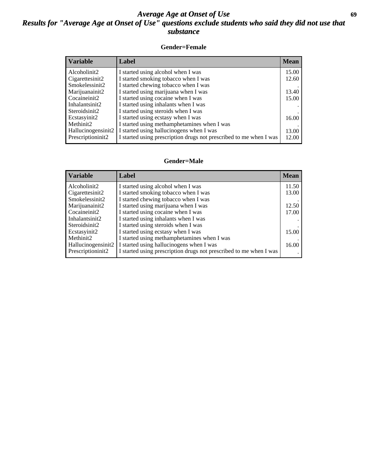### *Average Age at Onset of Use* **69** *Results for "Average Age at Onset of Use" questions exclude students who said they did not use that substance*

#### **Gender=Female**

| <i><b>Variable</b></i> | <b>Label</b>                                                       | <b>Mean</b> |
|------------------------|--------------------------------------------------------------------|-------------|
| Alcoholinit2           | I started using alcohol when I was                                 | 15.00       |
| Cigarettesinit2        | I started smoking tobacco when I was                               | 12.60       |
| Smokelessinit2         | I started chewing tobacco when I was                               |             |
| Marijuanainit2         | I started using marijuana when I was                               | 13.40       |
| Cocaineinit2           | I started using cocaine when I was                                 | 15.00       |
| Inhalantsinit2         | I started using inhalants when I was                               |             |
| Steroidsinit2          | I started using steroids when I was                                |             |
| Ecstasyinit2           | I started using ecstasy when I was                                 | 16.00       |
| Methinit2              | I started using methamphetamines when I was                        |             |
| Hallucinogensinit2     | I started using hallucinogens when I was                           | 13.00       |
| Prescription in t2     | I started using prescription drugs not prescribed to me when I was | 12.00       |

#### **Gender=Male**

| <b>Variable</b>    | Label                                                              | <b>Mean</b> |
|--------------------|--------------------------------------------------------------------|-------------|
| Alcoholinit2       | I started using alcohol when I was                                 | 11.50       |
| Cigarettesinit2    | I started smoking tobacco when I was                               | 13.00       |
| Smokelessinit2     | I started chewing tobacco when I was                               |             |
| Marijuanainit2     | I started using marijuana when I was                               | 12.50       |
| Cocaineinit2       | I started using cocaine when I was                                 | 17.00       |
| Inhalantsinit2     | I started using inhalants when I was                               |             |
| Steroidsinit2      | I started using steroids when I was                                |             |
| Ecstasyinit2       | I started using ecstasy when I was                                 | 15.00       |
| Methinit2          | I started using methamphetamines when I was                        |             |
| Hallucinogensinit2 | I started using hallucinogens when I was                           | 16.00       |
| Prescriptioninit2  | I started using prescription drugs not prescribed to me when I was |             |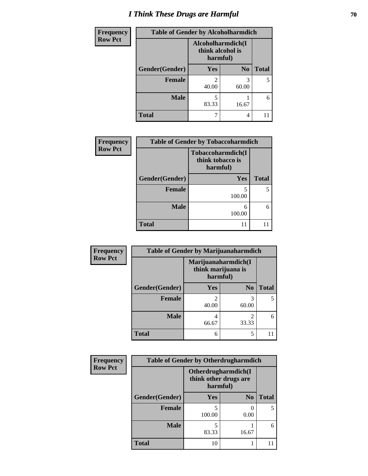# *I Think These Drugs are Harmful* **70**

| Frequency      | <b>Table of Gender by Alcoholharmdich</b> |                              |                   |              |
|----------------|-------------------------------------------|------------------------------|-------------------|--------------|
| <b>Row Pct</b> |                                           | think alcohol is<br>harmful) | Alcoholharmdich(I |              |
|                | Gender(Gender)                            | <b>Yes</b>                   | N <sub>0</sub>    | <b>Total</b> |
|                | <b>Female</b>                             | $\mathfrak{D}$<br>40.00      | 3<br>60.00        |              |
|                | <b>Male</b>                               | 5<br>83.33                   | 16.67             |              |
|                | <b>Total</b>                              |                              | 4                 |              |

| Frequency      | <b>Table of Gender by Tobaccoharmdich</b>         |             |              |  |
|----------------|---------------------------------------------------|-------------|--------------|--|
| <b>Row Pct</b> | Tobaccoharmdich(I<br>think tobacco is<br>harmful) |             |              |  |
|                | Gender(Gender)                                    | <b>Yes</b>  | <b>Total</b> |  |
|                | <b>Female</b>                                     | 5<br>100.00 | 5            |  |
|                | <b>Male</b>                                       | 6<br>100.00 | 6            |  |
|                | <b>Total</b>                                      | 11          |              |  |

| Frequency      | <b>Table of Gender by Marijuanaharmdich</b> |                                                       |                         |              |  |
|----------------|---------------------------------------------|-------------------------------------------------------|-------------------------|--------------|--|
| <b>Row Pct</b> |                                             | Marijuanaharmdich(I<br>think marijuana is<br>harmful) |                         |              |  |
|                | Gender(Gender)                              | <b>Yes</b>                                            | N <sub>0</sub>          | <b>Total</b> |  |
|                | <b>Female</b>                               | 40.00                                                 | 3<br>60.00              | 5            |  |
|                | <b>Male</b>                                 | 4<br>66.67                                            | $\mathfrak{D}$<br>33.33 | 6            |  |
|                | <b>Total</b>                                | 6                                                     | 5                       |              |  |

| Frequency      | <b>Table of Gender by Otherdrugharmdich</b> |                                                          |                |              |  |
|----------------|---------------------------------------------|----------------------------------------------------------|----------------|--------------|--|
| <b>Row Pct</b> |                                             | Otherdrugharmdich(I<br>think other drugs are<br>harmful) |                |              |  |
|                | Gender(Gender)                              | <b>Yes</b>                                               | N <sub>0</sub> | <b>Total</b> |  |
|                | Female                                      | 100.00                                                   | 0.00           | 5            |  |
|                | <b>Male</b>                                 | 5<br>83.33                                               | 16.67          | 6            |  |
|                | <b>Total</b>                                | 10                                                       |                |              |  |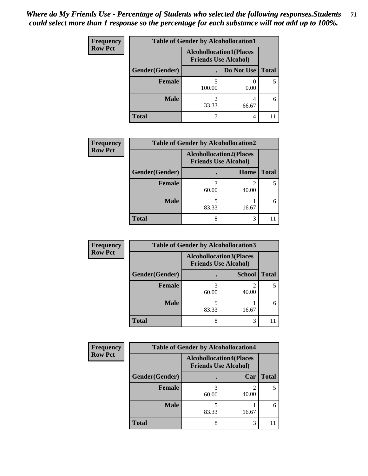| <b>Frequency</b> | <b>Table of Gender by Alcohollocation1</b> |                                                               |            |              |  |
|------------------|--------------------------------------------|---------------------------------------------------------------|------------|--------------|--|
| <b>Row Pct</b>   |                                            | <b>Alcohollocation1(Places</b><br><b>Friends Use Alcohol)</b> |            |              |  |
|                  | Gender(Gender)                             |                                                               | Do Not Use | <b>Total</b> |  |
|                  | <b>Female</b>                              | 100.00                                                        | 0.00       |              |  |
|                  | <b>Male</b>                                | 33.33                                                         | 66.67      | 6            |  |
|                  | <b>Total</b>                               |                                                               | 4          |              |  |

| <b>Frequency</b> | <b>Table of Gender by Alcohollocation2</b> |                                                               |            |              |
|------------------|--------------------------------------------|---------------------------------------------------------------|------------|--------------|
| <b>Row Pct</b>   |                                            | <b>Alcohollocation2(Places</b><br><b>Friends Use Alcohol)</b> |            |              |
|                  | Gender(Gender)                             |                                                               | Home       | <b>Total</b> |
|                  | Female                                     | 3<br>60.00                                                    | 2<br>40.00 |              |
|                  | <b>Male</b>                                | 5<br>83.33                                                    | 16.67      | 6            |
|                  | <b>Total</b>                               | 8                                                             | 3          |              |

| Frequency      | <b>Table of Gender by Alcohollocation3</b> |                                                               |               |              |  |
|----------------|--------------------------------------------|---------------------------------------------------------------|---------------|--------------|--|
| <b>Row Pct</b> |                                            | <b>Alcohollocation3(Places</b><br><b>Friends Use Alcohol)</b> |               |              |  |
|                | Gender(Gender)                             |                                                               | <b>School</b> | <b>Total</b> |  |
|                | <b>Female</b>                              | 60.00                                                         | 40.00         |              |  |
|                | <b>Male</b>                                | 83.33                                                         | 16.67         | 6            |  |
|                | <b>Total</b>                               | 8                                                             | 3             |              |  |

| <b>Frequency</b> | <b>Table of Gender by Alcohollocation4</b> |                                                               |       |              |  |
|------------------|--------------------------------------------|---------------------------------------------------------------|-------|--------------|--|
| <b>Row Pct</b>   |                                            | <b>Alcohollocation4(Places</b><br><b>Friends Use Alcohol)</b> |       |              |  |
|                  | Gender(Gender)                             |                                                               | Car   | <b>Total</b> |  |
|                  | <b>Female</b>                              | 60.00                                                         | 40.00 |              |  |
|                  | <b>Male</b>                                | 83.33                                                         | 16.67 | 6            |  |
|                  | <b>Total</b>                               | 8                                                             | 3     |              |  |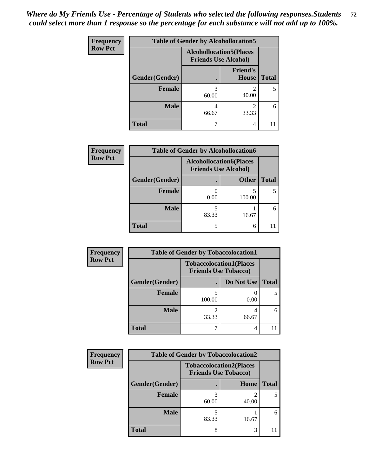| <b>Frequency</b> | <b>Table of Gender by Alcohollocation5</b> |                                                                |                          |              |
|------------------|--------------------------------------------|----------------------------------------------------------------|--------------------------|--------------|
| <b>Row Pct</b>   |                                            | <b>Alcohollocation5</b> (Places<br><b>Friends Use Alcohol)</b> |                          |              |
|                  | Gender(Gender)                             | $\bullet$                                                      | <b>Friend's</b><br>House | <b>Total</b> |
|                  | <b>Female</b>                              | 3<br>60.00                                                     | 40.00                    | 5            |
|                  | <b>Male</b>                                | 4<br>66.67                                                     | 33.33                    | 6            |
|                  | <b>Total</b>                               |                                                                | 4                        |              |

| <b>Frequency</b> | <b>Table of Gender by Alcohollocation6</b> |                                                               |              |              |  |
|------------------|--------------------------------------------|---------------------------------------------------------------|--------------|--------------|--|
| <b>Row Pct</b>   |                                            | <b>Alcohollocation6(Places</b><br><b>Friends Use Alcohol)</b> |              |              |  |
|                  | Gender(Gender)                             |                                                               | <b>Other</b> | <b>Total</b> |  |
|                  | <b>Female</b>                              | 0.00                                                          | 100.00       |              |  |
|                  | <b>Male</b>                                | 83.33                                                         | 16.67        |              |  |
|                  | <b>Total</b>                               | 5                                                             | 6            |              |  |

| Frequency      | <b>Table of Gender by Tobaccolocation1</b> |                                                               |            |              |  |
|----------------|--------------------------------------------|---------------------------------------------------------------|------------|--------------|--|
| <b>Row Pct</b> |                                            | <b>Tobaccolocation1(Places</b><br><b>Friends Use Tobacco)</b> |            |              |  |
|                | Gender(Gender)                             |                                                               | Do Not Use | <b>Total</b> |  |
|                | Female                                     | 100.00                                                        | 0.00       |              |  |
|                | <b>Male</b>                                | 33.33                                                         | 66.67      |              |  |
|                | <b>Total</b>                               |                                                               |            |              |  |

| <b>Frequency</b> | <b>Table of Gender by Tobaccolocation2</b> |                                                               |       |              |  |
|------------------|--------------------------------------------|---------------------------------------------------------------|-------|--------------|--|
| <b>Row Pct</b>   |                                            | <b>Tobaccolocation2(Places</b><br><b>Friends Use Tobacco)</b> |       |              |  |
|                  | Gender(Gender)                             |                                                               | Home  | <b>Total</b> |  |
|                  | <b>Female</b>                              | 60.00                                                         | 40.00 |              |  |
|                  | <b>Male</b>                                | 83.33                                                         | 16.67 | 6            |  |
|                  | <b>Total</b>                               | 8                                                             |       |              |  |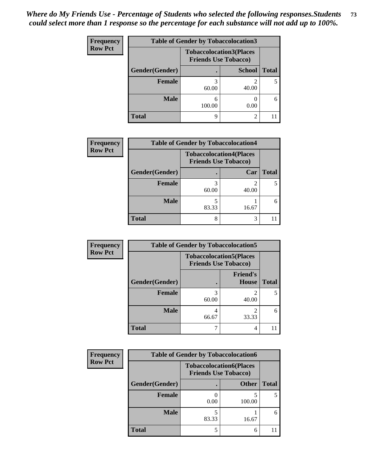| <b>Frequency</b> | <b>Table of Gender by Tobaccolocation3</b> |             |                                                               |              |
|------------------|--------------------------------------------|-------------|---------------------------------------------------------------|--------------|
| <b>Row Pct</b>   |                                            |             | <b>Tobaccolocation3(Places</b><br><b>Friends Use Tobacco)</b> |              |
|                  | Gender(Gender)                             |             | <b>School</b>                                                 | <b>Total</b> |
|                  | Female                                     | 60.00       | 40.00                                                         |              |
|                  | <b>Male</b>                                | 6<br>100.00 | 0.00                                                          | 6            |
|                  | <b>Total</b>                               | 9           | $\mathfrak{D}$                                                |              |

| <b>Frequency</b> | <b>Table of Gender by Tobaccolocation4</b> |                                                               |       |              |
|------------------|--------------------------------------------|---------------------------------------------------------------|-------|--------------|
| <b>Row Pct</b>   |                                            | <b>Tobaccolocation4(Places</b><br><b>Friends Use Tobacco)</b> |       |              |
|                  | Gender(Gender)                             |                                                               | Car   | <b>Total</b> |
|                  | <b>Female</b>                              | 60.00                                                         | 40.00 |              |
|                  | <b>Male</b>                                | 83.33                                                         | 16.67 | 6            |
|                  | <b>Total</b>                               | 8                                                             | 3     |              |

| Frequency      | <b>Table of Gender by Tobaccolocation5</b> |                                                               |                          |              |
|----------------|--------------------------------------------|---------------------------------------------------------------|--------------------------|--------------|
| <b>Row Pct</b> |                                            | <b>Tobaccolocation5(Places</b><br><b>Friends Use Tobacco)</b> |                          |              |
|                | Gender(Gender)                             |                                                               | <b>Friend's</b><br>House | <b>Total</b> |
|                | Female                                     | 60.00                                                         | 40.00                    | 5            |
|                | <b>Male</b>                                | 66.67                                                         | 33.33                    | 6            |
|                | <b>Total</b>                               |                                                               | 4                        |              |

| <b>Frequency</b> |                | <b>Table of Gender by Tobaccolocation6</b>                    |              |              |
|------------------|----------------|---------------------------------------------------------------|--------------|--------------|
| <b>Row Pct</b>   |                | <b>Tobaccolocation6(Places</b><br><b>Friends Use Tobacco)</b> |              |              |
|                  | Gender(Gender) |                                                               | <b>Other</b> | <b>Total</b> |
|                  | Female         | 0.00                                                          | 100.00       |              |
|                  | <b>Male</b>    | 83.33                                                         | 16.67        | 6            |
|                  | <b>Total</b>   |                                                               | 6            |              |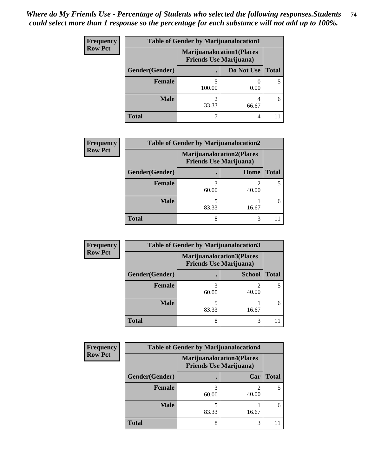| <b>Frequency</b> | <b>Table of Gender by Marijuanalocation1</b> |                                                                    |            |              |
|------------------|----------------------------------------------|--------------------------------------------------------------------|------------|--------------|
| <b>Row Pct</b>   |                                              | <b>Marijuanalocation1(Places</b><br><b>Friends Use Marijuana</b> ) |            |              |
|                  | Gender(Gender)                               |                                                                    | Do Not Use | <b>Total</b> |
|                  | <b>Female</b>                                | 100.00                                                             | 0.00       |              |
|                  | <b>Male</b>                                  | 33.33                                                              | 66.67      | 6            |
|                  | <b>Total</b>                                 |                                                                    | 4          |              |

| <b>Frequency</b> | <b>Table of Gender by Marijuanalocation2</b> |                                                                    |       |              |  |
|------------------|----------------------------------------------|--------------------------------------------------------------------|-------|--------------|--|
| <b>Row Pct</b>   |                                              | <b>Marijuanalocation2(Places</b><br><b>Friends Use Marijuana</b> ) |       |              |  |
|                  | Gender(Gender)                               |                                                                    | Home  | <b>Total</b> |  |
|                  | <b>Female</b>                                | 60.00                                                              | 40.00 |              |  |
|                  | <b>Male</b>                                  | 83.33                                                              | 16.67 | 6            |  |
|                  | <b>Total</b>                                 | 8                                                                  | 3     |              |  |

| Frequency      | <b>Table of Gender by Marijuanalocation3</b> |                                                                    |               |              |
|----------------|----------------------------------------------|--------------------------------------------------------------------|---------------|--------------|
| <b>Row Pct</b> |                                              | <b>Marijuanalocation3(Places</b><br><b>Friends Use Marijuana</b> ) |               |              |
|                | Gender(Gender)                               |                                                                    | <b>School</b> | <b>Total</b> |
|                | Female                                       | 60.00                                                              | 40.00         |              |
|                | <b>Male</b>                                  | 83.33                                                              | 16.67         | 6            |
|                | <b>Total</b>                                 | 8                                                                  | 3             |              |

| Frequency      |                | <b>Table of Gender by Marijuanalocation4</b> |                                                                     |              |  |
|----------------|----------------|----------------------------------------------|---------------------------------------------------------------------|--------------|--|
| <b>Row Pct</b> |                |                                              | <b>Marijuanalocation4(Places)</b><br><b>Friends Use Marijuana</b> ) |              |  |
|                | Gender(Gender) |                                              | Car                                                                 | <b>Total</b> |  |
|                | Female         | 60.00                                        | 40.00                                                               |              |  |
|                | <b>Male</b>    | 83.33                                        | 16.67                                                               |              |  |
|                | <b>Total</b>   | 8                                            | 3                                                                   |              |  |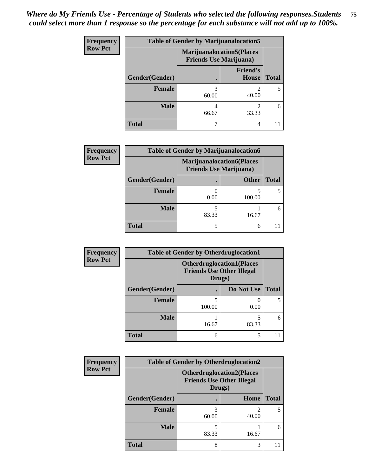| <b>Frequency</b> | <b>Table of Gender by Marijuanalocation5</b> |                                                                     |                          |              |
|------------------|----------------------------------------------|---------------------------------------------------------------------|--------------------------|--------------|
| <b>Row Pct</b>   |                                              | <b>Marijuanalocation5</b> (Places<br><b>Friends Use Marijuana</b> ) |                          |              |
|                  | Gender(Gender)                               |                                                                     | <b>Friend's</b><br>House | <b>Total</b> |
|                  | <b>Female</b>                                | 3<br>60.00                                                          | 40.00                    |              |
|                  | <b>Male</b>                                  | 4<br>66.67                                                          | 33.33                    | 6            |
|                  | <b>Total</b>                                 |                                                                     | 4                        |              |

| <b>Frequency</b> | <b>Table of Gender by Marijuanalocation6</b> |                                |                                  |              |
|------------------|----------------------------------------------|--------------------------------|----------------------------------|--------------|
| <b>Row Pct</b>   |                                              | <b>Friends Use Marijuana</b> ) | <b>Marijuanalocation6(Places</b> |              |
|                  | Gender(Gender)                               |                                | <b>Other</b>                     | <b>Total</b> |
|                  | <b>Female</b>                                | 0.00                           | 100.00                           |              |
|                  | <b>Male</b>                                  | 83.33                          | 16.67                            | 6            |
|                  | <b>Total</b>                                 |                                | 6                                |              |

| <b>Frequency</b> | <b>Table of Gender by Otherdruglocation1</b> |                                                                                |            |              |
|------------------|----------------------------------------------|--------------------------------------------------------------------------------|------------|--------------|
| <b>Row Pct</b>   |                                              | <b>Otherdruglocation1(Places</b><br><b>Friends Use Other Illegal</b><br>Drugs) |            |              |
|                  | Gender(Gender)                               |                                                                                | Do Not Use | <b>Total</b> |
|                  | Female                                       | 100.00                                                                         | 0.00       |              |
|                  | <b>Male</b>                                  | 16.67                                                                          | 83.33      | 6            |
|                  | <b>Total</b>                                 | 6                                                                              |            |              |

| <b>Frequency</b> | <b>Table of Gender by Otherdruglocation2</b> |                                                                                |       |              |
|------------------|----------------------------------------------|--------------------------------------------------------------------------------|-------|--------------|
| <b>Row Pct</b>   |                                              | <b>Otherdruglocation2(Places</b><br><b>Friends Use Other Illegal</b><br>Drugs) |       |              |
|                  | Gender(Gender)                               |                                                                                | Home  | <b>Total</b> |
|                  | Female                                       | 60.00                                                                          | 40.00 |              |
|                  | <b>Male</b>                                  | 83.33                                                                          | 16.67 | 6            |
|                  | <b>Total</b>                                 | 8                                                                              | 3     |              |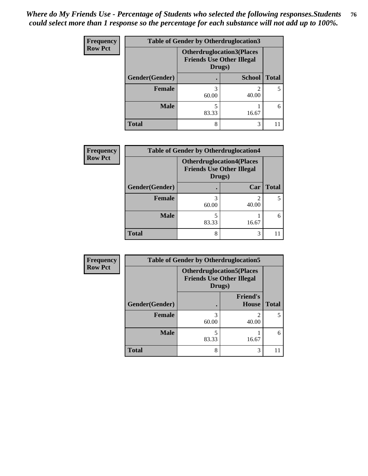| Frequency      | <b>Table of Gender by Otherdruglocation3</b> |                                                                                |               |              |
|----------------|----------------------------------------------|--------------------------------------------------------------------------------|---------------|--------------|
| <b>Row Pct</b> |                                              | <b>Otherdruglocation3(Places</b><br><b>Friends Use Other Illegal</b><br>Drugs) |               |              |
|                | Gender(Gender)                               |                                                                                | <b>School</b> | <b>Total</b> |
|                | Female                                       | 60.00                                                                          | 40.00         |              |
|                | <b>Male</b>                                  | 83.33                                                                          | 16.67         | 6            |
|                | <b>Total</b>                                 | 8                                                                              | 3             |              |

| <b>Frequency</b> | <b>Table of Gender by Otherdruglocation4</b> |                                                                                |            |              |
|------------------|----------------------------------------------|--------------------------------------------------------------------------------|------------|--------------|
| <b>Row Pct</b>   |                                              | <b>Otherdruglocation4(Places</b><br><b>Friends Use Other Illegal</b><br>Drugs) |            |              |
|                  | Gender(Gender)                               |                                                                                | Car        | <b>Total</b> |
|                  | Female                                       | 60.00                                                                          | 2<br>40.00 | 5.           |
|                  | <b>Male</b>                                  | 83.33                                                                          | 16.67      | 6            |
|                  | <b>Total</b>                                 | 8                                                                              | 3          |              |

| Frequency      | <b>Table of Gender by Otherdruglocation5</b> |            |                                                                      |              |
|----------------|----------------------------------------------|------------|----------------------------------------------------------------------|--------------|
| <b>Row Pct</b> |                                              | Drugs)     | <b>Otherdruglocation5(Places</b><br><b>Friends Use Other Illegal</b> |              |
|                | Gender(Gender)                               |            | <b>Friend's</b><br><b>House</b>                                      | <b>Total</b> |
|                | <b>Female</b>                                | 3<br>60.00 | っ<br>40.00                                                           | 5            |
|                | <b>Male</b>                                  | 83.33      | 16.67                                                                | 6            |
|                | <b>Total</b>                                 | 8          | 3                                                                    |              |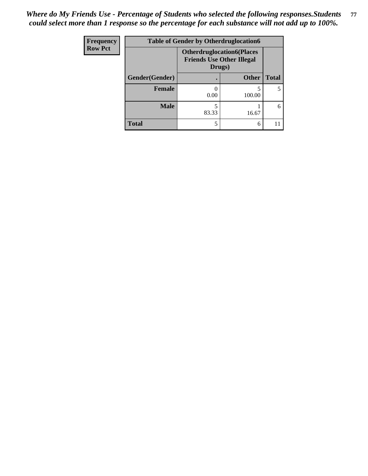| <b>Frequency</b> | <b>Table of Gender by Otherdruglocation6</b> |                                                                                |              |              |
|------------------|----------------------------------------------|--------------------------------------------------------------------------------|--------------|--------------|
| <b>Row Pct</b>   |                                              | <b>Otherdruglocation6(Places</b><br><b>Friends Use Other Illegal</b><br>Drugs) |              |              |
|                  | Gender(Gender)                               |                                                                                | <b>Other</b> | <b>Total</b> |
|                  | <b>Female</b>                                | 0.00                                                                           | 100.00       |              |
|                  | <b>Male</b>                                  | 83.33                                                                          | 16.67        | 6            |
|                  | <b>Total</b>                                 |                                                                                | 6            |              |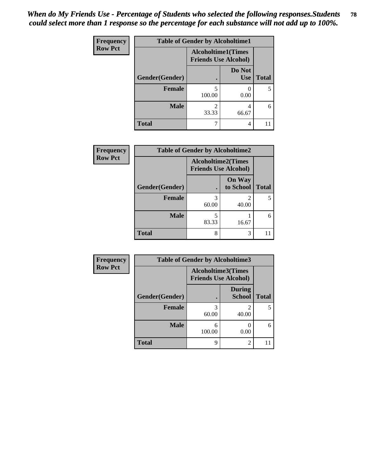| <b>Frequency</b> | <b>Table of Gender by Alcoholtime1</b> |                                                          |                      |              |
|------------------|----------------------------------------|----------------------------------------------------------|----------------------|--------------|
| <b>Row Pct</b>   |                                        | <b>Alcoholtime1(Times</b><br><b>Friends Use Alcohol)</b> |                      |              |
|                  | Gender(Gender)                         |                                                          | Do Not<br><b>Use</b> | <b>Total</b> |
|                  | <b>Female</b>                          | 5<br>100.00                                              | 0.00                 | 5            |
|                  | <b>Male</b>                            | 2<br>33.33                                               | 4<br>66.67           | 6            |
|                  | <b>Total</b>                           |                                                          | 4                    | 11           |

| <b>Frequency</b> | <b>Table of Gender by Alcoholtime2</b> |                                                          |                            |              |
|------------------|----------------------------------------|----------------------------------------------------------|----------------------------|--------------|
| <b>Row Pct</b>   |                                        | <b>Alcoholtime2(Times</b><br><b>Friends Use Alcohol)</b> |                            |              |
|                  | Gender(Gender)                         |                                                          | <b>On Way</b><br>to School | <b>Total</b> |
|                  | <b>Female</b>                          | 3<br>60.00                                               | 2<br>40.00                 |              |
|                  | <b>Male</b>                            | 5<br>83.33                                               | 16.67                      | 6            |
|                  | <b>Total</b>                           | 8                                                        | 3                          |              |

| <b>Frequency</b> | <b>Table of Gender by Alcoholtime3</b> |                                                          |                                |              |
|------------------|----------------------------------------|----------------------------------------------------------|--------------------------------|--------------|
| <b>Row Pct</b>   |                                        | <b>Alcoholtime3(Times</b><br><b>Friends Use Alcohol)</b> |                                |              |
|                  | Gender(Gender)                         |                                                          | <b>During</b><br><b>School</b> | <b>Total</b> |
|                  | Female                                 | 3<br>60.00                                               | 2<br>40.00                     | 5            |
|                  | <b>Male</b>                            | 6<br>100.00                                              | 0.00                           | 6            |
|                  | <b>Total</b>                           | 9                                                        | 2                              | 11           |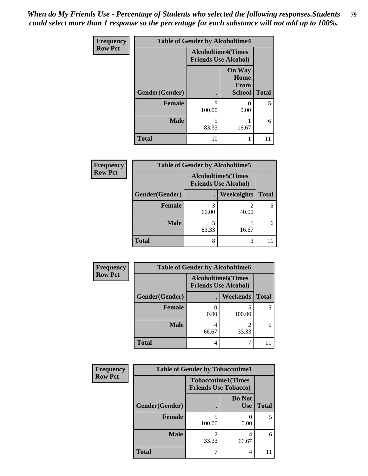*When do My Friends Use - Percentage of Students who selected the following responses.Students could select more than 1 response so the percentage for each substance will not add up to 100%.* **79**

| <b>Frequency</b> | <b>Table of Gender by Alcoholtime4</b> |                                                          |                                                |              |
|------------------|----------------------------------------|----------------------------------------------------------|------------------------------------------------|--------------|
| <b>Row Pct</b>   |                                        | <b>Alcoholtime4(Times</b><br><b>Friends Use Alcohol)</b> |                                                |              |
|                  | Gender(Gender)                         |                                                          | <b>On Way</b><br>Home<br>From<br><b>School</b> | <b>Total</b> |
|                  | <b>Female</b>                          | 5<br>100.00                                              | 0.00                                           | 5            |
|                  | <b>Male</b>                            | 5<br>83.33                                               | 16.67                                          | 6            |
|                  | <b>Total</b>                           | 10                                                       | 1                                              | 11           |

| <b>Frequency</b> | <b>Table of Gender by Alcoholtime5</b> |                                                          |                   |              |
|------------------|----------------------------------------|----------------------------------------------------------|-------------------|--------------|
| <b>Row Pct</b>   |                                        | <b>Alcoholtime5(Times</b><br><b>Friends Use Alcohol)</b> |                   |              |
|                  | Gender(Gender)                         |                                                          | <b>Weeknights</b> | <b>Total</b> |
|                  | <b>Female</b>                          | 3<br>60.00                                               | 2<br>40.00        | 5            |
|                  | <b>Male</b>                            | 83.33                                                    | 16.67             | 6            |
|                  | <b>Total</b>                           | 8                                                        | 3                 |              |

| <b>Frequency</b> |                | <b>Table of Gender by Alcoholtime6</b> |                                                          |              |
|------------------|----------------|----------------------------------------|----------------------------------------------------------|--------------|
| <b>Row Pct</b>   |                |                                        | <b>Alcoholtime6(Times</b><br><b>Friends Use Alcohol)</b> |              |
|                  | Gender(Gender) |                                        | <b>Weekends</b>                                          | <b>Total</b> |
|                  | Female         | 0.00                                   | 100.00                                                   | 5            |
|                  | <b>Male</b>    | 66.67                                  | 2<br>33.33                                               | 6            |
|                  | <b>Total</b>   | 4                                      |                                                          |              |

| <b>Frequency</b> | <b>Table of Gender by Tobaccotime1</b> |                                                          |                      |              |
|------------------|----------------------------------------|----------------------------------------------------------|----------------------|--------------|
| <b>Row Pct</b>   |                                        | <b>Tobaccotime1(Times</b><br><b>Friends Use Tobacco)</b> |                      |              |
|                  | Gender(Gender)                         |                                                          | Do Not<br><b>Use</b> | <b>Total</b> |
|                  | Female                                 | 100.00                                                   | 0.00                 | 5            |
|                  | <b>Male</b>                            | 33.33                                                    | 4<br>66.67           | 6            |
|                  | <b>Total</b>                           |                                                          | 4                    |              |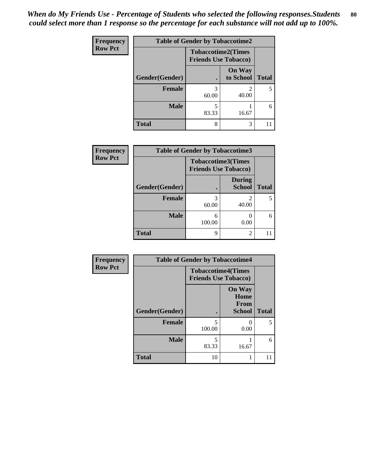| <b>Frequency</b> | <b>Table of Gender by Tobaccotime2</b> |                                                          |                            |              |
|------------------|----------------------------------------|----------------------------------------------------------|----------------------------|--------------|
| <b>Row Pct</b>   |                                        | <b>Tobaccotime2(Times</b><br><b>Friends Use Tobacco)</b> |                            |              |
|                  | Gender(Gender)                         | ٠                                                        | <b>On Way</b><br>to School | <b>Total</b> |
|                  | Female                                 | 3<br>60.00                                               | 2<br>40.00                 | 5            |
|                  | <b>Male</b>                            | 5<br>83.33                                               | 16.67                      | 6            |
|                  | <b>Total</b>                           | 8                                                        | 3                          |              |

| Frequency      | <b>Table of Gender by Tobaccotime3</b> |                                                          |                                |              |
|----------------|----------------------------------------|----------------------------------------------------------|--------------------------------|--------------|
| <b>Row Pct</b> |                                        | <b>Tobaccotime3(Times</b><br><b>Friends Use Tobacco)</b> |                                |              |
|                | Gender(Gender)                         |                                                          | <b>During</b><br><b>School</b> | <b>Total</b> |
|                | <b>Female</b>                          | 3<br>60.00                                               | 2<br>40.00                     |              |
|                | <b>Male</b>                            | 6<br>100.00                                              | 0.00                           | 6            |
|                | <b>Total</b>                           | 9                                                        | 2                              |              |

| <b>Frequency</b> | <b>Table of Gender by Tobaccotime4</b> |                                                          |                                         |              |
|------------------|----------------------------------------|----------------------------------------------------------|-----------------------------------------|--------------|
| <b>Row Pct</b>   |                                        | <b>Tobaccotime4(Times</b><br><b>Friends Use Tobacco)</b> |                                         |              |
|                  | Gender(Gender)                         |                                                          | <b>On Way</b><br>Home<br>From<br>School | <b>Total</b> |
|                  | <b>Female</b>                          | 5<br>100.00                                              | $\mathcal{O}$<br>0.00                   | 5            |
|                  | <b>Male</b>                            | 5<br>83.33                                               | 16.67                                   | 6            |
|                  | <b>Total</b>                           | 10                                                       |                                         | 11           |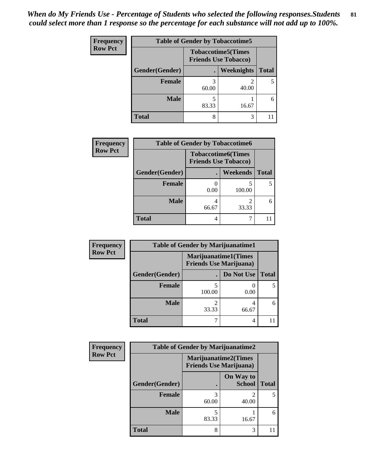| <b>Frequency</b> |                | <b>Table of Gender by Tobaccotime5</b> |                                                           |              |
|------------------|----------------|----------------------------------------|-----------------------------------------------------------|--------------|
| <b>Row Pct</b>   |                |                                        | <b>Tobaccotime5</b> (Times<br><b>Friends Use Tobacco)</b> |              |
|                  | Gender(Gender) |                                        | Weeknights                                                | <b>Total</b> |
|                  | <b>Female</b>  | 60.00                                  | 40.00                                                     | 5            |
|                  | <b>Male</b>    | 83.33                                  | 16.67                                                     | 6            |
|                  | Total          | 8                                      | 3                                                         |              |

| Frequency      | <b>Table of Gender by Tobaccotime6</b> |                                                          |          |              |
|----------------|----------------------------------------|----------------------------------------------------------|----------|--------------|
| <b>Row Pct</b> |                                        | <b>Tobaccotime6(Times</b><br><b>Friends Use Tobacco)</b> |          |              |
|                | Gender(Gender)                         |                                                          | Weekends | <b>Total</b> |
|                | Female                                 | 0.00                                                     | 100.00   |              |
|                | <b>Male</b>                            | 66.67                                                    | 33.33    |              |
|                | <b>Total</b>                           | 4                                                        |          |              |

| Frequency      |                | <b>Table of Gender by Marijuanatime1</b> |                             |              |  |
|----------------|----------------|------------------------------------------|-----------------------------|--------------|--|
| <b>Row Pct</b> |                | <b>Friends Use Marijuana</b> )           | <b>Marijuanatime1(Times</b> |              |  |
|                | Gender(Gender) |                                          | Do Not Use                  | <b>Total</b> |  |
|                | <b>Female</b>  | 100.00                                   | 0.00                        | 5            |  |
|                | <b>Male</b>    | 33.33                                    | 4<br>66.67                  | 6            |  |
|                | <b>Total</b>   |                                          | 4                           |              |  |

| Frequency      | <b>Table of Gender by Marijuanatime2</b> |                                                               |                            |              |
|----------------|------------------------------------------|---------------------------------------------------------------|----------------------------|--------------|
| <b>Row Pct</b> |                                          | <b>Marijuanatime2(Times</b><br><b>Friends Use Marijuana</b> ) |                            |              |
|                | Gender(Gender)                           |                                                               | On Way to<br><b>School</b> | <b>Total</b> |
|                | <b>Female</b>                            | 3<br>60.00                                                    | 40.00                      | 5            |
|                | <b>Male</b>                              | 5<br>83.33                                                    | 16.67                      | 6            |
|                | <b>Total</b>                             | 8                                                             | 3                          |              |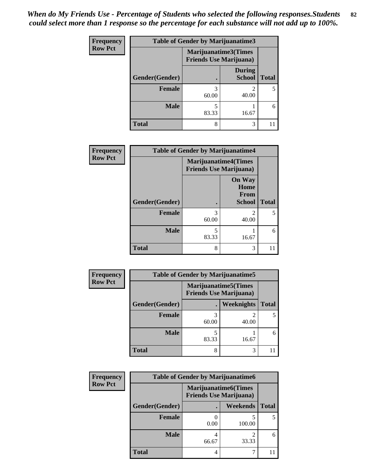| Frequency      | Table of Gender by Marijuanatime3 |                                                        |                                |              |
|----------------|-----------------------------------|--------------------------------------------------------|--------------------------------|--------------|
| <b>Row Pct</b> |                                   | Marijuanatime3(Times<br><b>Friends Use Marijuana</b> ) |                                |              |
|                | Gender(Gender)                    |                                                        | <b>During</b><br><b>School</b> | <b>Total</b> |
|                | <b>Female</b>                     | 3<br>60.00                                             | $\mathfrak{D}$<br>40.00        | 5            |
|                | <b>Male</b>                       | 5<br>83.33                                             | 16.67                          | 6            |
|                | <b>Total</b>                      | 8                                                      | 3                              |              |

| Frequency      | <b>Table of Gender by Marijuanatime4</b> |                                |                                                       |              |
|----------------|------------------------------------------|--------------------------------|-------------------------------------------------------|--------------|
| <b>Row Pct</b> |                                          | <b>Friends Use Marijuana</b> ) | <b>Marijuanatime4(Times</b>                           |              |
|                | Gender(Gender)                           |                                | <b>On Way</b><br>Home<br><b>From</b><br><b>School</b> | <b>Total</b> |
|                | <b>Female</b>                            | 3<br>60.00                     | $\mathfrak{D}$<br>40.00                               |              |
|                | <b>Male</b>                              | 5<br>83.33                     | 16.67                                                 | 6            |
|                | <b>Total</b>                             | 8                              | 3                                                     |              |

| <b>Frequency</b> | <b>Table of Gender by Marijuanatime5</b> |       |                                                                |              |  |
|------------------|------------------------------------------|-------|----------------------------------------------------------------|--------------|--|
| <b>Row Pct</b>   |                                          |       | <b>Marijuanatime5</b> (Times<br><b>Friends Use Marijuana</b> ) |              |  |
|                  | Gender(Gender)                           |       | Weeknights                                                     | <b>Total</b> |  |
|                  | Female                                   | 60.00 | 40.00                                                          |              |  |
|                  | <b>Male</b>                              | 83.33 | 16.67                                                          | 6            |  |
|                  | <b>Total</b>                             | 8     | 3                                                              |              |  |

| Frequency      | <b>Table of Gender by Marijuanatime6</b> |                                                               |                         |              |  |
|----------------|------------------------------------------|---------------------------------------------------------------|-------------------------|--------------|--|
| <b>Row Pct</b> |                                          | <b>Marijuanatime6(Times</b><br><b>Friends Use Marijuana</b> ) |                         |              |  |
|                | Gender(Gender)                           |                                                               | <b>Weekends</b>         | <b>Total</b> |  |
|                | <b>Female</b>                            | 0.00                                                          | 100.00                  |              |  |
|                | <b>Male</b>                              | 66.67                                                         | $\mathfrak{D}$<br>33.33 | 6            |  |
|                | <b>Total</b>                             | 4                                                             | ┑                       |              |  |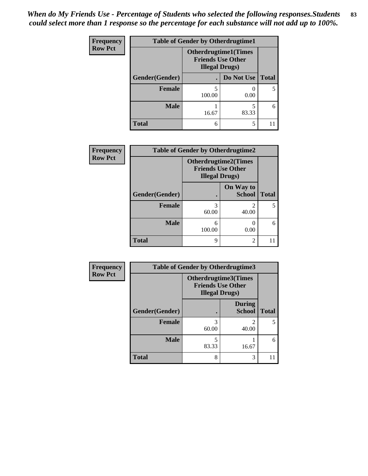| <b>Frequency</b> | <b>Table of Gender by Otherdrugtime1</b> |                                                                                   |            |              |
|------------------|------------------------------------------|-----------------------------------------------------------------------------------|------------|--------------|
| <b>Row Pct</b>   |                                          | <b>Otherdrugtime1(Times</b><br><b>Friends Use Other</b><br><b>Illegal Drugs</b> ) |            |              |
|                  | Gender(Gender)                           |                                                                                   | Do Not Use | <b>Total</b> |
|                  | Female                                   | 100.00                                                                            | 0.00       |              |
|                  | <b>Male</b>                              | 16.67                                                                             | 83.33      | 6            |
|                  | <b>Total</b>                             | 6                                                                                 | 5          |              |

| Frequency      | <b>Table of Gender by Otherdrugtime2</b> |                        |                                                         |              |
|----------------|------------------------------------------|------------------------|---------------------------------------------------------|--------------|
| <b>Row Pct</b> |                                          | <b>Illegal Drugs</b> ) | <b>Otherdrugtime2(Times</b><br><b>Friends Use Other</b> |              |
|                | Gender(Gender)                           |                        | On Way to<br><b>School</b>                              | <b>Total</b> |
|                | <b>Female</b>                            | 3<br>60.00             | $\mathfrak{D}$<br>40.00                                 |              |
|                | <b>Male</b>                              | 6<br>100.00            | 0.00                                                    | 6            |
|                | <b>Total</b>                             | 9                      | $\mathfrak{D}$                                          |              |

| Frequency      | <b>Table of Gender by Otherdrugtime3</b> |                        |                                                  |              |
|----------------|------------------------------------------|------------------------|--------------------------------------------------|--------------|
| <b>Row Pct</b> |                                          | <b>Illegal Drugs</b> ) | Otherdrugtime3(Times<br><b>Friends Use Other</b> |              |
|                | Gender(Gender)                           |                        | <b>During</b><br><b>School</b>                   | <b>Total</b> |
|                | <b>Female</b>                            | 3<br>60.00             | $\mathfrak{D}$<br>40.00                          | 5            |
|                | <b>Male</b>                              | 83.33                  | 16.67                                            | 6            |
|                | <b>Total</b>                             | 8                      | 3                                                | 11           |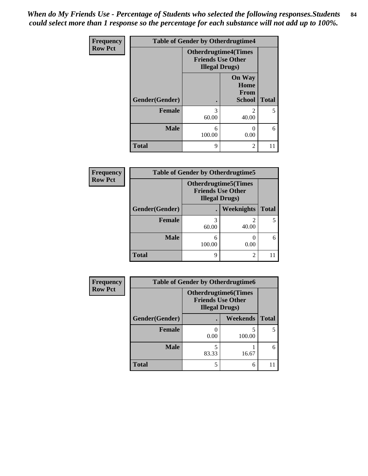*When do My Friends Use - Percentage of Students who selected the following responses.Students could select more than 1 response so the percentage for each substance will not add up to 100%.* **84**

| <b>Frequency</b> | <b>Table of Gender by Otherdrugtime4</b> |                                                                                   |                                                       |              |
|------------------|------------------------------------------|-----------------------------------------------------------------------------------|-------------------------------------------------------|--------------|
| <b>Row Pct</b>   |                                          | <b>Otherdrugtime4(Times</b><br><b>Friends Use Other</b><br><b>Illegal Drugs</b> ) |                                                       |              |
|                  | Gender(Gender)                           |                                                                                   | <b>On Way</b><br>Home<br><b>From</b><br><b>School</b> | <b>Total</b> |
|                  | Female                                   | 3<br>60.00                                                                        | っ<br>40.00                                            | 5            |
|                  | <b>Male</b>                              | 6<br>100.00                                                                       | 0.00                                                  | 6            |
|                  | <b>Total</b>                             | 9                                                                                 | $\mathfrak{D}$                                        |              |

| Frequency      | <b>Table of Gender by Otherdrugtime5</b> |             |                                                                                    |              |  |
|----------------|------------------------------------------|-------------|------------------------------------------------------------------------------------|--------------|--|
| <b>Row Pct</b> |                                          |             | <b>Otherdrugtime5</b> (Times<br><b>Friends Use Other</b><br><b>Illegal Drugs</b> ) |              |  |
|                | Gender(Gender)                           |             | Weeknights                                                                         | <b>Total</b> |  |
|                | <b>Female</b>                            | 3<br>60.00  | 40.00                                                                              |              |  |
|                | <b>Male</b>                              | 6<br>100.00 | 0.00                                                                               | 6            |  |
|                | <b>Total</b>                             | 9           | $\mathfrak{D}$                                                                     |              |  |

| <b>Frequency</b> |                | <b>Table of Gender by Otherdrugtime6</b>                                          |             |              |  |
|------------------|----------------|-----------------------------------------------------------------------------------|-------------|--------------|--|
| <b>Row Pct</b>   |                | <b>Otherdrugtime6(Times</b><br><b>Friends Use Other</b><br><b>Illegal Drugs</b> ) |             |              |  |
|                  | Gender(Gender) |                                                                                   | Weekends    | <b>Total</b> |  |
|                  | <b>Female</b>  | 0.00                                                                              | 5<br>100.00 | 5            |  |
|                  | <b>Male</b>    | 83.33                                                                             | 16.67       | 6            |  |
|                  | <b>Total</b>   | 5                                                                                 | 6           |              |  |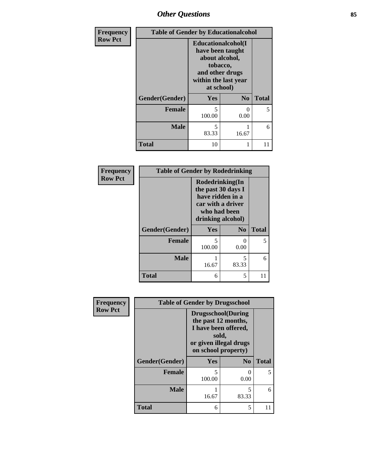## *Other Questions* **85**

| Frequency      |                | <b>Table of Gender by Educationalcohol</b>                                                                                    |                      |              |  |
|----------------|----------------|-------------------------------------------------------------------------------------------------------------------------------|----------------------|--------------|--|
| <b>Row Pct</b> |                | Educationalcohol(I<br>have been taught<br>about alcohol,<br>tobacco,<br>and other drugs<br>within the last year<br>at school) |                      |              |  |
|                | Gender(Gender) | <b>Yes</b>                                                                                                                    | N <sub>0</sub>       | <b>Total</b> |  |
|                | <b>Female</b>  | 5<br>100.00                                                                                                                   | $\mathbf{0}$<br>0.00 | 5            |  |
|                | <b>Male</b>    | $\overline{\phantom{0}}$<br>83.33                                                                                             | 16.67                | 6            |  |
|                | <b>Total</b>   | 10                                                                                                                            |                      | 11           |  |

| Frequency      | <b>Table of Gender by Rodedrinking</b> |                                                                                                                     |                       |              |
|----------------|----------------------------------------|---------------------------------------------------------------------------------------------------------------------|-----------------------|--------------|
| <b>Row Pct</b> |                                        | Rodedrinking(In<br>the past 30 days I<br>have ridden in a<br>car with a driver<br>who had been<br>drinking alcohol) |                       |              |
|                | Gender(Gender)                         | Yes                                                                                                                 | $\bf N_0$             | <b>Total</b> |
|                | <b>Female</b>                          | 5<br>100.00                                                                                                         | $\mathcal{O}$<br>0.00 | 5            |
|                | <b>Male</b>                            | 16.67                                                                                                               | 5<br>83.33            | 6            |
|                | <b>Total</b>                           | 6                                                                                                                   | 5                     | 11           |

| Frequency      | <b>Table of Gender by Drugsschool</b> |                                                                                                                                     |                |              |
|----------------|---------------------------------------|-------------------------------------------------------------------------------------------------------------------------------------|----------------|--------------|
| <b>Row Pct</b> |                                       | <b>Drugsschool</b> (During<br>the past 12 months,<br>I have been offered,<br>sold,<br>or given illegal drugs<br>on school property) |                |              |
|                | Gender(Gender)                        | <b>Yes</b>                                                                                                                          | N <sub>0</sub> | <b>Total</b> |
|                | <b>Female</b>                         | 5<br>100.00                                                                                                                         | 0<br>0.00      | 5.           |
|                | <b>Male</b>                           | 16.67                                                                                                                               | 5<br>83.33     | 6            |
|                | <b>Total</b>                          | 6                                                                                                                                   | 5              |              |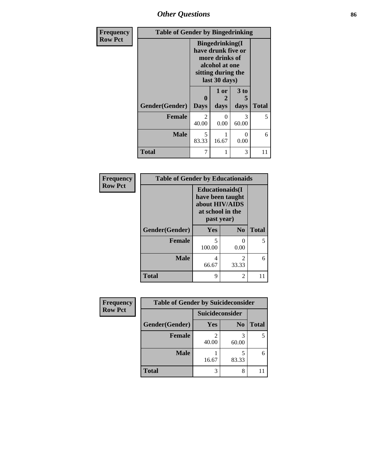# *Other Questions* **86**

| Frequency      |                | <b>Table of Gender by Bingedrinking</b> |                                                                                                                          |                        |              |
|----------------|----------------|-----------------------------------------|--------------------------------------------------------------------------------------------------------------------------|------------------------|--------------|
| <b>Row Pct</b> |                |                                         | <b>Bingedrinking</b> (I<br>have drunk five or<br>more drinks of<br>alcohol at one<br>sitting during the<br>last 30 days) |                        |              |
|                | Gender(Gender) | 0<br><b>Days</b>                        | 1 or<br>2<br>days                                                                                                        | 3 to<br>5<br>days      | <b>Total</b> |
|                | <b>Female</b>  | $\overline{2}$<br>40.00                 | ∩<br>0.00                                                                                                                | $\mathcal{R}$<br>60.00 | 5            |
|                | <b>Male</b>    | 5<br>83.33                              | 16.67                                                                                                                    | 0<br>0.00              | 6            |
|                | <b>Total</b>   | 7                                       |                                                                                                                          | 3                      | 11           |

| Frequency      | <b>Table of Gender by Educationaids</b> |                                                                                                 |                         |              |
|----------------|-----------------------------------------|-------------------------------------------------------------------------------------------------|-------------------------|--------------|
| <b>Row Pct</b> |                                         | <b>Educationaids</b> (I<br>have been taught<br>about HIV/AIDS<br>at school in the<br>past year) |                         |              |
|                | Gender(Gender)                          | <b>Yes</b>                                                                                      | N <sub>0</sub>          | <b>Total</b> |
|                | <b>Female</b>                           | 5<br>100.00                                                                                     | 0<br>0.00               | 5            |
|                | <b>Male</b>                             | 4<br>66.67                                                                                      | $\mathfrak{D}$<br>33.33 | 6            |
|                | <b>Total</b>                            | 9                                                                                               | 2                       | 11           |

| <b>Frequency</b> | <b>Table of Gender by Suicideconsider</b> |                        |                |              |
|------------------|-------------------------------------------|------------------------|----------------|--------------|
| <b>Row Pct</b>   |                                           | <b>Suicideconsider</b> |                |              |
|                  | Gender(Gender)                            | Yes                    | N <sub>0</sub> | <b>Total</b> |
|                  | <b>Female</b>                             | 40.00                  | 60.00          | 5            |
|                  | <b>Male</b>                               | 16.67                  | 83.33          | 6            |
|                  | <b>Total</b>                              |                        | 8              |              |